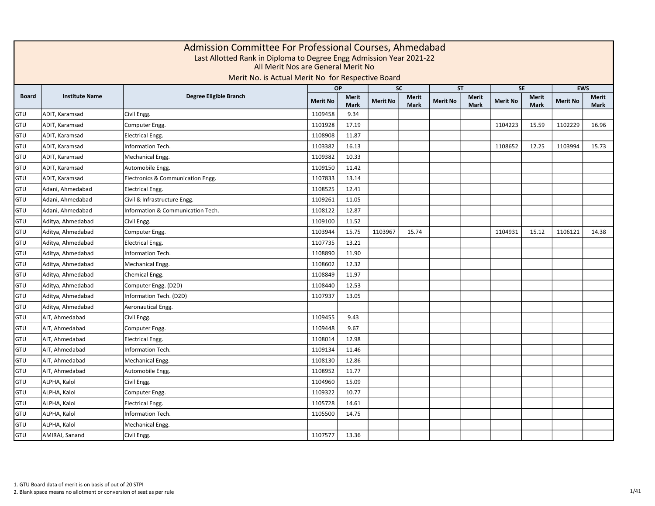|              | Admission Committee For Professional Courses, Ahmedabad<br>Last Allotted Rank in Diploma to Degree Engg Admission Year 2021-22<br>All Merit Nos are General Merit No<br>Merit No. is Actual Merit No for Respective Board<br><b>EWS</b><br>OP<br><b>SC</b><br><b>ST</b><br><b>SE</b> |                                   |                 |                             |                 |                             |                 |                      |                 |                      |                 |               |  |  |  |
|--------------|--------------------------------------------------------------------------------------------------------------------------------------------------------------------------------------------------------------------------------------------------------------------------------------|-----------------------------------|-----------------|-----------------------------|-----------------|-----------------------------|-----------------|----------------------|-----------------|----------------------|-----------------|---------------|--|--|--|
|              |                                                                                                                                                                                                                                                                                      |                                   |                 |                             |                 |                             |                 |                      |                 |                      |                 |               |  |  |  |
| <b>Board</b> | <b>Institute Name</b>                                                                                                                                                                                                                                                                | Degree Eligible Branch            | <b>Merit No</b> | <b>Merit</b><br><b>Mark</b> | <b>Merit No</b> | <b>Merit</b><br><b>Mark</b> | <b>Merit No</b> | Merit<br><b>Mark</b> | <b>Merit No</b> | <b>Merit</b><br>Mark | <b>Merit No</b> | Merit<br>Mark |  |  |  |
| GTU          | ADIT, Karamsad                                                                                                                                                                                                                                                                       | Civil Engg.                       | 1109458         | 9.34                        |                 |                             |                 |                      |                 |                      |                 |               |  |  |  |
| <b>GTU</b>   | ADIT, Karamsad                                                                                                                                                                                                                                                                       | Computer Engg.                    | 1101928         | 17.19                       |                 |                             |                 |                      | 1104223         | 15.59                | 1102229         | 16.96         |  |  |  |
| GTU          | ADIT, Karamsad                                                                                                                                                                                                                                                                       | <b>Electrical Engg.</b>           | 1108908         | 11.87                       |                 |                             |                 |                      |                 |                      |                 |               |  |  |  |
| GTU          | ADIT, Karamsad                                                                                                                                                                                                                                                                       | <b>Information Tech.</b>          | 1103382         | 16.13                       |                 |                             |                 |                      | 1108652         | 12.25                | 1103994         | 15.73         |  |  |  |
| GTU          | ADIT, Karamsad                                                                                                                                                                                                                                                                       | Mechanical Engg.                  | 1109382         | 10.33                       |                 |                             |                 |                      |                 |                      |                 |               |  |  |  |
| GTU          | ADIT, Karamsad                                                                                                                                                                                                                                                                       | Automobile Engg.                  | 1109150         | 11.42                       |                 |                             |                 |                      |                 |                      |                 |               |  |  |  |
| GTU          | ADIT, Karamsad                                                                                                                                                                                                                                                                       | Electronics & Communication Engg. | 1107833         | 13.14                       |                 |                             |                 |                      |                 |                      |                 |               |  |  |  |
| GTU          | Adani, Ahmedabad                                                                                                                                                                                                                                                                     | <b>Electrical Engg.</b>           | 1108525         | 12.41                       |                 |                             |                 |                      |                 |                      |                 |               |  |  |  |
| GTU          | Adani, Ahmedabad                                                                                                                                                                                                                                                                     | Civil & Infrastructure Engg.      | 1109261         | 11.05                       |                 |                             |                 |                      |                 |                      |                 |               |  |  |  |
| GTU          | Adani, Ahmedabad                                                                                                                                                                                                                                                                     | Information & Communication Tech. | 1108122         | 12.87                       |                 |                             |                 |                      |                 |                      |                 |               |  |  |  |
| GTU          | Aditya, Ahmedabad                                                                                                                                                                                                                                                                    | Civil Engg.                       | 1109100         | 11.52                       |                 |                             |                 |                      |                 |                      |                 |               |  |  |  |
| GTU          | Aditya, Ahmedabad                                                                                                                                                                                                                                                                    | Computer Engg.                    | 1103944         | 15.75                       | 1103967         | 15.74                       |                 |                      | 1104931         | 15.12                | 1106121         | 14.38         |  |  |  |
| GTU          | Aditya, Ahmedabad                                                                                                                                                                                                                                                                    | <b>Electrical Engg.</b>           | 1107735         | 13.21                       |                 |                             |                 |                      |                 |                      |                 |               |  |  |  |
| GTU          | Aditya, Ahmedabad                                                                                                                                                                                                                                                                    | Information Tech.                 | 1108890         | 11.90                       |                 |                             |                 |                      |                 |                      |                 |               |  |  |  |
| GTU          | Aditya, Ahmedabad                                                                                                                                                                                                                                                                    | Mechanical Engg.                  | 1108602         | 12.32                       |                 |                             |                 |                      |                 |                      |                 |               |  |  |  |
| GTU          | Aditya, Ahmedabad                                                                                                                                                                                                                                                                    | Chemical Engg.                    | 1108849         | 11.97                       |                 |                             |                 |                      |                 |                      |                 |               |  |  |  |
| GTU          | Aditya, Ahmedabad                                                                                                                                                                                                                                                                    | Computer Engg. (D2D)              | 1108440         | 12.53                       |                 |                             |                 |                      |                 |                      |                 |               |  |  |  |
| GTU          | Aditya, Ahmedabad                                                                                                                                                                                                                                                                    | Information Tech. (D2D)           | 1107937         | 13.05                       |                 |                             |                 |                      |                 |                      |                 |               |  |  |  |
| GTU          | Aditya, Ahmedabad                                                                                                                                                                                                                                                                    | Aeronautical Engg.                |                 |                             |                 |                             |                 |                      |                 |                      |                 |               |  |  |  |
| GTU          | AIT, Ahmedabad                                                                                                                                                                                                                                                                       | Civil Engg.                       | 1109455         | 9.43                        |                 |                             |                 |                      |                 |                      |                 |               |  |  |  |
| GTU          | AIT, Ahmedabad                                                                                                                                                                                                                                                                       | Computer Engg.                    | 1109448         | 9.67                        |                 |                             |                 |                      |                 |                      |                 |               |  |  |  |
| GTU          | AIT, Ahmedabad                                                                                                                                                                                                                                                                       | <b>Electrical Engg.</b>           | 1108014         | 12.98                       |                 |                             |                 |                      |                 |                      |                 |               |  |  |  |
| GTU          | AIT, Ahmedabad                                                                                                                                                                                                                                                                       | Information Tech.                 | 1109134         | 11.46                       |                 |                             |                 |                      |                 |                      |                 |               |  |  |  |
| GTU          | AIT, Ahmedabad                                                                                                                                                                                                                                                                       | Mechanical Engg.                  | 1108130         | 12.86                       |                 |                             |                 |                      |                 |                      |                 |               |  |  |  |
| GTU          | AIT, Ahmedabad                                                                                                                                                                                                                                                                       | Automobile Engg.                  | 1108952         | 11.77                       |                 |                             |                 |                      |                 |                      |                 |               |  |  |  |
| GTU          | ALPHA, Kalol                                                                                                                                                                                                                                                                         | Civil Engg.                       | 1104960         | 15.09                       |                 |                             |                 |                      |                 |                      |                 |               |  |  |  |
| GTU          | ALPHA, Kalol                                                                                                                                                                                                                                                                         | Computer Engg.                    | 1109322         | 10.77                       |                 |                             |                 |                      |                 |                      |                 |               |  |  |  |
| GTU          | ALPHA, Kalol                                                                                                                                                                                                                                                                         | <b>Electrical Engg.</b>           | 1105728         | 14.61                       |                 |                             |                 |                      |                 |                      |                 |               |  |  |  |
| GTU          | ALPHA, Kalol                                                                                                                                                                                                                                                                         | Information Tech.                 | 1105500         | 14.75                       |                 |                             |                 |                      |                 |                      |                 |               |  |  |  |
| GTU          | ALPHA, Kalol                                                                                                                                                                                                                                                                         | Mechanical Engg.                  |                 |                             |                 |                             |                 |                      |                 |                      |                 |               |  |  |  |
| GTU          | AMIRAJ, Sanand                                                                                                                                                                                                                                                                       | Civil Engg.                       | 1107577         | 13.36                       |                 |                             |                 |                      |                 |                      |                 |               |  |  |  |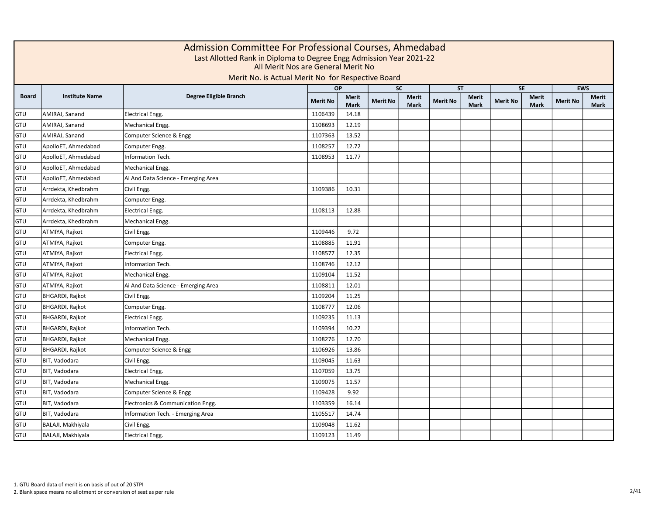|              | Admission Committee For Professional Courses, Ahmedabad<br>Last Allotted Rank in Diploma to Degree Engg Admission Year 2021-22<br>All Merit Nos are General Merit No<br>Merit No. is Actual Merit No for Respective Board<br><b>EWS</b><br><b>OP</b><br><b>SC</b><br><b>ST</b><br><b>SE</b> |                                     |                 |                             |                 |                             |                 |                      |                 |                      |                 |                             |  |  |  |
|--------------|---------------------------------------------------------------------------------------------------------------------------------------------------------------------------------------------------------------------------------------------------------------------------------------------|-------------------------------------|-----------------|-----------------------------|-----------------|-----------------------------|-----------------|----------------------|-----------------|----------------------|-----------------|-----------------------------|--|--|--|
|              |                                                                                                                                                                                                                                                                                             |                                     |                 |                             |                 |                             |                 |                      |                 |                      |                 |                             |  |  |  |
| <b>Board</b> | <b>Institute Name</b>                                                                                                                                                                                                                                                                       | Degree Eligible Branch              | <b>Merit No</b> | <b>Merit</b><br><b>Mark</b> | <b>Merit No</b> | <b>Merit</b><br><b>Mark</b> | <b>Merit No</b> | Merit<br><b>Mark</b> | <b>Merit No</b> | <b>Merit</b><br>Mark | <b>Merit No</b> | <b>Merit</b><br><b>Mark</b> |  |  |  |
| GTU          | AMIRAJ, Sanand                                                                                                                                                                                                                                                                              | <b>Electrical Engg.</b>             | 1106439         | 14.18                       |                 |                             |                 |                      |                 |                      |                 |                             |  |  |  |
| GTU          | AMIRAJ, Sanand                                                                                                                                                                                                                                                                              | Mechanical Engg.                    | 1108693         | 12.19                       |                 |                             |                 |                      |                 |                      |                 |                             |  |  |  |
| GTU          | AMIRAJ, Sanand                                                                                                                                                                                                                                                                              | Computer Science & Engg             | 1107363         | 13.52                       |                 |                             |                 |                      |                 |                      |                 |                             |  |  |  |
| GTU          | ApolloET, Ahmedabad                                                                                                                                                                                                                                                                         | Computer Engg.                      | 1108257         | 12.72                       |                 |                             |                 |                      |                 |                      |                 |                             |  |  |  |
| GTU          | ApolloET, Ahmedabad                                                                                                                                                                                                                                                                         | Information Tech.                   | 1108953         | 11.77                       |                 |                             |                 |                      |                 |                      |                 |                             |  |  |  |
| GTU          | ApolloET, Ahmedabad                                                                                                                                                                                                                                                                         | Mechanical Engg.                    |                 |                             |                 |                             |                 |                      |                 |                      |                 |                             |  |  |  |
| GTU          | ApolloET, Ahmedabad                                                                                                                                                                                                                                                                         | Ai And Data Science - Emerging Area |                 |                             |                 |                             |                 |                      |                 |                      |                 |                             |  |  |  |
| GTU          | Arrdekta, Khedbrahm                                                                                                                                                                                                                                                                         | Civil Engg.                         | 1109386         | 10.31                       |                 |                             |                 |                      |                 |                      |                 |                             |  |  |  |
| GTU          | Arrdekta, Khedbrahm                                                                                                                                                                                                                                                                         | Computer Engg.                      |                 |                             |                 |                             |                 |                      |                 |                      |                 |                             |  |  |  |
| GTU          | Arrdekta, Khedbrahm                                                                                                                                                                                                                                                                         | <b>Electrical Engg.</b>             | 1108113         | 12.88                       |                 |                             |                 |                      |                 |                      |                 |                             |  |  |  |
| GTU          | Arrdekta, Khedbrahm                                                                                                                                                                                                                                                                         | Mechanical Engg.                    |                 |                             |                 |                             |                 |                      |                 |                      |                 |                             |  |  |  |
| GTU          | ATMIYA, Rajkot                                                                                                                                                                                                                                                                              | Civil Engg.                         | 1109446         | 9.72                        |                 |                             |                 |                      |                 |                      |                 |                             |  |  |  |
| GTU          | ATMIYA, Rajkot                                                                                                                                                                                                                                                                              | Computer Engg.                      | 1108885         | 11.91                       |                 |                             |                 |                      |                 |                      |                 |                             |  |  |  |
| GTU          | ATMIYA, Rajkot                                                                                                                                                                                                                                                                              | <b>Electrical Engg.</b>             | 1108577         | 12.35                       |                 |                             |                 |                      |                 |                      |                 |                             |  |  |  |
| GTU          | ATMIYA, Rajkot                                                                                                                                                                                                                                                                              | Information Tech.                   | 1108746         | 12.12                       |                 |                             |                 |                      |                 |                      |                 |                             |  |  |  |
| GTU          | ATMIYA, Rajkot                                                                                                                                                                                                                                                                              | Mechanical Engg.                    | 1109104         | 11.52                       |                 |                             |                 |                      |                 |                      |                 |                             |  |  |  |
| GTU          | ATMIYA, Rajkot                                                                                                                                                                                                                                                                              | Ai And Data Science - Emerging Area | 1108811         | 12.01                       |                 |                             |                 |                      |                 |                      |                 |                             |  |  |  |
| GTU          | BHGARDI, Rajkot                                                                                                                                                                                                                                                                             | Civil Engg.                         | 1109204         | 11.25                       |                 |                             |                 |                      |                 |                      |                 |                             |  |  |  |
| GTU          | <b>BHGARDI, Rajkot</b>                                                                                                                                                                                                                                                                      | Computer Engg.                      | 1108777         | 12.06                       |                 |                             |                 |                      |                 |                      |                 |                             |  |  |  |
| GTU          | BHGARDI, Rajkot                                                                                                                                                                                                                                                                             | <b>Electrical Engg.</b>             | 1109235         | 11.13                       |                 |                             |                 |                      |                 |                      |                 |                             |  |  |  |
| GTU          | BHGARDI, Rajkot                                                                                                                                                                                                                                                                             | Information Tech.                   | 1109394         | 10.22                       |                 |                             |                 |                      |                 |                      |                 |                             |  |  |  |
| GTU          | BHGARDI, Rajkot                                                                                                                                                                                                                                                                             | Mechanical Engg.                    | 1108276         | 12.70                       |                 |                             |                 |                      |                 |                      |                 |                             |  |  |  |
| GTU          | BHGARDI, Rajkot                                                                                                                                                                                                                                                                             | Computer Science & Engg             | 1106926         | 13.86                       |                 |                             |                 |                      |                 |                      |                 |                             |  |  |  |
| GTU          | BIT, Vadodara                                                                                                                                                                                                                                                                               | Civil Engg.                         | 1109045         | 11.63                       |                 |                             |                 |                      |                 |                      |                 |                             |  |  |  |
| GTU          | BIT, Vadodara                                                                                                                                                                                                                                                                               | <b>Electrical Engg.</b>             | 1107059         | 13.75                       |                 |                             |                 |                      |                 |                      |                 |                             |  |  |  |
| GTU          | BIT, Vadodara                                                                                                                                                                                                                                                                               | Mechanical Engg.                    | 1109075         | 11.57                       |                 |                             |                 |                      |                 |                      |                 |                             |  |  |  |
| GTU          | BIT, Vadodara                                                                                                                                                                                                                                                                               | Computer Science & Engg             | 1109428         | 9.92                        |                 |                             |                 |                      |                 |                      |                 |                             |  |  |  |
| GTU          | BIT, Vadodara                                                                                                                                                                                                                                                                               | Electronics & Communication Engg.   | 1103359         | 16.14                       |                 |                             |                 |                      |                 |                      |                 |                             |  |  |  |
| GTU          | BIT, Vadodara                                                                                                                                                                                                                                                                               | Information Tech. - Emerging Area   | 1105517         | 14.74                       |                 |                             |                 |                      |                 |                      |                 |                             |  |  |  |
| GTU          | BALAJI, Makhiyala                                                                                                                                                                                                                                                                           | Civil Engg.                         | 1109048         | 11.62                       |                 |                             |                 |                      |                 |                      |                 |                             |  |  |  |
| GTU          | BALAJI, Makhiyala                                                                                                                                                                                                                                                                           | <b>Electrical Engg.</b>             | 1109123         | 11.49                       |                 |                             |                 |                      |                 |                      |                 |                             |  |  |  |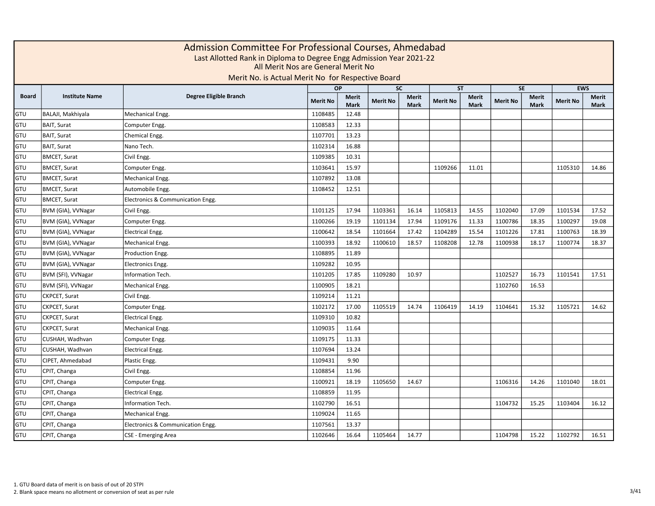|              | Admission Committee For Professional Courses, Ahmedabad<br>Last Allotted Rank in Diploma to Degree Engg Admission Year 2021-22<br>All Merit Nos are General Merit No<br>Merit No. is Actual Merit No for Respective Board<br><b>EWS</b><br><b>OP</b><br><b>SC</b><br><b>SE</b><br><b>ST</b> |                                   |                 |                      |                 |                             |                 |                      |                 |                      |                 |                      |  |  |  |
|--------------|---------------------------------------------------------------------------------------------------------------------------------------------------------------------------------------------------------------------------------------------------------------------------------------------|-----------------------------------|-----------------|----------------------|-----------------|-----------------------------|-----------------|----------------------|-----------------|----------------------|-----------------|----------------------|--|--|--|
|              |                                                                                                                                                                                                                                                                                             |                                   |                 |                      |                 |                             |                 |                      |                 |                      |                 |                      |  |  |  |
| <b>Board</b> | <b>Institute Name</b>                                                                                                                                                                                                                                                                       | Degree Eligible Branch            | <b>Merit No</b> | Merit<br><b>Mark</b> | <b>Merit No</b> | <b>Merit</b><br><b>Mark</b> | <b>Merit No</b> | Merit<br><b>Mark</b> | <b>Merit No</b> | <b>Merit</b><br>Mark | <b>Merit No</b> | Merit<br><b>Mark</b> |  |  |  |
| <b>GTU</b>   | BALAJI, Makhiyala                                                                                                                                                                                                                                                                           | Mechanical Engg.                  | 1108485         | 12.48                |                 |                             |                 |                      |                 |                      |                 |                      |  |  |  |
| <b>GTU</b>   | <b>BAIT, Surat</b>                                                                                                                                                                                                                                                                          | Computer Engg.                    | 1108583         | 12.33                |                 |                             |                 |                      |                 |                      |                 |                      |  |  |  |
| GTU          | <b>BAIT, Surat</b>                                                                                                                                                                                                                                                                          | Chemical Engg.                    | 1107701         | 13.23                |                 |                             |                 |                      |                 |                      |                 |                      |  |  |  |
| GTU          | <b>BAIT, Surat</b>                                                                                                                                                                                                                                                                          | Nano Tech.                        | 1102314         | 16.88                |                 |                             |                 |                      |                 |                      |                 |                      |  |  |  |
| GTU          | <b>BMCET, Surat</b>                                                                                                                                                                                                                                                                         | Civil Engg.                       | 1109385         | 10.31                |                 |                             |                 |                      |                 |                      |                 |                      |  |  |  |
| GTU          | <b>BMCET, Surat</b>                                                                                                                                                                                                                                                                         | Computer Engg.                    | 1103641         | 15.97                |                 |                             | 1109266         | 11.01                |                 |                      | 1105310         | 14.86                |  |  |  |
| GTU          | <b>BMCET, Surat</b>                                                                                                                                                                                                                                                                         | Mechanical Engg.                  | 1107892         | 13.08                |                 |                             |                 |                      |                 |                      |                 |                      |  |  |  |
| GTU          | <b>BMCET, Surat</b>                                                                                                                                                                                                                                                                         | Automobile Engg.                  | 1108452         | 12.51                |                 |                             |                 |                      |                 |                      |                 |                      |  |  |  |
| GTU          | <b>BMCET, Surat</b>                                                                                                                                                                                                                                                                         | Electronics & Communication Engg. |                 |                      |                 |                             |                 |                      |                 |                      |                 |                      |  |  |  |
| GTU          | BVM (GIA), VVNagar                                                                                                                                                                                                                                                                          | Civil Engg.                       | 1101125         | 17.94                | 1103361         | 16.14                       | 1105813         | 14.55                | 1102040         | 17.09                | 1101534         | 17.52                |  |  |  |
| GTU          | BVM (GIA), VVNagar                                                                                                                                                                                                                                                                          | Computer Engg.                    | 1100266         | 19.19                | 1101134         | 17.94                       | 1109176         | 11.33                | 1100786         | 18.35                | 1100297         | 19.08                |  |  |  |
| GTU          | BVM (GIA), VVNagar                                                                                                                                                                                                                                                                          | <b>Electrical Engg.</b>           | 1100642         | 18.54                | 1101664         | 17.42                       | 1104289         | 15.54                | 1101226         | 17.81                | 1100763         | 18.39                |  |  |  |
| GTU          | BVM (GIA), VVNagar                                                                                                                                                                                                                                                                          | Mechanical Engg.                  | 1100393         | 18.92                | 1100610         | 18.57                       | 1108208         | 12.78                | 1100938         | 18.17                | 1100774         | 18.37                |  |  |  |
| GTU          | BVM (GIA), VVNagar                                                                                                                                                                                                                                                                          | Production Engg.                  | 1108895         | 11.89                |                 |                             |                 |                      |                 |                      |                 |                      |  |  |  |
| GTU          | BVM (GIA), VVNagar                                                                                                                                                                                                                                                                          | Electronics Engg.                 | 1109282         | 10.95                |                 |                             |                 |                      |                 |                      |                 |                      |  |  |  |
| GTU          | BVM (SFI), VVNagar                                                                                                                                                                                                                                                                          | Information Tech.                 | 1101205         | 17.85                | 1109280         | 10.97                       |                 |                      | 1102527         | 16.73                | 1101541         | 17.51                |  |  |  |
| GTU          | BVM (SFI), VVNagar                                                                                                                                                                                                                                                                          | Mechanical Engg.                  | 1100905         | 18.21                |                 |                             |                 |                      | 1102760         | 16.53                |                 |                      |  |  |  |
| GTU          | CKPCET, Surat                                                                                                                                                                                                                                                                               | Civil Engg.                       | 1109214         | 11.21                |                 |                             |                 |                      |                 |                      |                 |                      |  |  |  |
| GTU          | CKPCET, Surat                                                                                                                                                                                                                                                                               | Computer Engg.                    | 1102172         | 17.00                | 1105519         | 14.74                       | 1106419         | 14.19                | 1104641         | 15.32                | 1105721         | 14.62                |  |  |  |
| GTU          | CKPCET, Surat                                                                                                                                                                                                                                                                               | <b>Electrical Engg.</b>           | 1109310         | 10.82                |                 |                             |                 |                      |                 |                      |                 |                      |  |  |  |
| GTU          | CKPCET, Surat                                                                                                                                                                                                                                                                               | Mechanical Engg.                  | 1109035         | 11.64                |                 |                             |                 |                      |                 |                      |                 |                      |  |  |  |
| GTU          | CUSHAH, Wadhvan                                                                                                                                                                                                                                                                             | Computer Engg.                    | 1109175         | 11.33                |                 |                             |                 |                      |                 |                      |                 |                      |  |  |  |
| GTU          | CUSHAH, Wadhvan                                                                                                                                                                                                                                                                             | <b>Electrical Engg.</b>           | 1107694         | 13.24                |                 |                             |                 |                      |                 |                      |                 |                      |  |  |  |
| GTU          | CIPET, Ahmedabad                                                                                                                                                                                                                                                                            | Plastic Engg.                     | 1109431         | 9.90                 |                 |                             |                 |                      |                 |                      |                 |                      |  |  |  |
| GTU          | CPIT, Changa                                                                                                                                                                                                                                                                                | Civil Engg.                       | 1108854         | 11.96                |                 |                             |                 |                      |                 |                      |                 |                      |  |  |  |
| GTU          | CPIT, Changa                                                                                                                                                                                                                                                                                | Computer Engg.                    | 1100921         | 18.19                | 1105650         | 14.67                       |                 |                      | 1106316         | 14.26                | 1101040         | 18.01                |  |  |  |
| GTU          | CPIT, Changa                                                                                                                                                                                                                                                                                | <b>Electrical Engg.</b>           | 1108859         | 11.95                |                 |                             |                 |                      |                 |                      |                 |                      |  |  |  |
| GTU          | CPIT, Changa                                                                                                                                                                                                                                                                                | Information Tech.                 | 1102790         | 16.51                |                 |                             |                 |                      | 1104732         | 15.25                | 1103404         | 16.12                |  |  |  |
| GTU          | CPIT, Changa                                                                                                                                                                                                                                                                                | Mechanical Engg.                  | 1109024         | 11.65                |                 |                             |                 |                      |                 |                      |                 |                      |  |  |  |
| GTU          | CPIT, Changa                                                                                                                                                                                                                                                                                | Electronics & Communication Engg. | 1107561         | 13.37                |                 |                             |                 |                      |                 |                      |                 |                      |  |  |  |
| GTU          | CPIT, Changa                                                                                                                                                                                                                                                                                | CSE - Emerging Area               | 1102646         | 16.64                | 1105464         | 14.77                       |                 |                      | 1104798         | 15.22                | 1102792         | 16.51                |  |  |  |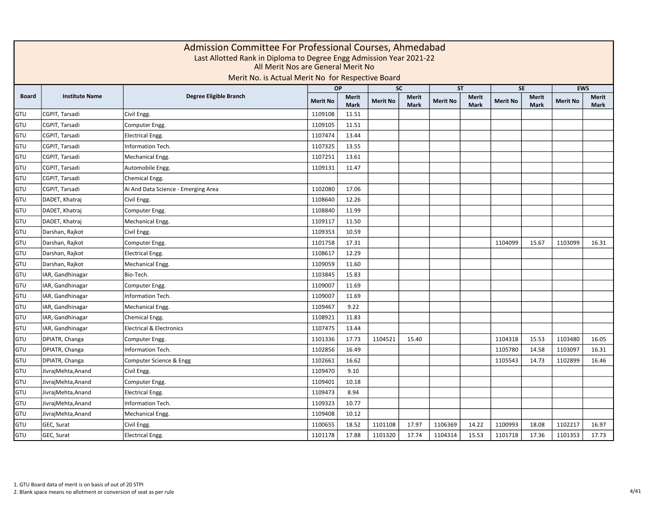|              | Admission Committee For Professional Courses, Ahmedabad<br>Last Allotted Rank in Diploma to Degree Engg Admission Year 2021-22<br>All Merit Nos are General Merit No<br>Merit No. is Actual Merit No for Respective Board<br><b>EWS</b><br><b>OP</b><br><b>SC</b><br><b>SE</b><br><b>ST</b> |                                     |                 |                      |                 |                             |                 |                      |                 |               |                 |               |  |  |  |
|--------------|---------------------------------------------------------------------------------------------------------------------------------------------------------------------------------------------------------------------------------------------------------------------------------------------|-------------------------------------|-----------------|----------------------|-----------------|-----------------------------|-----------------|----------------------|-----------------|---------------|-----------------|---------------|--|--|--|
|              |                                                                                                                                                                                                                                                                                             |                                     |                 |                      |                 |                             |                 |                      |                 |               |                 |               |  |  |  |
| <b>Board</b> | <b>Institute Name</b>                                                                                                                                                                                                                                                                       | Degree Eligible Branch              | <b>Merit No</b> | Merit<br><b>Mark</b> | <b>Merit No</b> | <b>Merit</b><br><b>Mark</b> | <b>Merit No</b> | Merit<br><b>Mark</b> | <b>Merit No</b> | Merit<br>Mark | <b>Merit No</b> | Merit<br>Mark |  |  |  |
| GTU          | CGPIT, Tarsadi                                                                                                                                                                                                                                                                              | Civil Engg.                         | 1109108         | 11.51                |                 |                             |                 |                      |                 |               |                 |               |  |  |  |
| GTU          | CGPIT, Tarsadi                                                                                                                                                                                                                                                                              | Computer Engg.                      | 1109105         | 11.51                |                 |                             |                 |                      |                 |               |                 |               |  |  |  |
| GTU          | CGPIT, Tarsadi                                                                                                                                                                                                                                                                              | <b>Electrical Engg.</b>             | 1107474         | 13.44                |                 |                             |                 |                      |                 |               |                 |               |  |  |  |
| GTU          | CGPIT, Tarsadi                                                                                                                                                                                                                                                                              | Information Tech.                   | 1107325         | 13.55                |                 |                             |                 |                      |                 |               |                 |               |  |  |  |
| GTU          | CGPIT, Tarsadi                                                                                                                                                                                                                                                                              | Mechanical Engg.                    | 1107251         | 13.61                |                 |                             |                 |                      |                 |               |                 |               |  |  |  |
| GTU          | CGPIT, Tarsadi                                                                                                                                                                                                                                                                              | Automobile Engg.                    | 1109131         | 11.47                |                 |                             |                 |                      |                 |               |                 |               |  |  |  |
| GTU          | CGPIT, Tarsadi                                                                                                                                                                                                                                                                              | Chemical Engg.                      |                 |                      |                 |                             |                 |                      |                 |               |                 |               |  |  |  |
| GTU          | CGPIT, Tarsadi                                                                                                                                                                                                                                                                              | Ai And Data Science - Emerging Area | 1102080         | 17.06                |                 |                             |                 |                      |                 |               |                 |               |  |  |  |
| GTU          | DADET, Khatraj                                                                                                                                                                                                                                                                              | Civil Engg.                         | 1108640         | 12.26                |                 |                             |                 |                      |                 |               |                 |               |  |  |  |
| GTU          | DADET, Khatraj                                                                                                                                                                                                                                                                              | Computer Engg.                      | 1108840         | 11.99                |                 |                             |                 |                      |                 |               |                 |               |  |  |  |
| GTU          | DADET, Khatraj                                                                                                                                                                                                                                                                              | Mechanical Engg.                    | 1109117         | 11.50                |                 |                             |                 |                      |                 |               |                 |               |  |  |  |
| GTU          | Darshan, Rajkot                                                                                                                                                                                                                                                                             | Civil Engg.                         | 1109353         | 10.59                |                 |                             |                 |                      |                 |               |                 |               |  |  |  |
| GTU          | Darshan, Rajkot                                                                                                                                                                                                                                                                             | Computer Engg.                      | 1101758         | 17.31                |                 |                             |                 |                      | 1104099         | 15.67         | 1103099         | 16.31         |  |  |  |
| <b>GTU</b>   | Darshan, Rajkot                                                                                                                                                                                                                                                                             | <b>Electrical Engg.</b>             | 1108617         | 12.29                |                 |                             |                 |                      |                 |               |                 |               |  |  |  |
| GTU          | Darshan, Rajkot                                                                                                                                                                                                                                                                             | Mechanical Engg.                    | 1109059         | 11.60                |                 |                             |                 |                      |                 |               |                 |               |  |  |  |
| GTU          | IAR, Gandhinagar                                                                                                                                                                                                                                                                            | Bio-Tech.                           | 1103845         | 15.83                |                 |                             |                 |                      |                 |               |                 |               |  |  |  |
| GTU          | IAR, Gandhinagar                                                                                                                                                                                                                                                                            | Computer Engg.                      | 1109007         | 11.69                |                 |                             |                 |                      |                 |               |                 |               |  |  |  |
| GTU          | IAR, Gandhinagar                                                                                                                                                                                                                                                                            | Information Tech.                   | 1109007         | 11.69                |                 |                             |                 |                      |                 |               |                 |               |  |  |  |
| GTU          | IAR, Gandhinagar                                                                                                                                                                                                                                                                            | Mechanical Engg.                    | 1109467         | 9.22                 |                 |                             |                 |                      |                 |               |                 |               |  |  |  |
| GTU          | IAR, Gandhinagar                                                                                                                                                                                                                                                                            | Chemical Engg.                      | 1108921         | 11.83                |                 |                             |                 |                      |                 |               |                 |               |  |  |  |
| GTU          | IAR, Gandhinagar                                                                                                                                                                                                                                                                            | <b>Electrical &amp; Electronics</b> | 1107475         | 13.44                |                 |                             |                 |                      |                 |               |                 |               |  |  |  |
| GTU          | DPIATR, Changa                                                                                                                                                                                                                                                                              | Computer Engg.                      | 1101336         | 17.73                | 1104521         | 15.40                       |                 |                      | 1104318         | 15.53         | 1103480         | 16.05         |  |  |  |
| GTU          | DPIATR, Changa                                                                                                                                                                                                                                                                              | <b>Information Tech.</b>            | 1102856         | 16.49                |                 |                             |                 |                      | 1105780         | 14.58         | 1103097         | 16.31         |  |  |  |
| GTU          | DPIATR, Changa                                                                                                                                                                                                                                                                              | Computer Science & Engg             | 1102661         | 16.62                |                 |                             |                 |                      | 1105543         | 14.73         | 1102899         | 16.46         |  |  |  |
| GTU          | JivrajMehta, Anand                                                                                                                                                                                                                                                                          | Civil Engg.                         | 1109470         | 9.10                 |                 |                             |                 |                      |                 |               |                 |               |  |  |  |
| GTU          | JivrajMehta, Anand                                                                                                                                                                                                                                                                          | Computer Engg.                      | 1109401         | 10.18                |                 |                             |                 |                      |                 |               |                 |               |  |  |  |
| GTU          | JivrajMehta, Anand                                                                                                                                                                                                                                                                          | Electrical Engg.                    | 1109473         | 8.94                 |                 |                             |                 |                      |                 |               |                 |               |  |  |  |
| GTU          | JivrajMehta, Anand                                                                                                                                                                                                                                                                          | Information Tech.                   | 1109323         | 10.77                |                 |                             |                 |                      |                 |               |                 |               |  |  |  |
| GTU          | JivrajMehta, Anand                                                                                                                                                                                                                                                                          | Mechanical Engg.                    | 1109408         | 10.12                |                 |                             |                 |                      |                 |               |                 |               |  |  |  |
| GTU          | GEC, Surat                                                                                                                                                                                                                                                                                  | Civil Engg.                         | 1100655         | 18.52                | 1101108         | 17.97                       | 1106369         | 14.22                | 1100993         | 18.08         | 1102217         | 16.97         |  |  |  |
| GTU          | GEC, Surat                                                                                                                                                                                                                                                                                  | <b>Electrical Engg.</b>             | 1101178         | 17.88                | 1101320         | 17.74                       | 1104314         | 15.53                | 1101718         | 17.36         | 1101353         | 17.73         |  |  |  |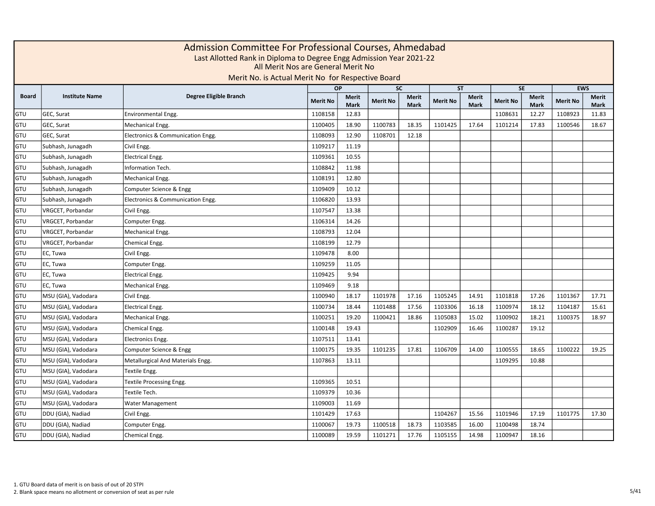|              | Admission Committee For Professional Courses, Ahmedabad<br>Last Allotted Rank in Diploma to Degree Engg Admission Year 2021-22<br>All Merit Nos are General Merit No<br>Merit No. is Actual Merit No for Respective Board<br><b>OP</b><br><b>SC</b><br><b>ST</b><br><b>SE</b><br><b>EWS</b> |                                   |                 |                             |                 |                      |                 |                      |                 |                             |                 |               |  |  |  |
|--------------|---------------------------------------------------------------------------------------------------------------------------------------------------------------------------------------------------------------------------------------------------------------------------------------------|-----------------------------------|-----------------|-----------------------------|-----------------|----------------------|-----------------|----------------------|-----------------|-----------------------------|-----------------|---------------|--|--|--|
|              |                                                                                                                                                                                                                                                                                             |                                   |                 |                             |                 |                      |                 |                      |                 |                             |                 |               |  |  |  |
| <b>Board</b> | <b>Institute Name</b>                                                                                                                                                                                                                                                                       | Degree Eligible Branch            | <b>Merit No</b> | <b>Merit</b><br><b>Mark</b> | <b>Merit No</b> | <b>Merit</b><br>Mark | <b>Merit No</b> | Merit<br><b>Mark</b> | <b>Merit No</b> | <b>Merit</b><br><b>Mark</b> | <b>Merit No</b> | Merit<br>Mark |  |  |  |
| GTU          | GEC, Surat                                                                                                                                                                                                                                                                                  | Environmental Engg.               | 1108158         | 12.83                       |                 |                      |                 |                      | 1108631         | 12.27                       | 1108923         | 11.83         |  |  |  |
| GTU          | GEC, Surat                                                                                                                                                                                                                                                                                  | Mechanical Engg.                  | 1100405         | 18.90                       | 1100783         | 18.35                | 1101425         | 17.64                | 1101214         | 17.83                       | 1100546         | 18.67         |  |  |  |
| GTU          | GEC, Surat                                                                                                                                                                                                                                                                                  | Electronics & Communication Engg. | 1108093         | 12.90                       | 1108701         | 12.18                |                 |                      |                 |                             |                 |               |  |  |  |
| GTU          | Subhash, Junagadh                                                                                                                                                                                                                                                                           | Civil Engg.                       | 1109217         | 11.19                       |                 |                      |                 |                      |                 |                             |                 |               |  |  |  |
| GTU          | Subhash, Junagadh                                                                                                                                                                                                                                                                           | <b>Electrical Engg.</b>           | 1109361         | 10.55                       |                 |                      |                 |                      |                 |                             |                 |               |  |  |  |
| GTU          | Subhash, Junagadh                                                                                                                                                                                                                                                                           | Information Tech.                 | 1108842         | 11.98                       |                 |                      |                 |                      |                 |                             |                 |               |  |  |  |
| GTU          | Subhash, Junagadh                                                                                                                                                                                                                                                                           | Mechanical Engg.                  | 1108191         | 12.80                       |                 |                      |                 |                      |                 |                             |                 |               |  |  |  |
| GTU          | Subhash, Junagadh                                                                                                                                                                                                                                                                           | Computer Science & Engg           | 1109409         | 10.12                       |                 |                      |                 |                      |                 |                             |                 |               |  |  |  |
| GTU          | Subhash, Junagadh                                                                                                                                                                                                                                                                           | Electronics & Communication Engg. | 1106820         | 13.93                       |                 |                      |                 |                      |                 |                             |                 |               |  |  |  |
| GTU          | VRGCET, Porbandar                                                                                                                                                                                                                                                                           | Civil Engg.                       | 1107547         | 13.38                       |                 |                      |                 |                      |                 |                             |                 |               |  |  |  |
| GTU          | VRGCET, Porbandar                                                                                                                                                                                                                                                                           | Computer Engg.                    | 1106314         | 14.26                       |                 |                      |                 |                      |                 |                             |                 |               |  |  |  |
| GTU          | VRGCET, Porbandar                                                                                                                                                                                                                                                                           | Mechanical Engg.                  | 1108793         | 12.04                       |                 |                      |                 |                      |                 |                             |                 |               |  |  |  |
| GTU          | VRGCET, Porbandar                                                                                                                                                                                                                                                                           | Chemical Engg.                    | 1108199         | 12.79                       |                 |                      |                 |                      |                 |                             |                 |               |  |  |  |
| GTU          | EC, Tuwa                                                                                                                                                                                                                                                                                    | Civil Engg.                       | 1109478         | 8.00                        |                 |                      |                 |                      |                 |                             |                 |               |  |  |  |
| GTU          | EC, Tuwa                                                                                                                                                                                                                                                                                    | Computer Engg.                    | 1109259         | 11.05                       |                 |                      |                 |                      |                 |                             |                 |               |  |  |  |
| GTU          | EC, Tuwa                                                                                                                                                                                                                                                                                    | <b>Electrical Engg.</b>           | 1109425         | 9.94                        |                 |                      |                 |                      |                 |                             |                 |               |  |  |  |
| GTU          | EC, Tuwa                                                                                                                                                                                                                                                                                    | Mechanical Engg.                  | 1109469         | 9.18                        |                 |                      |                 |                      |                 |                             |                 |               |  |  |  |
| GTU          | MSU (GIA), Vadodara                                                                                                                                                                                                                                                                         | Civil Engg.                       | 1100940         | 18.17                       | 1101978         | 17.16                | 1105245         | 14.91                | 1101818         | 17.26                       | 1101367         | 17.71         |  |  |  |
| GTU          | MSU (GIA), Vadodara                                                                                                                                                                                                                                                                         | <b>Electrical Engg.</b>           | 1100734         | 18.44                       | 1101488         | 17.56                | 1103306         | 16.18                | 1100974         | 18.12                       | 1104187         | 15.61         |  |  |  |
| GTU          | MSU (GIA), Vadodara                                                                                                                                                                                                                                                                         | Mechanical Engg.                  | 1100251         | 19.20                       | 1100421         | 18.86                | 1105083         | 15.02                | 1100902         | 18.21                       | 1100375         | 18.97         |  |  |  |
| GTU          | MSU (GIA), Vadodara                                                                                                                                                                                                                                                                         | Chemical Engg.                    | 1100148         | 19.43                       |                 |                      | 1102909         | 16.46                | 1100287         | 19.12                       |                 |               |  |  |  |
| GTU          | MSU (GIA), Vadodara                                                                                                                                                                                                                                                                         | <b>Electronics Engg.</b>          | 1107511         | 13.41                       |                 |                      |                 |                      |                 |                             |                 |               |  |  |  |
| GTU          | MSU (GIA), Vadodara                                                                                                                                                                                                                                                                         | Computer Science & Engg           | 1100175         | 19.35                       | 1101235         | 17.81                | 1106709         | 14.00                | 1100555         | 18.65                       | 1100222         | 19.25         |  |  |  |
| GTU          | MSU (GIA), Vadodara                                                                                                                                                                                                                                                                         | Metallurgical And Materials Engg. | 1107863         | 13.11                       |                 |                      |                 |                      | 1109295         | 10.88                       |                 |               |  |  |  |
| GTU          | MSU (GIA), Vadodara                                                                                                                                                                                                                                                                         | Textile Engg.                     |                 |                             |                 |                      |                 |                      |                 |                             |                 |               |  |  |  |
| GTU          | MSU (GIA), Vadodara                                                                                                                                                                                                                                                                         | Textile Processing Engg.          | 1109365         | 10.51                       |                 |                      |                 |                      |                 |                             |                 |               |  |  |  |
| GTU          | MSU (GIA), Vadodara                                                                                                                                                                                                                                                                         | Textile Tech.                     | 1109379         | 10.36                       |                 |                      |                 |                      |                 |                             |                 |               |  |  |  |
| GTU          | MSU (GIA), Vadodara                                                                                                                                                                                                                                                                         | Water Management                  | 1109003         | 11.69                       |                 |                      |                 |                      |                 |                             |                 |               |  |  |  |
| GTU          | DDU (GIA), Nadiad                                                                                                                                                                                                                                                                           | Civil Engg.                       | 1101429         | 17.63                       |                 |                      | 1104267         | 15.56                | 1101946         | 17.19                       | 1101775         | 17.30         |  |  |  |
| GTU          | DDU (GIA), Nadiad                                                                                                                                                                                                                                                                           | Computer Engg.                    | 1100067         | 19.73                       | 1100518         | 18.73                | 1103585         | 16.00                | 1100498         | 18.74                       |                 |               |  |  |  |
| GTU          | DDU (GIA), Nadiad                                                                                                                                                                                                                                                                           | Chemical Engg.                    | 1100089         | 19.59                       | 1101271         | 17.76                | 1105155         | 14.98                | 1100947         | 18.16                       |                 |               |  |  |  |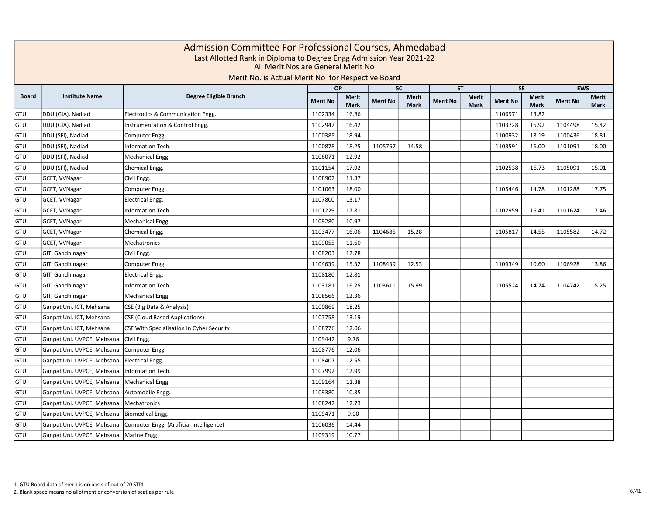|              | Admission Committee For Professional Courses, Ahmedabad<br>Last Allotted Rank in Diploma to Degree Engg Admission Year 2021-22<br>All Merit Nos are General Merit No<br>Merit No. is Actual Merit No for Respective Board<br>$\overline{SC}$<br>SE<br><b>EWS</b><br>OP<br><b>ST</b> |                                           |                 |                             |                 |                             |                 |                             |                 |                             |                 |                      |  |  |  |
|--------------|-------------------------------------------------------------------------------------------------------------------------------------------------------------------------------------------------------------------------------------------------------------------------------------|-------------------------------------------|-----------------|-----------------------------|-----------------|-----------------------------|-----------------|-----------------------------|-----------------|-----------------------------|-----------------|----------------------|--|--|--|
|              |                                                                                                                                                                                                                                                                                     |                                           |                 |                             |                 |                             |                 |                             |                 |                             |                 |                      |  |  |  |
| <b>Board</b> | <b>Institute Name</b>                                                                                                                                                                                                                                                               | Degree Eligible Branch                    | <b>Merit No</b> | <b>Merit</b><br><b>Mark</b> | <b>Merit No</b> | <b>Merit</b><br><b>Mark</b> | <b>Merit No</b> | <b>Merit</b><br><b>Mark</b> | <b>Merit No</b> | <b>Merit</b><br><b>Mark</b> | <b>Merit No</b> | <b>Merit</b><br>Mark |  |  |  |
| GTU          | DDU (GIA), Nadiad                                                                                                                                                                                                                                                                   | Electronics & Communication Engg.         | 1102334         | 16.86                       |                 |                             |                 |                             | 1106971         | 13.82                       |                 |                      |  |  |  |
| GTU          | DDU (GIA), Nadiad                                                                                                                                                                                                                                                                   | Instrumentation & Control Engg.           | 1102942         | 16.42                       |                 |                             |                 |                             | 1103728         | 15.92                       | 1104498         | 15.42                |  |  |  |
| GTU          | DDU (SFI), Nadiad                                                                                                                                                                                                                                                                   | Computer Engg.                            | 1100385         | 18.94                       |                 |                             |                 |                             | 1100932         | 18.19                       | 1100436         | 18.81                |  |  |  |
| GTU          | DDU (SFI), Nadiad                                                                                                                                                                                                                                                                   | Information Tech.                         | 1100878         | 18.25                       | 1105767         | 14.58                       |                 |                             | 1103591         | 16.00                       | 1101091         | 18.00                |  |  |  |
| GTU          | DDU (SFI), Nadiad                                                                                                                                                                                                                                                                   | Mechanical Engg.                          | 1108071         | 12.92                       |                 |                             |                 |                             |                 |                             |                 |                      |  |  |  |
| GTU          | DDU (SFI), Nadiad                                                                                                                                                                                                                                                                   | Chemical Engg.                            | 1101154         | 17.92                       |                 |                             |                 |                             | 1102538         | 16.73                       | 1105091         | 15.01                |  |  |  |
| GTU          | GCET, VVNagar                                                                                                                                                                                                                                                                       | Civil Engg.                               | 1108907         | 11.87                       |                 |                             |                 |                             |                 |                             |                 |                      |  |  |  |
| GTU          | GCET, VVNagar                                                                                                                                                                                                                                                                       | Computer Engg.                            | 1101063         | 18.00                       |                 |                             |                 |                             | 1105446         | 14.78                       | 1101288         | 17.75                |  |  |  |
| GTU          | GCET, VVNagar                                                                                                                                                                                                                                                                       | <b>Electrical Engg.</b>                   | 1107800         | 13.17                       |                 |                             |                 |                             |                 |                             |                 |                      |  |  |  |
| GTU          | GCET, VVNagar                                                                                                                                                                                                                                                                       | Information Tech.                         | 1101229         | 17.81                       |                 |                             |                 |                             | 1102959         | 16.41                       | 1101624         | 17.46                |  |  |  |
| GTU          | GCET, VVNagar                                                                                                                                                                                                                                                                       | Mechanical Engg.                          | 1109280         | 10.97                       |                 |                             |                 |                             |                 |                             |                 |                      |  |  |  |
| GTU          | GCET, VVNagar                                                                                                                                                                                                                                                                       | Chemical Engg.                            | 1103477         | 16.06                       | 1104685         | 15.28                       |                 |                             | 1105817         | 14.55                       | 1105582         | 14.72                |  |  |  |
| GTU          | GCET, VVNagar                                                                                                                                                                                                                                                                       | Mechatronics                              | 1109055         | 11.60                       |                 |                             |                 |                             |                 |                             |                 |                      |  |  |  |
| GTU          | GIT, Gandhinagar                                                                                                                                                                                                                                                                    | Civil Engg.                               | 1108203         | 12.78                       |                 |                             |                 |                             |                 |                             |                 |                      |  |  |  |
| GTU          | GIT, Gandhinagar                                                                                                                                                                                                                                                                    | Computer Engg.                            | 1104639         | 15.32                       | 1108439         | 12.53                       |                 |                             | 1109349         | 10.60                       | 1106928         | 13.86                |  |  |  |
| GTU          | GIT, Gandhinagar                                                                                                                                                                                                                                                                    | <b>Electrical Engg.</b>                   | 1108180         | 12.81                       |                 |                             |                 |                             |                 |                             |                 |                      |  |  |  |
| GTU          | GIT, Gandhinagar                                                                                                                                                                                                                                                                    | Information Tech.                         | 1103181         | 16.25                       | 1103611         | 15.99                       |                 |                             | 1105524         | 14.74                       | 1104742         | 15.25                |  |  |  |
| GTU          | GIT, Gandhinagar                                                                                                                                                                                                                                                                    | Mechanical Engg.                          | 1108566         | 12.36                       |                 |                             |                 |                             |                 |                             |                 |                      |  |  |  |
| GTU          | Ganpat Uni. ICT, Mehsana                                                                                                                                                                                                                                                            | CSE (Big Data & Analysis)                 | 1100869         | 18.25                       |                 |                             |                 |                             |                 |                             |                 |                      |  |  |  |
| GTU          | Ganpat Uni. ICT, Mehsana                                                                                                                                                                                                                                                            | <b>CSE (Cloud Based Applications)</b>     | 1107758         | 13.19                       |                 |                             |                 |                             |                 |                             |                 |                      |  |  |  |
| GTU          | Ganpat Uni. ICT, Mehsana                                                                                                                                                                                                                                                            | CSE With Specialisation In Cyber Security | 1108776         | 12.06                       |                 |                             |                 |                             |                 |                             |                 |                      |  |  |  |
| GTU          | Ganpat Uni. UVPCE, Mehsana                                                                                                                                                                                                                                                          | Civil Engg.                               | 1109442         | 9.76                        |                 |                             |                 |                             |                 |                             |                 |                      |  |  |  |
| GTU          | Ganpat Uni. UVPCE, Mehsana                                                                                                                                                                                                                                                          | Computer Engg.                            | 1108776         | 12.06                       |                 |                             |                 |                             |                 |                             |                 |                      |  |  |  |
| GTU          | Ganpat Uni. UVPCE, Mehsana                                                                                                                                                                                                                                                          | Electrical Engg.                          | 1108407         | 12.55                       |                 |                             |                 |                             |                 |                             |                 |                      |  |  |  |
| GTU          | Ganpat Uni. UVPCE, Mehsana                                                                                                                                                                                                                                                          | Information Tech.                         | 1107992         | 12.99                       |                 |                             |                 |                             |                 |                             |                 |                      |  |  |  |
| GTU          | Ganpat Uni. UVPCE, Mehsana                                                                                                                                                                                                                                                          | Mechanical Engg.                          | 1109164         | 11.38                       |                 |                             |                 |                             |                 |                             |                 |                      |  |  |  |
| GTU          | Ganpat Uni. UVPCE, Mehsana                                                                                                                                                                                                                                                          | Automobile Engg.                          | 1109380         | 10.35                       |                 |                             |                 |                             |                 |                             |                 |                      |  |  |  |
| GTU          | Ganpat Uni. UVPCE, Mehsana                                                                                                                                                                                                                                                          | Mechatronics                              | 1108242         | 12.73                       |                 |                             |                 |                             |                 |                             |                 |                      |  |  |  |
| GTU          | Ganpat Uni. UVPCE, Mehsana                                                                                                                                                                                                                                                          | Biomedical Engg.                          | 1109471         | 9.00                        |                 |                             |                 |                             |                 |                             |                 |                      |  |  |  |
| GTU          | Ganpat Uni. UVPCE, Mehsana                                                                                                                                                                                                                                                          | Computer Engg. (Artificial Intelligence)  | 1106036         | 14.44                       |                 |                             |                 |                             |                 |                             |                 |                      |  |  |  |
| GTU          | Ganpat Uni. UVPCE, Mehsana                                                                                                                                                                                                                                                          | Marine Engg.                              | 1109319         | 10.77                       |                 |                             |                 |                             |                 |                             |                 |                      |  |  |  |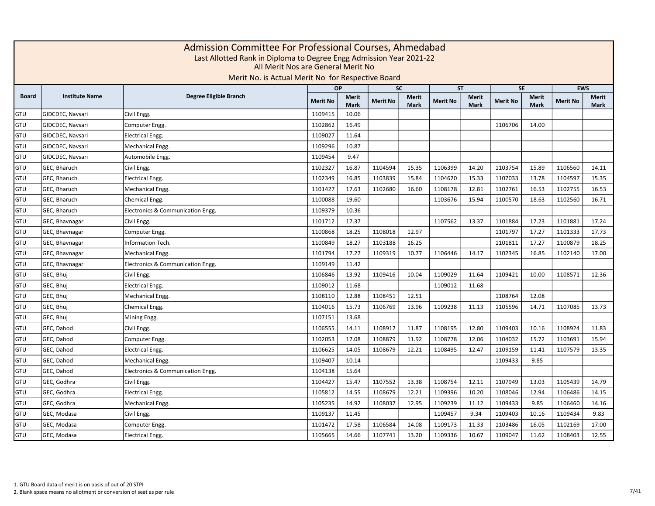|       | Admission Committee For Professional Courses, Ahmedabad<br>Last Allotted Rank in Diploma to Degree Engg Admission Year 2021-22<br>All Merit Nos are General Merit No<br>Merit No. is Actual Merit No for Respective Board<br><b>EWS</b><br>OP<br><b>SC</b><br><b>ST</b><br><b>SE</b> |                                   |                 |                             |                 |                             |                 |                             |                 |                             |                 |                             |  |  |  |
|-------|--------------------------------------------------------------------------------------------------------------------------------------------------------------------------------------------------------------------------------------------------------------------------------------|-----------------------------------|-----------------|-----------------------------|-----------------|-----------------------------|-----------------|-----------------------------|-----------------|-----------------------------|-----------------|-----------------------------|--|--|--|
|       |                                                                                                                                                                                                                                                                                      |                                   |                 |                             |                 |                             |                 |                             |                 |                             |                 |                             |  |  |  |
| Board | <b>Institute Name</b>                                                                                                                                                                                                                                                                | Degree Eligible Branch            | <b>Merit No</b> | <b>Merit</b><br><b>Mark</b> | <b>Merit No</b> | <b>Merit</b><br><b>Mark</b> | <b>Merit No</b> | <b>Merit</b><br><b>Mark</b> | <b>Merit No</b> | <b>Merit</b><br><b>Mark</b> | <b>Merit No</b> | <b>Merit</b><br><b>Mark</b> |  |  |  |
| GTU   | GIDCDEC, Navsari                                                                                                                                                                                                                                                                     | Civil Engg.                       | 1109415         | 10.06                       |                 |                             |                 |                             |                 |                             |                 |                             |  |  |  |
| GTU   | GIDCDEC, Navsari                                                                                                                                                                                                                                                                     | Computer Engg.                    | 1102862         | 16.49                       |                 |                             |                 |                             | 1106706         | 14.00                       |                 |                             |  |  |  |
| GTU   | GIDCDEC, Navsari                                                                                                                                                                                                                                                                     | <b>Electrical Engg.</b>           | 1109027         | 11.64                       |                 |                             |                 |                             |                 |                             |                 |                             |  |  |  |
| GTU   | GIDCDEC, Navsari                                                                                                                                                                                                                                                                     | Mechanical Engg.                  | 1109296         | 10.87                       |                 |                             |                 |                             |                 |                             |                 |                             |  |  |  |
| GTU   | GIDCDEC, Navsari                                                                                                                                                                                                                                                                     | Automobile Engg.                  | 1109454         | 9.47                        |                 |                             |                 |                             |                 |                             |                 |                             |  |  |  |
| GTU   | GEC, Bharuch                                                                                                                                                                                                                                                                         | Civil Engg.                       | 1102327         | 16.87                       | 1104594         | 15.35                       | 1106399         | 14.20                       | 1103754         | 15.89                       | 1106560         | 14.11                       |  |  |  |
| GTU   | GEC, Bharuch                                                                                                                                                                                                                                                                         | <b>Electrical Engg.</b>           | 1102349         | 16.85                       | 1103839         | 15.84                       | 1104620         | 15.33                       | 1107033         | 13.78                       | 1104597         | 15.35                       |  |  |  |
| GTU   | GEC, Bharuch                                                                                                                                                                                                                                                                         | Mechanical Engg.                  | 1101427         | 17.63                       | 1102680         | 16.60                       | 1108178         | 12.81                       | 1102761         | 16.53                       | 1102755         | 16.53                       |  |  |  |
| GTU   | GEC, Bharuch                                                                                                                                                                                                                                                                         | Chemical Engg.                    | 1100088         | 19.60                       |                 |                             | 1103676         | 15.94                       | 1100570         | 18.63                       | 1102560         | 16.71                       |  |  |  |
| GTU   | GEC, Bharuch                                                                                                                                                                                                                                                                         | Electronics & Communication Engg. | 1109379         | 10.36                       |                 |                             |                 |                             |                 |                             |                 |                             |  |  |  |
| GTU   | GEC, Bhavnagar                                                                                                                                                                                                                                                                       | Civil Engg.                       | 1101712         | 17.37                       |                 |                             | 1107562         | 13.37                       | 1101884         | 17.23                       | 1101881         | 17.24                       |  |  |  |
| GTU   | GEC, Bhavnagar                                                                                                                                                                                                                                                                       | Computer Engg.                    | 1100868         | 18.25                       | 1108018         | 12.97                       |                 |                             | 1101797         | 17.27                       | 1101333         | 17.73                       |  |  |  |
| GTU   | GEC, Bhavnagar                                                                                                                                                                                                                                                                       | Information Tech.                 | 1100849         | 18.27                       | 1103188         | 16.25                       |                 |                             | 1101811         | 17.27                       | 1100879         | 18.25                       |  |  |  |
| GTU   | GEC, Bhavnagar                                                                                                                                                                                                                                                                       | Mechanical Engg.                  | 1101794         | 17.27                       | 1109319         | 10.77                       | 1106446         | 14.17                       | 1102345         | 16.85                       | 1102140         | 17.00                       |  |  |  |
| GTU   | GEC, Bhavnagar                                                                                                                                                                                                                                                                       | Electronics & Communication Engg. | 1109149         | 11.42                       |                 |                             |                 |                             |                 |                             |                 |                             |  |  |  |
| GTU   | GEC, Bhuj                                                                                                                                                                                                                                                                            | Civil Engg.                       | 1106846         | 13.92                       | 1109416         | 10.04                       | 1109029         | 11.64                       | 1109421         | 10.00                       | 1108571         | 12.36                       |  |  |  |
| GTU   | GEC, Bhui                                                                                                                                                                                                                                                                            | <b>Electrical Engg.</b>           | 1109012         | 11.68                       |                 |                             | 1109012         | 11.68                       |                 |                             |                 |                             |  |  |  |
| GTU   | GEC, Bhuj                                                                                                                                                                                                                                                                            | Mechanical Engg.                  | 1108110         | 12.88                       | 1108451         | 12.51                       |                 |                             | 1108764         | 12.08                       |                 |                             |  |  |  |
| GTU   | GEC, Bhuj                                                                                                                                                                                                                                                                            | Chemical Engg.                    | 1104016         | 15.73                       | 1106769         | 13.96                       | 1109238         | 11.13                       | 1105596         | 14.71                       | 1107085         | 13.73                       |  |  |  |
| GTU   | GEC, Bhuj                                                                                                                                                                                                                                                                            | Mining Engg.                      | 1107151         | 13.68                       |                 |                             |                 |                             |                 |                             |                 |                             |  |  |  |
| GTU   | GEC, Dahod                                                                                                                                                                                                                                                                           | Civil Engg.                       | 1106555         | 14.11                       | 1108912         | 11.87                       | 1108195         | 12.80                       | 1109403         | 10.16                       | 1108924         | 11.83                       |  |  |  |
| GTU   | GEC, Dahod                                                                                                                                                                                                                                                                           | Computer Engg.                    | 1102053         | 17.08                       | 1108879         | 11.92                       | 1108778         | 12.06                       | 1104032         | 15.72                       | 1103691         | 15.94                       |  |  |  |
| GTU   | GEC, Dahod                                                                                                                                                                                                                                                                           | <b>Electrical Engg.</b>           | 1106625         | 14.05                       | 1108679         | 12.21                       | 1108495         | 12.47                       | 1109159         | 11.41                       | 1107579         | 13.35                       |  |  |  |
| GTU   | GEC, Dahod                                                                                                                                                                                                                                                                           | Mechanical Engg.                  | 1109407         | 10.14                       |                 |                             |                 |                             | 1109433         | 9.85                        |                 |                             |  |  |  |
| GTU   | GEC, Dahod                                                                                                                                                                                                                                                                           | Electronics & Communication Engg. | 1104138         | 15.64                       |                 |                             |                 |                             |                 |                             |                 |                             |  |  |  |
| GTU   | GEC, Godhra                                                                                                                                                                                                                                                                          | Civil Engg.                       | 1104427         | 15.47                       | 1107552         | 13.38                       | 1108754         | 12.11                       | 1107949         | 13.03                       | 1105439         | 14.79                       |  |  |  |
| GTU   | GEC, Godhra                                                                                                                                                                                                                                                                          | <b>Electrical Engg.</b>           | 1105812         | 14.55                       | 1108679         | 12.21                       | 1109396         | 10.20                       | 1108046         | 12.94                       | 1106486         | 14.15                       |  |  |  |
| GTU   | GEC, Godhra                                                                                                                                                                                                                                                                          | Mechanical Engg.                  | 1105235         | 14.92                       | 1108037         | 12.95                       | 1109239         | 11.12                       | 1109433         | 9.85                        | 1106460         | 14.16                       |  |  |  |
| GTU   | GEC, Modasa                                                                                                                                                                                                                                                                          | Civil Engg.                       | 1109137         | 11.45                       |                 |                             | 1109457         | 9.34                        | 1109403         | 10.16                       | 1109434         | 9.83                        |  |  |  |
| GTU   | GEC, Modasa                                                                                                                                                                                                                                                                          | Computer Engg.                    | 1101472         | 17.58                       | 1106584         | 14.08                       | 1109173         | 11.33                       | 1103486         | 16.05                       | 1102169         | 17.00                       |  |  |  |
| GTU   | GEC, Modasa                                                                                                                                                                                                                                                                          | <b>Electrical Engg.</b>           | 1105665         | 14.66                       | 1107741         | 13.20                       | 1109336         | 10.67                       | 1109047         | 11.62                       | 1108403         | 12.55                       |  |  |  |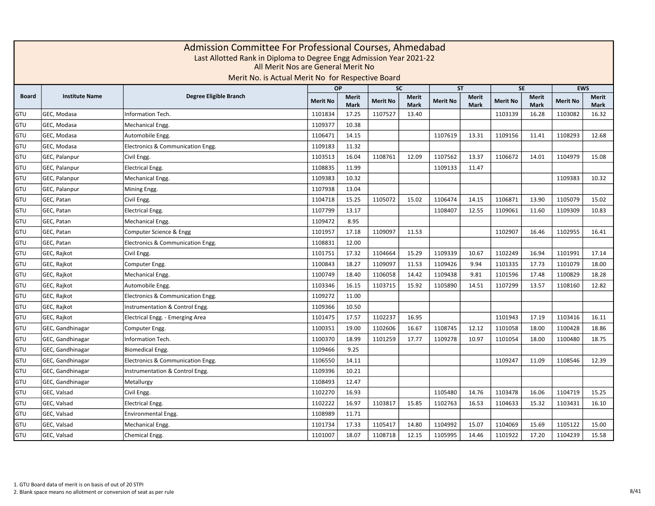|              | Admission Committee For Professional Courses, Ahmedabad<br>Last Allotted Rank in Diploma to Degree Engg Admission Year 2021-22<br>All Merit Nos are General Merit No<br>Merit No. is Actual Merit No for Respective Board<br><b>EWS</b><br><b>OP</b><br><b>SC</b><br><b>ST</b><br><b>SE</b> |                                   |                 |                             |                 |                             |                 |                             |                 |                             |                 |                             |  |  |  |
|--------------|---------------------------------------------------------------------------------------------------------------------------------------------------------------------------------------------------------------------------------------------------------------------------------------------|-----------------------------------|-----------------|-----------------------------|-----------------|-----------------------------|-----------------|-----------------------------|-----------------|-----------------------------|-----------------|-----------------------------|--|--|--|
|              |                                                                                                                                                                                                                                                                                             |                                   |                 |                             |                 |                             |                 |                             |                 |                             |                 |                             |  |  |  |
| <b>Board</b> | <b>Institute Name</b>                                                                                                                                                                                                                                                                       | Degree Eligible Branch            | <b>Merit No</b> | <b>Merit</b><br><b>Mark</b> | <b>Merit No</b> | <b>Merit</b><br><b>Mark</b> | <b>Merit No</b> | <b>Merit</b><br><b>Mark</b> | <b>Merit No</b> | <b>Merit</b><br><b>Mark</b> | <b>Merit No</b> | <b>Merit</b><br><b>Mark</b> |  |  |  |
| GTU          | GEC, Modasa                                                                                                                                                                                                                                                                                 | Information Tech.                 | 1101834         | 17.25                       | 1107527         | 13.40                       |                 |                             | 1103139         | 16.28                       | 1103082         | 16.32                       |  |  |  |
| GTU          | GEC, Modasa                                                                                                                                                                                                                                                                                 | Mechanical Engg.                  | 1109377         | 10.38                       |                 |                             |                 |                             |                 |                             |                 |                             |  |  |  |
| GTU          | GEC, Modasa                                                                                                                                                                                                                                                                                 | Automobile Engg.                  | 1106471         | 14.15                       |                 |                             | 1107619         | 13.31                       | 1109156         | 11.41                       | 1108293         | 12.68                       |  |  |  |
| GTU          | GEC, Modasa                                                                                                                                                                                                                                                                                 | Electronics & Communication Engg. | 1109183         | 11.32                       |                 |                             |                 |                             |                 |                             |                 |                             |  |  |  |
| GTU          | GEC, Palanpur                                                                                                                                                                                                                                                                               | Civil Engg                        | 1103513         | 16.04                       | 1108761         | 12.09                       | 1107562         | 13.37                       | 1106672         | 14.01                       | 1104979         | 15.08                       |  |  |  |
| GTU          | GEC, Palanpur                                                                                                                                                                                                                                                                               | <b>Electrical Engg.</b>           | 1108835         | 11.99                       |                 |                             | 1109133         | 11.47                       |                 |                             |                 |                             |  |  |  |
| GTU          | GEC, Palanpur                                                                                                                                                                                                                                                                               | Mechanical Engg.                  | 1109383         | 10.32                       |                 |                             |                 |                             |                 |                             | 1109383         | 10.32                       |  |  |  |
| GTU          | GEC, Palanpur                                                                                                                                                                                                                                                                               | Mining Engg.                      | 1107938         | 13.04                       |                 |                             |                 |                             |                 |                             |                 |                             |  |  |  |
| GTU          | GEC, Patan                                                                                                                                                                                                                                                                                  | Civil Engg.                       | 1104718         | 15.25                       | 1105072         | 15.02                       | 1106474         | 14.15                       | 1106871         | 13.90                       | 1105079         | 15.02                       |  |  |  |
| GTU          | GEC, Patan                                                                                                                                                                                                                                                                                  | <b>Electrical Engg.</b>           | 1107799         | 13.17                       |                 |                             | 1108407         | 12.55                       | 1109061         | 11.60                       | 1109309         | 10.83                       |  |  |  |
| GTU          | GEC, Patan                                                                                                                                                                                                                                                                                  | Mechanical Engg.                  | 1109472         | 8.95                        |                 |                             |                 |                             |                 |                             |                 |                             |  |  |  |
| GTU          | GEC, Patan                                                                                                                                                                                                                                                                                  | Computer Science & Engg           | 1101957         | 17.18                       | 1109097         | 11.53                       |                 |                             | 1102907         | 16.46                       | 1102955         | 16.41                       |  |  |  |
| GTU          | GEC, Patan                                                                                                                                                                                                                                                                                  | Electronics & Communication Engg. | 1108831         | 12.00                       |                 |                             |                 |                             |                 |                             |                 |                             |  |  |  |
| GTU          | GEC, Rajkot                                                                                                                                                                                                                                                                                 | Civil Engg.                       | 1101751         | 17.32                       | 1104664         | 15.29                       | 1109339         | 10.67                       | 1102249         | 16.94                       | 1101991         | 17.14                       |  |  |  |
| GTU          | GEC, Rajkot                                                                                                                                                                                                                                                                                 | Computer Engg.                    | 1100843         | 18.27                       | 1109097         | 11.53                       | 1109426         | 9.94                        | 1101335         | 17.73                       | 1101079         | 18.00                       |  |  |  |
| GTU          | GEC, Rajkot                                                                                                                                                                                                                                                                                 | Mechanical Engg.                  | 1100749         | 18.40                       | 1106058         | 14.42                       | 1109438         | 9.81                        | 1101596         | 17.48                       | 1100829         | 18.28                       |  |  |  |
| GTU          | GEC, Rajkot                                                                                                                                                                                                                                                                                 | Automobile Engg.                  | 1103346         | 16.15                       | 1103715         | 15.92                       | 1105890         | 14.51                       | 1107299         | 13.57                       | 1108160         | 12.82                       |  |  |  |
| GTU          | GEC, Rajkot                                                                                                                                                                                                                                                                                 | Electronics & Communication Engg. | 1109272         | 11.00                       |                 |                             |                 |                             |                 |                             |                 |                             |  |  |  |
| GTU          | GEC, Rajkot                                                                                                                                                                                                                                                                                 | Instrumentation & Control Engg.   | 1109366         | 10.50                       |                 |                             |                 |                             |                 |                             |                 |                             |  |  |  |
| GTU          | GEC, Rajkot                                                                                                                                                                                                                                                                                 | Electrical Engg. - Emerging Area  | 1101475         | 17.57                       | 1102237         | 16.95                       |                 |                             | 1101943         | 17.19                       | 1103416         | 16.11                       |  |  |  |
| GTU          | GEC, Gandhinagar                                                                                                                                                                                                                                                                            | Computer Engg.                    | 1100351         | 19.00                       | 1102606         | 16.67                       | 1108745         | 12.12                       | 1101058         | 18.00                       | 1100428         | 18.86                       |  |  |  |
| GTU          | GEC, Gandhinagar                                                                                                                                                                                                                                                                            | Information Tech.                 | 1100370         | 18.99                       | 1101259         | 17.77                       | 1109278         | 10.97                       | 1101054         | 18.00                       | 1100480         | 18.75                       |  |  |  |
| GTU          | GEC, Gandhinagar                                                                                                                                                                                                                                                                            | Biomedical Engg.                  | 1109466         | 9.25                        |                 |                             |                 |                             |                 |                             |                 |                             |  |  |  |
| GTU          | GEC, Gandhinagar                                                                                                                                                                                                                                                                            | Electronics & Communication Engg. | 1106550         | 14.11                       |                 |                             |                 |                             | 1109247         | 11.09                       | 1108546         | 12.39                       |  |  |  |
| GTU          | GEC, Gandhinagar                                                                                                                                                                                                                                                                            | Instrumentation & Control Engg.   | 1109396         | 10.21                       |                 |                             |                 |                             |                 |                             |                 |                             |  |  |  |
| GTU          | GEC, Gandhinagar                                                                                                                                                                                                                                                                            | Metallurgy                        | 1108493         | 12.47                       |                 |                             |                 |                             |                 |                             |                 |                             |  |  |  |
| GTU          | GEC, Valsad                                                                                                                                                                                                                                                                                 | Civil Engg.                       | 1102270         | 16.93                       |                 |                             | 1105480         | 14.76                       | 1103478         | 16.06                       | 1104719         | 15.25                       |  |  |  |
| GTU          | GEC, Valsad                                                                                                                                                                                                                                                                                 | <b>Electrical Engg.</b>           | 1102222         | 16.97                       | 1103817         | 15.85                       | 1102763         | 16.53                       | 1104633         | 15.32                       | 1103431         | 16.10                       |  |  |  |
| GTU          | GEC, Valsad                                                                                                                                                                                                                                                                                 | <b>Environmental Engg.</b>        | 1108989         | 11.71                       |                 |                             |                 |                             |                 |                             |                 |                             |  |  |  |
| GTU          | GEC, Valsad                                                                                                                                                                                                                                                                                 | Mechanical Engg.                  | 1101734         | 17.33                       | 1105417         | 14.80                       | 1104992         | 15.07                       | 1104069         | 15.69                       | 1105122         | 15.00                       |  |  |  |
| GTU          | GEC, Valsad                                                                                                                                                                                                                                                                                 | Chemical Engg.                    | 1101007         | 18.07                       | 1108718         | 12.15                       | 1105995         | 14.46                       | 1101922         | 17.20                       | 1104239         | 15.58                       |  |  |  |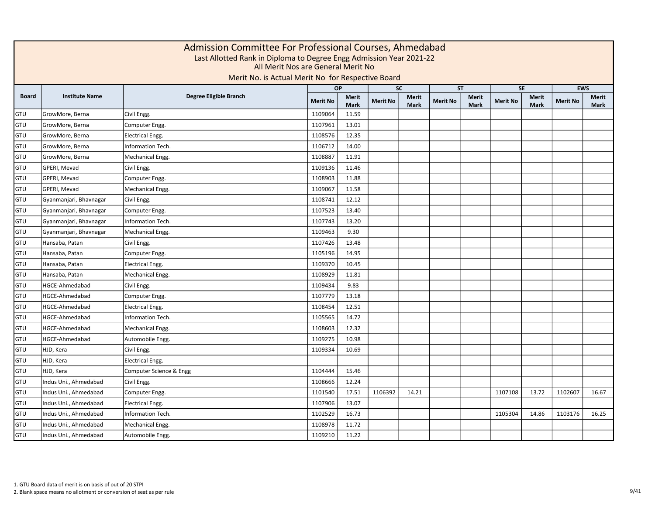|              |                        | Admission Committee For Professional Courses, Ahmedabad<br>Last Allotted Rank in Diploma to Degree Engg Admission Year 2021-22<br>All Merit Nos are General Merit No<br>Merit No. is Actual Merit No for Respective Board |                 |                             |                 |                             |                 |                             |                 |                             |                 |                             |
|--------------|------------------------|---------------------------------------------------------------------------------------------------------------------------------------------------------------------------------------------------------------------------|-----------------|-----------------------------|-----------------|-----------------------------|-----------------|-----------------------------|-----------------|-----------------------------|-----------------|-----------------------------|
|              |                        |                                                                                                                                                                                                                           |                 | <b>OP</b>                   | <b>SC</b>       |                             | <b>ST</b>       |                             |                 | <b>SE</b>                   | <b>EWS</b>      |                             |
| <b>Board</b> | <b>Institute Name</b>  | Degree Eligible Branch                                                                                                                                                                                                    | <b>Merit No</b> | <b>Merit</b><br><b>Mark</b> | <b>Merit No</b> | <b>Merit</b><br><b>Mark</b> | <b>Merit No</b> | <b>Merit</b><br><b>Mark</b> | <b>Merit No</b> | <b>Merit</b><br><b>Mark</b> | <b>Merit No</b> | <b>Merit</b><br><b>Mark</b> |
| GTU          | GrowMore, Berna        | Civil Engg.                                                                                                                                                                                                               | 1109064         | 11.59                       |                 |                             |                 |                             |                 |                             |                 |                             |
| GTU          | GrowMore, Berna        | Computer Engg.                                                                                                                                                                                                            | 1107961         | 13.01                       |                 |                             |                 |                             |                 |                             |                 |                             |
| GTU          | GrowMore, Berna        | <b>Electrical Engg.</b>                                                                                                                                                                                                   | 1108576         | 12.35                       |                 |                             |                 |                             |                 |                             |                 |                             |
| GTU          | GrowMore, Berna        | Information Tech.                                                                                                                                                                                                         | 1106712         | 14.00                       |                 |                             |                 |                             |                 |                             |                 |                             |
| GTU          | GrowMore, Berna        | Mechanical Engg.                                                                                                                                                                                                          | 1108887         | 11.91                       |                 |                             |                 |                             |                 |                             |                 |                             |
| GTU          | GPERI, Mevad           | Civil Engg.                                                                                                                                                                                                               | 1109136         | 11.46                       |                 |                             |                 |                             |                 |                             |                 |                             |
| GTU          | GPERI, Mevad           | Computer Engg.                                                                                                                                                                                                            | 1108903         | 11.88                       |                 |                             |                 |                             |                 |                             |                 |                             |
| GTU          | GPERI, Mevad           | Mechanical Engg.                                                                                                                                                                                                          | 1109067         | 11.58                       |                 |                             |                 |                             |                 |                             |                 |                             |
| GTU          | Gyanmanjari, Bhavnagar | Civil Engg.                                                                                                                                                                                                               | 1108741         | 12.12                       |                 |                             |                 |                             |                 |                             |                 |                             |
| GTU          | Gyanmanjari, Bhavnagar | Computer Engg.                                                                                                                                                                                                            | 1107523         | 13.40                       |                 |                             |                 |                             |                 |                             |                 |                             |
| GTU          | Gyanmanjari, Bhavnagar | Information Tech.                                                                                                                                                                                                         | 1107743         | 13.20                       |                 |                             |                 |                             |                 |                             |                 |                             |
| GTU          | Gyanmanjari, Bhavnagar | Mechanical Engg.                                                                                                                                                                                                          | 1109463         | 9.30                        |                 |                             |                 |                             |                 |                             |                 |                             |
| GTU          | Hansaba, Patan         | Civil Engg.                                                                                                                                                                                                               | 1107426         | 13.48                       |                 |                             |                 |                             |                 |                             |                 |                             |
| GTU          | Hansaba, Patan         | Computer Engg.                                                                                                                                                                                                            | 1105196         | 14.95                       |                 |                             |                 |                             |                 |                             |                 |                             |
| GTU          | Hansaba, Patan         | <b>Electrical Engg.</b>                                                                                                                                                                                                   | 1109370         | 10.45                       |                 |                             |                 |                             |                 |                             |                 |                             |
| GTU          | Hansaba, Patan         | Mechanical Engg.                                                                                                                                                                                                          | 1108929         | 11.81                       |                 |                             |                 |                             |                 |                             |                 |                             |
| GTU          | HGCE-Ahmedabad         | Civil Engg.                                                                                                                                                                                                               | 1109434         | 9.83                        |                 |                             |                 |                             |                 |                             |                 |                             |
| GTU          | HGCE-Ahmedabad         | Computer Engg.                                                                                                                                                                                                            | 1107779         | 13.18                       |                 |                             |                 |                             |                 |                             |                 |                             |
| GTU          | HGCE-Ahmedabad         | <b>Electrical Engg.</b>                                                                                                                                                                                                   | 1108454         | 12.51                       |                 |                             |                 |                             |                 |                             |                 |                             |
| GTU          | HGCE-Ahmedabad         | <b>Information Tech.</b>                                                                                                                                                                                                  | 1105565         | 14.72                       |                 |                             |                 |                             |                 |                             |                 |                             |
| GTU          | HGCE-Ahmedabad         | Mechanical Engg.                                                                                                                                                                                                          | 1108603         | 12.32                       |                 |                             |                 |                             |                 |                             |                 |                             |
| GTU          | HGCE-Ahmedabad         | Automobile Engg.                                                                                                                                                                                                          | 1109275         | 10.98                       |                 |                             |                 |                             |                 |                             |                 |                             |
| GTU          | HJD, Kera              | Civil Engg.                                                                                                                                                                                                               | 1109334         | 10.69                       |                 |                             |                 |                             |                 |                             |                 |                             |
| GTU          | HJD, Kera              | <b>Electrical Engg.</b>                                                                                                                                                                                                   |                 |                             |                 |                             |                 |                             |                 |                             |                 |                             |
| GTU          | HJD, Kera              | Computer Science & Engg                                                                                                                                                                                                   | 1104444         | 15.46                       |                 |                             |                 |                             |                 |                             |                 |                             |
| GTU          | Indus Uni., Ahmedabad  | Civil Engg.                                                                                                                                                                                                               | 1108666         | 12.24                       |                 |                             |                 |                             |                 |                             |                 |                             |
| GTU          | Indus Uni., Ahmedabad  | Computer Engg.                                                                                                                                                                                                            | 1101540         | 17.51                       | 1106392         | 14.21                       |                 |                             | 1107108         | 13.72                       | 1102607         | 16.67                       |
| GTU          | Indus Uni., Ahmedabad  | <b>Electrical Engg.</b>                                                                                                                                                                                                   | 1107906         | 13.07                       |                 |                             |                 |                             |                 |                             |                 |                             |
| GTU          | Indus Uni., Ahmedabad  | Information Tech.                                                                                                                                                                                                         | 1102529         | 16.73                       |                 |                             |                 |                             | 1105304         | 14.86                       | 1103176         | 16.25                       |
| GTU          | Indus Uni., Ahmedabad  | Mechanical Engg.                                                                                                                                                                                                          | 1108978         | 11.72                       |                 |                             |                 |                             |                 |                             |                 |                             |
| GTU          | Indus Uni., Ahmedabad  | Automobile Engg.                                                                                                                                                                                                          | 1109210         | 11.22                       |                 |                             |                 |                             |                 |                             |                 |                             |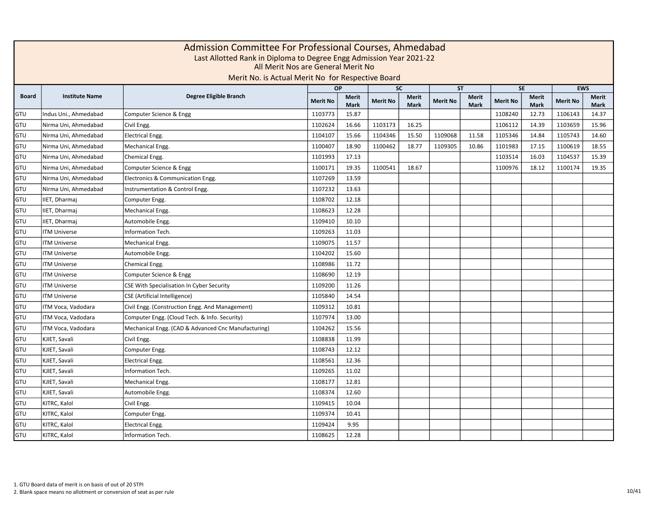|              | Admission Committee For Professional Courses, Ahmedabad<br>Last Allotted Rank in Diploma to Degree Engg Admission Year 2021-22<br>All Merit Nos are General Merit No<br>Merit No. is Actual Merit No for Respective Board<br><b>EWS</b><br><b>OP</b><br><b>SC</b><br><b>ST</b><br><b>SE</b> |                                                     |                 |                             |                 |                             |                 |                             |                 |                             |                 |                             |  |  |  |
|--------------|---------------------------------------------------------------------------------------------------------------------------------------------------------------------------------------------------------------------------------------------------------------------------------------------|-----------------------------------------------------|-----------------|-----------------------------|-----------------|-----------------------------|-----------------|-----------------------------|-----------------|-----------------------------|-----------------|-----------------------------|--|--|--|
|              |                                                                                                                                                                                                                                                                                             |                                                     |                 |                             |                 |                             |                 |                             |                 |                             |                 |                             |  |  |  |
| <b>Board</b> | <b>Institute Name</b>                                                                                                                                                                                                                                                                       | Degree Eligible Branch                              | <b>Merit No</b> | <b>Merit</b><br><b>Mark</b> | <b>Merit No</b> | <b>Merit</b><br><b>Mark</b> | <b>Merit No</b> | <b>Merit</b><br><b>Mark</b> | <b>Merit No</b> | <b>Merit</b><br><b>Mark</b> | <b>Merit No</b> | <b>Merit</b><br><b>Mark</b> |  |  |  |
| GTU          | Indus Uni., Ahmedabad                                                                                                                                                                                                                                                                       | Computer Science & Engg                             | 1103773         | 15.87                       |                 |                             |                 |                             | 1108240         | 12.73                       | 1106143         | 14.37                       |  |  |  |
| GTU          | Nirma Uni, Ahmedabad                                                                                                                                                                                                                                                                        | Civil Engg.                                         | 1102624         | 16.66                       | 1103173         | 16.25                       |                 |                             | 1106112         | 14.39                       | 1103659         | 15.96                       |  |  |  |
| GTU          | Nirma Uni, Ahmedabad                                                                                                                                                                                                                                                                        | <b>Electrical Engg.</b>                             | 1104107         | 15.66                       | 1104346         | 15.50                       | 1109068         | 11.58                       | 1105346         | 14.84                       | 1105743         | 14.60                       |  |  |  |
| GTU          | Nirma Uni, Ahmedabad                                                                                                                                                                                                                                                                        | Mechanical Engg.                                    | 1100407         | 18.90                       | 1100462         | 18.77                       | 1109305         | 10.86                       | 1101983         | 17.15                       | 1100619         | 18.55                       |  |  |  |
| GTU          | Nirma Uni, Ahmedabad                                                                                                                                                                                                                                                                        | Chemical Engg.                                      | 1101993         | 17.13                       |                 |                             |                 |                             | 1103514         | 16.03                       | 1104537         | 15.39                       |  |  |  |
| GTU          | Nirma Uni, Ahmedabad                                                                                                                                                                                                                                                                        | Computer Science & Engg                             | 1100171         | 19.35                       | 1100541         | 18.67                       |                 |                             | 1100976         | 18.12                       | 1100174         | 19.35                       |  |  |  |
| GTU          | Nirma Uni, Ahmedabad                                                                                                                                                                                                                                                                        | Electronics & Communication Engg.                   | 1107269         | 13.59                       |                 |                             |                 |                             |                 |                             |                 |                             |  |  |  |
| GTU          | Nirma Uni, Ahmedabad                                                                                                                                                                                                                                                                        | Instrumentation & Control Engg.                     | 1107232         | 13.63                       |                 |                             |                 |                             |                 |                             |                 |                             |  |  |  |
| GTU          | IIET, Dharmaj                                                                                                                                                                                                                                                                               | Computer Engg.                                      | 1108702         | 12.18                       |                 |                             |                 |                             |                 |                             |                 |                             |  |  |  |
| GTU          | IIET, Dharmaj                                                                                                                                                                                                                                                                               | Mechanical Engg.                                    | 1108623         | 12.28                       |                 |                             |                 |                             |                 |                             |                 |                             |  |  |  |
| GTU          | IIET, Dharmaj                                                                                                                                                                                                                                                                               | Automobile Engg.                                    | 1109410         | 10.10                       |                 |                             |                 |                             |                 |                             |                 |                             |  |  |  |
| GTU          | <b>ITM Universe</b>                                                                                                                                                                                                                                                                         | <b>Information Tech.</b>                            | 1109263         | 11.03                       |                 |                             |                 |                             |                 |                             |                 |                             |  |  |  |
| GTU          | <b>ITM Universe</b>                                                                                                                                                                                                                                                                         | Mechanical Engg.                                    | 1109075         | 11.57                       |                 |                             |                 |                             |                 |                             |                 |                             |  |  |  |
| GTU          | <b>ITM Universe</b>                                                                                                                                                                                                                                                                         | Automobile Engg.                                    | 1104202         | 15.60                       |                 |                             |                 |                             |                 |                             |                 |                             |  |  |  |
| GTU          | <b>ITM Universe</b>                                                                                                                                                                                                                                                                         | Chemical Engg.                                      | 1108986         | 11.72                       |                 |                             |                 |                             |                 |                             |                 |                             |  |  |  |
| GTU          | <b>ITM Universe</b>                                                                                                                                                                                                                                                                         | Computer Science & Engg                             | 1108690         | 12.19                       |                 |                             |                 |                             |                 |                             |                 |                             |  |  |  |
| GTU          | <b>ITM Universe</b>                                                                                                                                                                                                                                                                         | CSE With Specialisation In Cyber Security           | 1109200         | 11.26                       |                 |                             |                 |                             |                 |                             |                 |                             |  |  |  |
| GTU          | <b>ITM Universe</b>                                                                                                                                                                                                                                                                         | <b>CSE</b> (Artificial Intelligence)                | 1105840         | 14.54                       |                 |                             |                 |                             |                 |                             |                 |                             |  |  |  |
| GTU          | ITM Voca, Vadodara                                                                                                                                                                                                                                                                          | Civil Engg. (Construction Engg. And Management)     | 1109312         | 10.81                       |                 |                             |                 |                             |                 |                             |                 |                             |  |  |  |
| GTU          | ITM Voca, Vadodara                                                                                                                                                                                                                                                                          | Computer Engg. (Cloud Tech. & Info. Security)       | 1107974         | 13.00                       |                 |                             |                 |                             |                 |                             |                 |                             |  |  |  |
| GTU          | ITM Voca, Vadodara                                                                                                                                                                                                                                                                          | Mechanical Engg. (CAD & Advanced Cnc Manufacturing) | 1104262         | 15.56                       |                 |                             |                 |                             |                 |                             |                 |                             |  |  |  |
| GTU          | KJIET, Savali                                                                                                                                                                                                                                                                               | Civil Engg.                                         | 1108838         | 11.99                       |                 |                             |                 |                             |                 |                             |                 |                             |  |  |  |
| GTU          | KJIET, Savali                                                                                                                                                                                                                                                                               | Computer Engg.                                      | 1108743         | 12.12                       |                 |                             |                 |                             |                 |                             |                 |                             |  |  |  |
| GTU          | KJIET, Savali                                                                                                                                                                                                                                                                               | <b>Electrical Engg.</b>                             | 1108561         | 12.36                       |                 |                             |                 |                             |                 |                             |                 |                             |  |  |  |
| GTU          | KJIET, Savali                                                                                                                                                                                                                                                                               | <b>Information Tech.</b>                            | 1109265         | 11.02                       |                 |                             |                 |                             |                 |                             |                 |                             |  |  |  |
| GTU          | KJIET, Savali                                                                                                                                                                                                                                                                               | Mechanical Engg.                                    | 1108177         | 12.81                       |                 |                             |                 |                             |                 |                             |                 |                             |  |  |  |
| GTU          | KJIET, Savali                                                                                                                                                                                                                                                                               | Automobile Engg.                                    | 1108374         | 12.60                       |                 |                             |                 |                             |                 |                             |                 |                             |  |  |  |
| GTU          | KITRC, Kalol                                                                                                                                                                                                                                                                                | Civil Engg.                                         | 1109415         | 10.04                       |                 |                             |                 |                             |                 |                             |                 |                             |  |  |  |
| GTU          | KITRC, Kalol                                                                                                                                                                                                                                                                                | Computer Engg.                                      | 1109374         | 10.41                       |                 |                             |                 |                             |                 |                             |                 |                             |  |  |  |
| GTU          | KITRC, Kalol                                                                                                                                                                                                                                                                                | <b>Electrical Engg.</b>                             | 1109424         | 9.95                        |                 |                             |                 |                             |                 |                             |                 |                             |  |  |  |
| GTU          | KITRC, Kalol                                                                                                                                                                                                                                                                                | Information Tech.                                   | 1108625         | 12.28                       |                 |                             |                 |                             |                 |                             |                 |                             |  |  |  |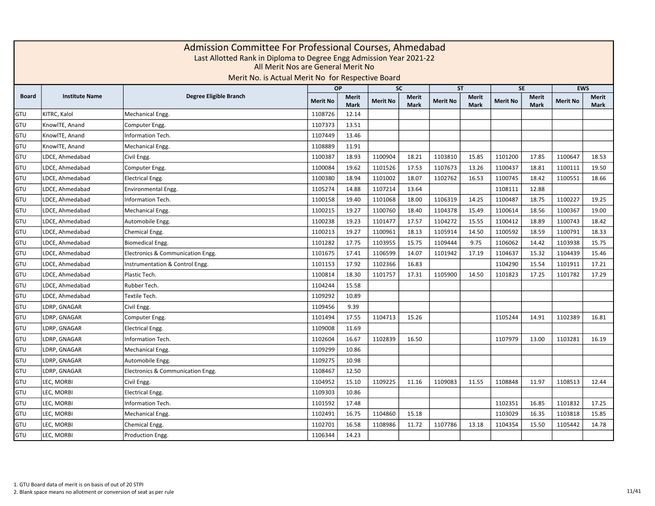|              | Admission Committee For Professional Courses, Ahmedabad<br>Last Allotted Rank in Diploma to Degree Engg Admission Year 2021-22<br>All Merit Nos are General Merit No<br>Merit No. is Actual Merit No for Respective Board<br><b>EWS</b><br><b>OP</b><br><b>SC</b><br><b>ST</b><br><b>SE</b> |                                   |                 |                             |                 |                             |                 |                      |                 |                             |                 |                             |  |  |  |
|--------------|---------------------------------------------------------------------------------------------------------------------------------------------------------------------------------------------------------------------------------------------------------------------------------------------|-----------------------------------|-----------------|-----------------------------|-----------------|-----------------------------|-----------------|----------------------|-----------------|-----------------------------|-----------------|-----------------------------|--|--|--|
|              |                                                                                                                                                                                                                                                                                             |                                   |                 |                             |                 |                             |                 |                      |                 |                             |                 |                             |  |  |  |
| <b>Board</b> | <b>Institute Name</b>                                                                                                                                                                                                                                                                       | Degree Eligible Branch            | <b>Merit No</b> | <b>Merit</b><br><b>Mark</b> | <b>Merit No</b> | <b>Merit</b><br><b>Mark</b> | <b>Merit No</b> | Merit<br><b>Mark</b> | <b>Merit No</b> | <b>Merit</b><br><b>Mark</b> | <b>Merit No</b> | <b>Merit</b><br><b>Mark</b> |  |  |  |
| GTU          | KITRC, Kalol                                                                                                                                                                                                                                                                                | Mechanical Engg.                  | 1108726         | 12.14                       |                 |                             |                 |                      |                 |                             |                 |                             |  |  |  |
| GTU          | KnowlTE, Anand                                                                                                                                                                                                                                                                              | Computer Engg.                    | 1107373         | 13.51                       |                 |                             |                 |                      |                 |                             |                 |                             |  |  |  |
| GTU          | KnowlTE, Anand                                                                                                                                                                                                                                                                              | <b>Information Tech.</b>          | 1107449         | 13.46                       |                 |                             |                 |                      |                 |                             |                 |                             |  |  |  |
| GTU          | KnowlTE, Anand                                                                                                                                                                                                                                                                              | Mechanical Engg.                  | 1108889         | 11.91                       |                 |                             |                 |                      |                 |                             |                 |                             |  |  |  |
| GTU          | LDCE, Ahmedabad                                                                                                                                                                                                                                                                             | Civil Engg.                       | 1100387         | 18.93                       | 1100904         | 18.21                       | 1103810         | 15.85                | 1101200         | 17.85                       | 1100647         | 18.53                       |  |  |  |
| GTU          | LDCE, Ahmedabad                                                                                                                                                                                                                                                                             | Computer Engg.                    | 1100084         | 19.62                       | 1101526         | 17.53                       | 1107673         | 13.26                | 1100437         | 18.81                       | 1100111         | 19.50                       |  |  |  |
| GTU          | LDCE, Ahmedabad                                                                                                                                                                                                                                                                             | <b>Electrical Engg.</b>           | 1100380         | 18.94                       | 1101002         | 18.07                       | 1102762         | 16.53                | 1100745         | 18.42                       | 1100551         | 18.66                       |  |  |  |
| GTU          | LDCE, Ahmedabad                                                                                                                                                                                                                                                                             | <b>Environmental Engg.</b>        | 1105274         | 14.88                       | 1107214         | 13.64                       |                 |                      | 1108111         | 12.88                       |                 |                             |  |  |  |
| GTU          | LDCE, Ahmedabad                                                                                                                                                                                                                                                                             | Information Tech.                 | 1100158         | 19.40                       | 1101068         | 18.00                       | 1106319         | 14.25                | 1100487         | 18.75                       | 1100227         | 19.25                       |  |  |  |
| GTU          | LDCE, Ahmedabad                                                                                                                                                                                                                                                                             | Mechanical Engg.                  | 1100215         | 19.27                       | 1100760         | 18.40                       | 1104378         | 15.49                | 1100614         | 18.56                       | 1100367         | 19.00                       |  |  |  |
| GTU          | LDCE, Ahmedabad                                                                                                                                                                                                                                                                             | Automobile Engg.                  | 1100238         | 19.23                       | 1101477         | 17.57                       | 1104272         | 15.55                | 1100412         | 18.89                       | 1100743         | 18.42                       |  |  |  |
| GTU          | LDCE, Ahmedabad                                                                                                                                                                                                                                                                             | Chemical Engg.                    | 1100213         | 19.27                       | 1100961         | 18.13                       | 1105914         | 14.50                | 1100592         | 18.59                       | 1100791         | 18.33                       |  |  |  |
| GTU          | LDCE, Ahmedabad                                                                                                                                                                                                                                                                             | Biomedical Engg.                  | 1101282         | 17.75                       | 1103955         | 15.75                       | 1109444         | 9.75                 | 1106062         | 14.42                       | 1103938         | 15.75                       |  |  |  |
| GTU          | LDCE, Ahmedabad                                                                                                                                                                                                                                                                             | Electronics & Communication Engg. | 1101675         | 17.41                       | 1106599         | 14.07                       | 1101942         | 17.19                | 1104637         | 15.32                       | 1104439         | 15.46                       |  |  |  |
| GTU          | LDCE, Ahmedabad                                                                                                                                                                                                                                                                             | Instrumentation & Control Engg.   | 1101153         | 17.92                       | 1102366         | 16.83                       |                 |                      | 1104290         | 15.54                       | 1101911         | 17.21                       |  |  |  |
| GTU          | LDCE. Ahmedabad                                                                                                                                                                                                                                                                             | Plastic Tech.                     | 1100814         | 18.30                       | 1101757         | 17.31                       | 1105900         | 14.50                | 1101823         | 17.25                       | 1101782         | 17.29                       |  |  |  |
| GTU          | LDCE. Ahmedabad                                                                                                                                                                                                                                                                             | Rubber Tech.                      | 1104244         | 15.58                       |                 |                             |                 |                      |                 |                             |                 |                             |  |  |  |
| GTU          | LDCE. Ahmedabad                                                                                                                                                                                                                                                                             | Textile Tech.                     | 1109292         | 10.89                       |                 |                             |                 |                      |                 |                             |                 |                             |  |  |  |
| GTU          | LDRP, GNAGAR                                                                                                                                                                                                                                                                                | Civil Engg.                       | 1109456         | 9.39                        |                 |                             |                 |                      |                 |                             |                 |                             |  |  |  |
| GTU          | LDRP, GNAGAR                                                                                                                                                                                                                                                                                | Computer Engg.                    | 1101494         | 17.55                       | 1104713         | 15.26                       |                 |                      | 1105244         | 14.91                       | 1102389         | 16.81                       |  |  |  |
| GTU          | LDRP, GNAGAR                                                                                                                                                                                                                                                                                | <b>Electrical Engg.</b>           | 1109008         | 11.69                       |                 |                             |                 |                      |                 |                             |                 |                             |  |  |  |
| GTU          | LDRP, GNAGAR                                                                                                                                                                                                                                                                                | Information Tech.                 | 1102604         | 16.67                       | 1102839         | 16.50                       |                 |                      | 1107979         | 13.00                       | 1103281         | 16.19                       |  |  |  |
| GTU          | LDRP, GNAGAR                                                                                                                                                                                                                                                                                | Mechanical Engg.                  | 1109299         | 10.86                       |                 |                             |                 |                      |                 |                             |                 |                             |  |  |  |
| GTU          | LDRP, GNAGAR                                                                                                                                                                                                                                                                                | Automobile Engg.                  | 1109275         | 10.98                       |                 |                             |                 |                      |                 |                             |                 |                             |  |  |  |
| GTU          | LDRP, GNAGAR                                                                                                                                                                                                                                                                                | Electronics & Communication Engg. | 1108467         | 12.50                       |                 |                             |                 |                      |                 |                             |                 |                             |  |  |  |
| GTU          | LEC, MORBI                                                                                                                                                                                                                                                                                  | Civil Engg.                       | 1104952         | 15.10                       | 1109225         | 11.16                       | 1109083         | 11.55                | 1108848         | 11.97                       | 1108513         | 12.44                       |  |  |  |
| GTU          | LEC, MORBI                                                                                                                                                                                                                                                                                  | <b>Electrical Engg.</b>           | 1109303         | 10.86                       |                 |                             |                 |                      |                 |                             |                 |                             |  |  |  |
| GTU          | LEC, MORBI                                                                                                                                                                                                                                                                                  | Information Tech.                 | 1101592         | 17.48                       |                 |                             |                 |                      | 1102351         | 16.85                       | 1101832         | 17.25                       |  |  |  |
| GTU          | LEC, MORBI                                                                                                                                                                                                                                                                                  | Mechanical Engg.                  | 1102491         | 16.75                       | 1104860         | 15.18                       |                 |                      | 1103029         | 16.35                       | 1103818         | 15.85                       |  |  |  |
| GTU          | LEC, MORBI                                                                                                                                                                                                                                                                                  | Chemical Engg.                    | 1102701         | 16.58                       | 1108986         | 11.72                       | 1107786         | 13.18                | 1104354         | 15.50                       | 1105442         | 14.78                       |  |  |  |
| GTU          | LEC, MORBI                                                                                                                                                                                                                                                                                  | Production Engg.                  | 1106344         | 14.23                       |                 |                             |                 |                      |                 |                             |                 |                             |  |  |  |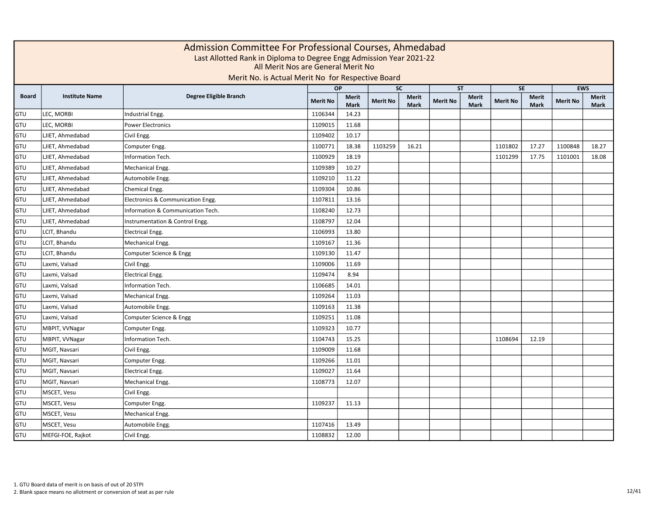|              | Admission Committee For Professional Courses, Ahmedabad<br>Last Allotted Rank in Diploma to Degree Engg Admission Year 2021-22<br>All Merit Nos are General Merit No<br>Merit No. is Actual Merit No for Respective Board<br><b>EWS</b><br><b>OP</b><br><b>SC</b><br><b>ST</b><br><b>SE</b> |                                   |                 |                      |                 |                             |                 |                      |                 |                             |                 |               |  |  |
|--------------|---------------------------------------------------------------------------------------------------------------------------------------------------------------------------------------------------------------------------------------------------------------------------------------------|-----------------------------------|-----------------|----------------------|-----------------|-----------------------------|-----------------|----------------------|-----------------|-----------------------------|-----------------|---------------|--|--|
|              |                                                                                                                                                                                                                                                                                             |                                   |                 |                      |                 |                             |                 |                      |                 |                             |                 |               |  |  |
| <b>Board</b> | <b>Institute Name</b>                                                                                                                                                                                                                                                                       | Degree Eligible Branch            | <b>Merit No</b> | Merit<br><b>Mark</b> | <b>Merit No</b> | <b>Merit</b><br><b>Mark</b> | <b>Merit No</b> | Merit<br><b>Mark</b> | <b>Merit No</b> | <b>Merit</b><br><b>Mark</b> | <b>Merit No</b> | Merit<br>Mark |  |  |
| GTU          | LEC, MORBI                                                                                                                                                                                                                                                                                  | Industrial Engg.                  | 1106344         | 14.23                |                 |                             |                 |                      |                 |                             |                 |               |  |  |
| GTU          | LEC, MORBI                                                                                                                                                                                                                                                                                  | Power Electronics                 | 1109015         | 11.68                |                 |                             |                 |                      |                 |                             |                 |               |  |  |
| GTU          | LJIET, Ahmedabad                                                                                                                                                                                                                                                                            | Civil Engg.                       | 1109402         | 10.17                |                 |                             |                 |                      |                 |                             |                 |               |  |  |
| GTU          | LJIET, Ahmedabad                                                                                                                                                                                                                                                                            | Computer Engg.                    | 1100771         | 18.38                | 1103259         | 16.21                       |                 |                      | 1101802         | 17.27                       | 1100848         | 18.27         |  |  |
| GTU          | LJIET, Ahmedabad                                                                                                                                                                                                                                                                            | Information Tech.                 | 1100929         | 18.19                |                 |                             |                 |                      | 1101299         | 17.75                       | 1101001         | 18.08         |  |  |
| GTU          | LJIET, Ahmedabad                                                                                                                                                                                                                                                                            | Mechanical Engg.                  | 1109389         | 10.27                |                 |                             |                 |                      |                 |                             |                 |               |  |  |
| GTU          | LJIET, Ahmedabad                                                                                                                                                                                                                                                                            | Automobile Engg.                  | 1109210         | 11.22                |                 |                             |                 |                      |                 |                             |                 |               |  |  |
| GTU          | LJIET, Ahmedabad                                                                                                                                                                                                                                                                            | Chemical Engg.                    | 1109304         | 10.86                |                 |                             |                 |                      |                 |                             |                 |               |  |  |
| GTU          | LJIET, Ahmedabad                                                                                                                                                                                                                                                                            | Electronics & Communication Engg. | 1107811         | 13.16                |                 |                             |                 |                      |                 |                             |                 |               |  |  |
| GTU          | LJIET, Ahmedabad                                                                                                                                                                                                                                                                            | Information & Communication Tech. | 1108240         | 12.73                |                 |                             |                 |                      |                 |                             |                 |               |  |  |
| GTU          | LJIET, Ahmedabad                                                                                                                                                                                                                                                                            | Instrumentation & Control Engg.   | 1108797         | 12.04                |                 |                             |                 |                      |                 |                             |                 |               |  |  |
| GTU          | LCIT, Bhandu                                                                                                                                                                                                                                                                                | <b>Electrical Engg.</b>           | 1106993         | 13.80                |                 |                             |                 |                      |                 |                             |                 |               |  |  |
| GTU          | LCIT, Bhandu                                                                                                                                                                                                                                                                                | Mechanical Engg.                  | 1109167         | 11.36                |                 |                             |                 |                      |                 |                             |                 |               |  |  |
| GTU          | LCIT, Bhandu                                                                                                                                                                                                                                                                                | Computer Science & Engg           | 1109130         | 11.47                |                 |                             |                 |                      |                 |                             |                 |               |  |  |
| GTU          | Laxmi, Valsad                                                                                                                                                                                                                                                                               | Civil Engg.                       | 1109006         | 11.69                |                 |                             |                 |                      |                 |                             |                 |               |  |  |
| GTU          | Laxmi, Valsad                                                                                                                                                                                                                                                                               | <b>Electrical Engg.</b>           | 1109474         | 8.94                 |                 |                             |                 |                      |                 |                             |                 |               |  |  |
| GTU          | Laxmi, Valsad                                                                                                                                                                                                                                                                               | <b>Information Tech.</b>          | 1106685         | 14.01                |                 |                             |                 |                      |                 |                             |                 |               |  |  |
| GTU          | Laxmi, Valsad                                                                                                                                                                                                                                                                               | Mechanical Engg.                  | 1109264         | 11.03                |                 |                             |                 |                      |                 |                             |                 |               |  |  |
| GTU          | Laxmi, Valsad                                                                                                                                                                                                                                                                               | Automobile Engg.                  | 1109163         | 11.38                |                 |                             |                 |                      |                 |                             |                 |               |  |  |
| GTU          | Laxmi, Valsad                                                                                                                                                                                                                                                                               | Computer Science & Engg           | 1109251         | 11.08                |                 |                             |                 |                      |                 |                             |                 |               |  |  |
| GTU          | MBPIT, VVNagar                                                                                                                                                                                                                                                                              | Computer Engg.                    | 1109323         | 10.77                |                 |                             |                 |                      |                 |                             |                 |               |  |  |
| GTU          | MBPIT, VVNagar                                                                                                                                                                                                                                                                              | Information Tech.                 | 1104743         | 15.25                |                 |                             |                 |                      | 1108694         | 12.19                       |                 |               |  |  |
| GTU          | MGIT, Navsari                                                                                                                                                                                                                                                                               | Civil Engg.                       | 1109009         | 11.68                |                 |                             |                 |                      |                 |                             |                 |               |  |  |
| GTU          | MGIT, Navsari                                                                                                                                                                                                                                                                               | Computer Engg.                    | 1109266         | 11.01                |                 |                             |                 |                      |                 |                             |                 |               |  |  |
| GTU          | MGIT, Navsari                                                                                                                                                                                                                                                                               | <b>Electrical Engg.</b>           | 1109027         | 11.64                |                 |                             |                 |                      |                 |                             |                 |               |  |  |
| GTU          | MGIT, Navsari                                                                                                                                                                                                                                                                               | Mechanical Engg.                  | 1108773         | 12.07                |                 |                             |                 |                      |                 |                             |                 |               |  |  |
| GTU          | MSCET, Vesu                                                                                                                                                                                                                                                                                 | Civil Engg.                       |                 |                      |                 |                             |                 |                      |                 |                             |                 |               |  |  |
| GTU          | MSCET, Vesu                                                                                                                                                                                                                                                                                 | Computer Engg.                    | 1109237         | 11.13                |                 |                             |                 |                      |                 |                             |                 |               |  |  |
| GTU          | MSCET, Vesu                                                                                                                                                                                                                                                                                 | Mechanical Engg.                  |                 |                      |                 |                             |                 |                      |                 |                             |                 |               |  |  |
| GTU          | MSCET, Vesu                                                                                                                                                                                                                                                                                 | Automobile Engg.                  | 1107416         | 13.49                |                 |                             |                 |                      |                 |                             |                 |               |  |  |
| GTU          | MEFGI-FOE, Rajkot                                                                                                                                                                                                                                                                           | Civil Engg.                       | 1108832         | 12.00                |                 |                             |                 |                      |                 |                             |                 |               |  |  |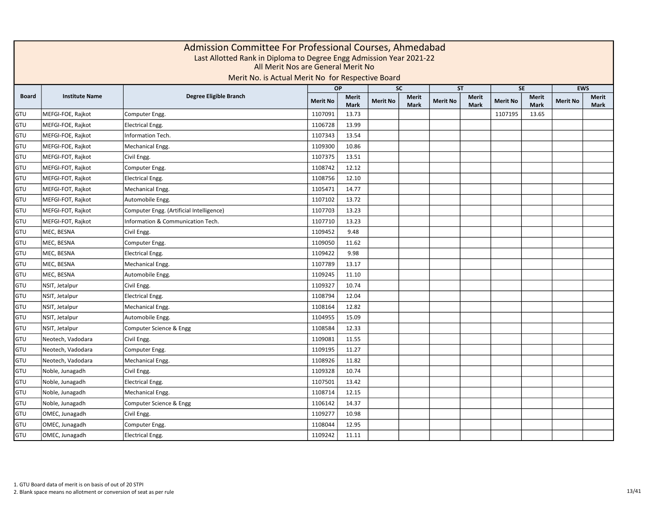|              | Admission Committee For Professional Courses, Ahmedabad<br>Last Allotted Rank in Diploma to Degree Engg Admission Year 2021-22<br>All Merit Nos are General Merit No<br>Merit No. is Actual Merit No for Respective Board<br><b>EWS</b><br>$\overline{SC}$<br>SE<br><b>OP</b><br><b>ST</b> |                                          |                 |                             |                 |                             |                 |                      |                 |                             |                 |                             |  |  |  |
|--------------|--------------------------------------------------------------------------------------------------------------------------------------------------------------------------------------------------------------------------------------------------------------------------------------------|------------------------------------------|-----------------|-----------------------------|-----------------|-----------------------------|-----------------|----------------------|-----------------|-----------------------------|-----------------|-----------------------------|--|--|--|
|              |                                                                                                                                                                                                                                                                                            |                                          |                 |                             |                 |                             |                 |                      |                 |                             |                 |                             |  |  |  |
| <b>Board</b> | <b>Institute Name</b>                                                                                                                                                                                                                                                                      | Degree Eligible Branch                   | <b>Merit No</b> | <b>Merit</b><br><b>Mark</b> | <b>Merit No</b> | <b>Merit</b><br><b>Mark</b> | <b>Merit No</b> | Merit<br><b>Mark</b> | <b>Merit No</b> | <b>Merit</b><br><b>Mark</b> | <b>Merit No</b> | <b>Merit</b><br><b>Mark</b> |  |  |  |
| GTU          | MEFGI-FOE, Rajkot                                                                                                                                                                                                                                                                          | Computer Engg.                           | 1107091         | 13.73                       |                 |                             |                 |                      | 1107195         | 13.65                       |                 |                             |  |  |  |
| GTU          | MEFGI-FOE, Rajkot                                                                                                                                                                                                                                                                          | <b>Electrical Engg.</b>                  | 1106728         | 13.99                       |                 |                             |                 |                      |                 |                             |                 |                             |  |  |  |
| GTU          | MEFGI-FOE, Rajkot                                                                                                                                                                                                                                                                          | Information Tech.                        | 1107343         | 13.54                       |                 |                             |                 |                      |                 |                             |                 |                             |  |  |  |
| GTU          | MEFGI-FOE, Rajkot                                                                                                                                                                                                                                                                          | Mechanical Engg.                         | 1109300         | 10.86                       |                 |                             |                 |                      |                 |                             |                 |                             |  |  |  |
| GTU          | MEFGI-FOT, Rajkot                                                                                                                                                                                                                                                                          | Civil Engg.                              | 1107375         | 13.51                       |                 |                             |                 |                      |                 |                             |                 |                             |  |  |  |
| GTU          | MEFGI-FOT, Rajkot                                                                                                                                                                                                                                                                          | Computer Engg.                           | 1108742         | 12.12                       |                 |                             |                 |                      |                 |                             |                 |                             |  |  |  |
| GTU          | MEFGI-FOT, Rajkot                                                                                                                                                                                                                                                                          | <b>Electrical Engg.</b>                  | 1108756         | 12.10                       |                 |                             |                 |                      |                 |                             |                 |                             |  |  |  |
| GTU          | MEFGI-FOT, Rajkot                                                                                                                                                                                                                                                                          | Mechanical Engg.                         | 1105471         | 14.77                       |                 |                             |                 |                      |                 |                             |                 |                             |  |  |  |
| GTU          | MEFGI-FOT, Rajkot                                                                                                                                                                                                                                                                          | Automobile Engg.                         | 1107102         | 13.72                       |                 |                             |                 |                      |                 |                             |                 |                             |  |  |  |
| GTU          | MEFGI-FOT, Rajkot                                                                                                                                                                                                                                                                          | Computer Engg. (Artificial Intelligence) | 1107703         | 13.23                       |                 |                             |                 |                      |                 |                             |                 |                             |  |  |  |
| GTU          | MEFGI-FOT, Rajkot                                                                                                                                                                                                                                                                          | Information & Communication Tech.        | 1107710         | 13.23                       |                 |                             |                 |                      |                 |                             |                 |                             |  |  |  |
| GTU          | MEC, BESNA                                                                                                                                                                                                                                                                                 | Civil Engg.                              | 1109452         | 9.48                        |                 |                             |                 |                      |                 |                             |                 |                             |  |  |  |
| GTU          | MEC, BESNA                                                                                                                                                                                                                                                                                 | Computer Engg.                           | 1109050         | 11.62                       |                 |                             |                 |                      |                 |                             |                 |                             |  |  |  |
| GTU          | MEC, BESNA                                                                                                                                                                                                                                                                                 | <b>Electrical Engg.</b>                  | 1109422         | 9.98                        |                 |                             |                 |                      |                 |                             |                 |                             |  |  |  |
| GTU          | MEC, BESNA                                                                                                                                                                                                                                                                                 | Mechanical Engg.                         | 1107789         | 13.17                       |                 |                             |                 |                      |                 |                             |                 |                             |  |  |  |
| GTU          | MEC, BESNA                                                                                                                                                                                                                                                                                 | Automobile Engg.                         | 1109245         | 11.10                       |                 |                             |                 |                      |                 |                             |                 |                             |  |  |  |
| GTU          | NSIT, Jetalpur                                                                                                                                                                                                                                                                             | Civil Engg.                              | 1109327         | 10.74                       |                 |                             |                 |                      |                 |                             |                 |                             |  |  |  |
| GTU          | NSIT, Jetalpur                                                                                                                                                                                                                                                                             | <b>Electrical Engg.</b>                  | 1108794         | 12.04                       |                 |                             |                 |                      |                 |                             |                 |                             |  |  |  |
| GTU          | NSIT, Jetalpur                                                                                                                                                                                                                                                                             | Mechanical Engg.                         | 1108164         | 12.82                       |                 |                             |                 |                      |                 |                             |                 |                             |  |  |  |
| GTU          | NSIT, Jetalpur                                                                                                                                                                                                                                                                             | Automobile Engg.                         | 1104955         | 15.09                       |                 |                             |                 |                      |                 |                             |                 |                             |  |  |  |
| GTU          | NSIT, Jetalpur                                                                                                                                                                                                                                                                             | Computer Science & Engg                  | 1108584         | 12.33                       |                 |                             |                 |                      |                 |                             |                 |                             |  |  |  |
| GTU          | Neotech, Vadodara                                                                                                                                                                                                                                                                          | Civil Engg.                              | 1109081         | 11.55                       |                 |                             |                 |                      |                 |                             |                 |                             |  |  |  |
| GTU          | Neotech, Vadodara                                                                                                                                                                                                                                                                          | Computer Engg.                           | 1109195         | 11.27                       |                 |                             |                 |                      |                 |                             |                 |                             |  |  |  |
| GTU          | Neotech, Vadodara                                                                                                                                                                                                                                                                          | Mechanical Engg.                         | 1108926         | 11.82                       |                 |                             |                 |                      |                 |                             |                 |                             |  |  |  |
| GTU          | Noble, Junagadh                                                                                                                                                                                                                                                                            | Civil Engg.                              | 1109328         | 10.74                       |                 |                             |                 |                      |                 |                             |                 |                             |  |  |  |
| GTU          | Noble, Junagadh                                                                                                                                                                                                                                                                            | <b>Electrical Engg.</b>                  | 1107501         | 13.42                       |                 |                             |                 |                      |                 |                             |                 |                             |  |  |  |
| GTU          | Noble, Junagadh                                                                                                                                                                                                                                                                            | Mechanical Engg.                         | 1108714         | 12.15                       |                 |                             |                 |                      |                 |                             |                 |                             |  |  |  |
| GTU          | Noble, Junagadh                                                                                                                                                                                                                                                                            | Computer Science & Engg                  | 1106142         | 14.37                       |                 |                             |                 |                      |                 |                             |                 |                             |  |  |  |
| GTU          | OMEC, Junagadh                                                                                                                                                                                                                                                                             | Civil Engg.                              | 1109277         | 10.98                       |                 |                             |                 |                      |                 |                             |                 |                             |  |  |  |
| GTU          | OMEC, Junagadh                                                                                                                                                                                                                                                                             | Computer Engg.                           | 1108044         | 12.95                       |                 |                             |                 |                      |                 |                             |                 |                             |  |  |  |
| GTU          | OMEC, Junagadh                                                                                                                                                                                                                                                                             | <b>Electrical Engg.</b>                  | 1109242         | 11.11                       |                 |                             |                 |                      |                 |                             |                 |                             |  |  |  |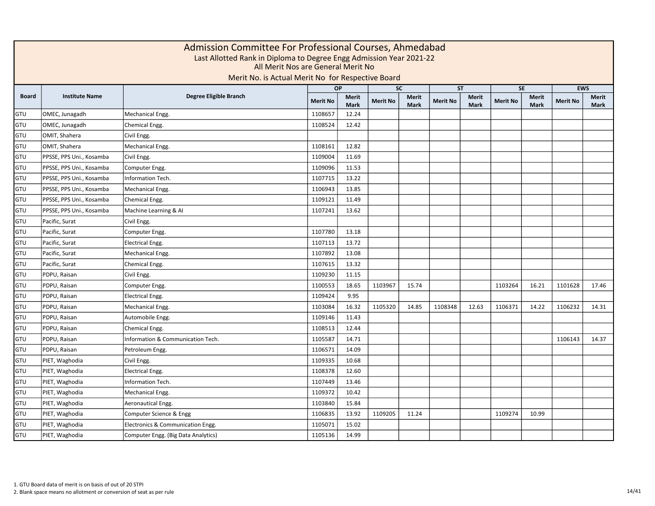|              | Admission Committee For Professional Courses, Ahmedabad<br>Last Allotted Rank in Diploma to Degree Engg Admission Year 2021-22<br>All Merit Nos are General Merit No<br>Merit No. is Actual Merit No for Respective Board<br><b>EWS</b><br>$\overline{SC}$<br>SE<br>OP<br><b>ST</b> |                                     |                 |                             |                 |                             |                 |                             |                 |                      |                 |                      |  |  |  |
|--------------|-------------------------------------------------------------------------------------------------------------------------------------------------------------------------------------------------------------------------------------------------------------------------------------|-------------------------------------|-----------------|-----------------------------|-----------------|-----------------------------|-----------------|-----------------------------|-----------------|----------------------|-----------------|----------------------|--|--|--|
|              |                                                                                                                                                                                                                                                                                     |                                     |                 |                             |                 |                             |                 |                             |                 |                      |                 |                      |  |  |  |
| <b>Board</b> | <b>Institute Name</b>                                                                                                                                                                                                                                                               | Degree Eligible Branch              | <b>Merit No</b> | <b>Merit</b><br><b>Mark</b> | <b>Merit No</b> | <b>Merit</b><br><b>Mark</b> | <b>Merit No</b> | <b>Merit</b><br><b>Mark</b> | <b>Merit No</b> | Merit<br><b>Mark</b> | <b>Merit No</b> | <b>Merit</b><br>Mark |  |  |  |
| GTU          | OMEC, Junagadh                                                                                                                                                                                                                                                                      | Mechanical Engg.                    | 1108657         | 12.24                       |                 |                             |                 |                             |                 |                      |                 |                      |  |  |  |
| GTU          | OMEC, Junagadh                                                                                                                                                                                                                                                                      | Chemical Engg.                      | 1108524         | 12.42                       |                 |                             |                 |                             |                 |                      |                 |                      |  |  |  |
| GTU          | OMIT, Shahera                                                                                                                                                                                                                                                                       | Civil Engg.                         |                 |                             |                 |                             |                 |                             |                 |                      |                 |                      |  |  |  |
| GTU          | OMIT, Shahera                                                                                                                                                                                                                                                                       | Mechanical Engg.                    | 1108161         | 12.82                       |                 |                             |                 |                             |                 |                      |                 |                      |  |  |  |
| GTU          | PPSSE, PPS Uni., Kosamba                                                                                                                                                                                                                                                            | Civil Engg.                         | 1109004         | 11.69                       |                 |                             |                 |                             |                 |                      |                 |                      |  |  |  |
| GTU          | PPSSE, PPS Uni., Kosamba                                                                                                                                                                                                                                                            | Computer Engg.                      | 1109096         | 11.53                       |                 |                             |                 |                             |                 |                      |                 |                      |  |  |  |
| GTU          | PPSSE, PPS Uni., Kosamba                                                                                                                                                                                                                                                            | Information Tech.                   | 1107715         | 13.22                       |                 |                             |                 |                             |                 |                      |                 |                      |  |  |  |
| GTU          | PPSSE, PPS Uni., Kosamba                                                                                                                                                                                                                                                            | Mechanical Engg.                    | 1106943         | 13.85                       |                 |                             |                 |                             |                 |                      |                 |                      |  |  |  |
| GTU          | PPSSE, PPS Uni., Kosamba                                                                                                                                                                                                                                                            | Chemical Engg.                      | 1109121         | 11.49                       |                 |                             |                 |                             |                 |                      |                 |                      |  |  |  |
| GTU          | PPSSE, PPS Uni., Kosamba                                                                                                                                                                                                                                                            | Machine Learning & Al               | 1107241         | 13.62                       |                 |                             |                 |                             |                 |                      |                 |                      |  |  |  |
| GTU          | Pacific, Surat                                                                                                                                                                                                                                                                      | Civil Engg.                         |                 |                             |                 |                             |                 |                             |                 |                      |                 |                      |  |  |  |
| GTU          | Pacific, Surat                                                                                                                                                                                                                                                                      | Computer Engg.                      | 1107780         | 13.18                       |                 |                             |                 |                             |                 |                      |                 |                      |  |  |  |
| GTU          | Pacific, Surat                                                                                                                                                                                                                                                                      | <b>Electrical Engg.</b>             | 1107113         | 13.72                       |                 |                             |                 |                             |                 |                      |                 |                      |  |  |  |
| GTU          | Pacific, Surat                                                                                                                                                                                                                                                                      | Mechanical Engg.                    | 1107892         | 13.08                       |                 |                             |                 |                             |                 |                      |                 |                      |  |  |  |
| GTU          | Pacific, Surat                                                                                                                                                                                                                                                                      | Chemical Engg.                      | 1107615         | 13.32                       |                 |                             |                 |                             |                 |                      |                 |                      |  |  |  |
| GTU          | PDPU, Raisan                                                                                                                                                                                                                                                                        | Civil Engg.                         | 1109230         | 11.15                       |                 |                             |                 |                             |                 |                      |                 |                      |  |  |  |
| GTU          | PDPU, Raisan                                                                                                                                                                                                                                                                        | Computer Engg.                      | 1100553         | 18.65                       | 1103967         | 15.74                       |                 |                             | 1103264         | 16.21                | 1101628         | 17.46                |  |  |  |
| GTU          | PDPU, Raisan                                                                                                                                                                                                                                                                        | <b>Electrical Engg.</b>             | 1109424         | 9.95                        |                 |                             |                 |                             |                 |                      |                 |                      |  |  |  |
| GTU          | PDPU, Raisan                                                                                                                                                                                                                                                                        | Mechanical Engg.                    | 1103084         | 16.32                       | 1105320         | 14.85                       | 1108348         | 12.63                       | 1106371         | 14.22                | 1106232         | 14.31                |  |  |  |
| GTU          | PDPU, Raisan                                                                                                                                                                                                                                                                        | Automobile Engg.                    | 1109146         | 11.43                       |                 |                             |                 |                             |                 |                      |                 |                      |  |  |  |
| GTU          | PDPU, Raisan                                                                                                                                                                                                                                                                        | Chemical Engg.                      | 1108513         | 12.44                       |                 |                             |                 |                             |                 |                      |                 |                      |  |  |  |
| GTU          | PDPU, Raisan                                                                                                                                                                                                                                                                        | Information & Communication Tech.   | 1105587         | 14.71                       |                 |                             |                 |                             |                 |                      | 1106143         | 14.37                |  |  |  |
| GTU          | PDPU, Raisan                                                                                                                                                                                                                                                                        | Petroleum Engg.                     | 1106571         | 14.09                       |                 |                             |                 |                             |                 |                      |                 |                      |  |  |  |
| GTU          | PIET, Waghodia                                                                                                                                                                                                                                                                      | Civil Engg.                         | 1109335         | 10.68                       |                 |                             |                 |                             |                 |                      |                 |                      |  |  |  |
| GTU          | PIET, Waghodia                                                                                                                                                                                                                                                                      | <b>Electrical Engg.</b>             | 1108378         | 12.60                       |                 |                             |                 |                             |                 |                      |                 |                      |  |  |  |
| GTU          | PIET, Waghodia                                                                                                                                                                                                                                                                      | Information Tech.                   | 1107449         | 13.46                       |                 |                             |                 |                             |                 |                      |                 |                      |  |  |  |
| GTU          | PIET, Waghodia                                                                                                                                                                                                                                                                      | Mechanical Engg.                    | 1109372         | 10.42                       |                 |                             |                 |                             |                 |                      |                 |                      |  |  |  |
| GTU          | PIET, Waghodia                                                                                                                                                                                                                                                                      | Aeronautical Engg.                  | 1103840         | 15.84                       |                 |                             |                 |                             |                 |                      |                 |                      |  |  |  |
| GTU          | PIET, Waghodia                                                                                                                                                                                                                                                                      | Computer Science & Engg             | 1106835         | 13.92                       | 1109205         | 11.24                       |                 |                             | 1109274         | 10.99                |                 |                      |  |  |  |
| GTU          | PIET, Waghodia                                                                                                                                                                                                                                                                      | Electronics & Communication Engg.   | 1105071         | 15.02                       |                 |                             |                 |                             |                 |                      |                 |                      |  |  |  |
| GTU          | PIET, Waghodia                                                                                                                                                                                                                                                                      | Computer Engg. (Big Data Analytics) | 1105136         | 14.99                       |                 |                             |                 |                             |                 |                      |                 |                      |  |  |  |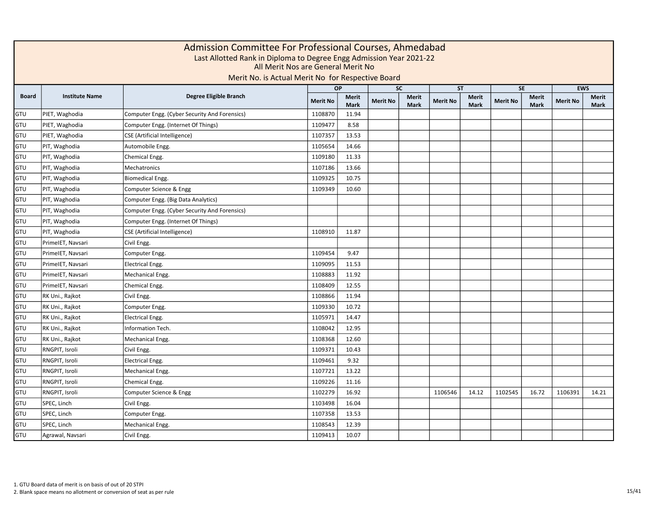|              |                       |                                               |                 | Admission Committee For Professional Courses, Ahmedabad<br>Last Allotted Rank in Diploma to Degree Engg Admission Year 2021-22<br>All Merit Nos are General Merit No<br>Merit No. is Actual Merit No for Respective Board<br><b>EWS</b><br><b>SC</b><br><b>ST</b><br><b>SE</b><br><b>OP</b> |                 |                             |                 |                             |                 |                             |                 |                      |  |  |  |  |  |  |
|--------------|-----------------------|-----------------------------------------------|-----------------|---------------------------------------------------------------------------------------------------------------------------------------------------------------------------------------------------------------------------------------------------------------------------------------------|-----------------|-----------------------------|-----------------|-----------------------------|-----------------|-----------------------------|-----------------|----------------------|--|--|--|--|--|--|
|              |                       |                                               |                 |                                                                                                                                                                                                                                                                                             |                 |                             |                 |                             |                 |                             |                 |                      |  |  |  |  |  |  |
| <b>Board</b> | <b>Institute Name</b> | Degree Eligible Branch                        | <b>Merit No</b> | <b>Merit</b><br><b>Mark</b>                                                                                                                                                                                                                                                                 | <b>Merit No</b> | <b>Merit</b><br><b>Mark</b> | <b>Merit No</b> | <b>Merit</b><br><b>Mark</b> | <b>Merit No</b> | <b>Merit</b><br><b>Mark</b> | <b>Merit No</b> | <b>Merit</b><br>Mark |  |  |  |  |  |  |
| GTU          | PIET, Waghodia        | Computer Engg. (Cyber Security And Forensics) | 1108870         | 11.94                                                                                                                                                                                                                                                                                       |                 |                             |                 |                             |                 |                             |                 |                      |  |  |  |  |  |  |
| GTU          | PIET, Waghodia        | Computer Engg. (Internet Of Things)           | 1109477         | 8.58                                                                                                                                                                                                                                                                                        |                 |                             |                 |                             |                 |                             |                 |                      |  |  |  |  |  |  |
| GTU          | PIET, Waghodia        | CSE (Artificial Intelligence)                 | 1107357         | 13.53                                                                                                                                                                                                                                                                                       |                 |                             |                 |                             |                 |                             |                 |                      |  |  |  |  |  |  |
| GTU          | PIT, Waghodia         | Automobile Engg.                              | 1105654         | 14.66                                                                                                                                                                                                                                                                                       |                 |                             |                 |                             |                 |                             |                 |                      |  |  |  |  |  |  |
| GTU          | PIT, Waghodia         | Chemical Engg.                                | 1109180         | 11.33                                                                                                                                                                                                                                                                                       |                 |                             |                 |                             |                 |                             |                 |                      |  |  |  |  |  |  |
| GTU          | PIT, Waghodia         | Mechatronics                                  | 1107186         | 13.66                                                                                                                                                                                                                                                                                       |                 |                             |                 |                             |                 |                             |                 |                      |  |  |  |  |  |  |
| GTU          | PIT, Waghodia         | <b>Biomedical Engg.</b>                       | 1109325         | 10.75                                                                                                                                                                                                                                                                                       |                 |                             |                 |                             |                 |                             |                 |                      |  |  |  |  |  |  |
| GTU          | PIT, Waghodia         | Computer Science & Engg                       | 1109349         | 10.60                                                                                                                                                                                                                                                                                       |                 |                             |                 |                             |                 |                             |                 |                      |  |  |  |  |  |  |
| GTU          | PIT, Waghodia         | Computer Engg. (Big Data Analytics)           |                 |                                                                                                                                                                                                                                                                                             |                 |                             |                 |                             |                 |                             |                 |                      |  |  |  |  |  |  |
| GTU          | PIT, Waghodia         | Computer Engg. (Cyber Security And Forensics) |                 |                                                                                                                                                                                                                                                                                             |                 |                             |                 |                             |                 |                             |                 |                      |  |  |  |  |  |  |
| GTU          | PIT, Waghodia         | Computer Engg. (Internet Of Things)           |                 |                                                                                                                                                                                                                                                                                             |                 |                             |                 |                             |                 |                             |                 |                      |  |  |  |  |  |  |
| GTU          | PIT, Waghodia         | <b>CSE</b> (Artificial Intelligence)          | 1108910         | 11.87                                                                                                                                                                                                                                                                                       |                 |                             |                 |                             |                 |                             |                 |                      |  |  |  |  |  |  |
| GTU          | PrimeIET, Navsari     | Civil Engg.                                   |                 |                                                                                                                                                                                                                                                                                             |                 |                             |                 |                             |                 |                             |                 |                      |  |  |  |  |  |  |
| GTU          | PrimeIET, Navsari     | Computer Engg.                                | 1109454         | 9.47                                                                                                                                                                                                                                                                                        |                 |                             |                 |                             |                 |                             |                 |                      |  |  |  |  |  |  |
| GTU          | PrimeIET, Navsari     | <b>Electrical Engg.</b>                       | 1109095         | 11.53                                                                                                                                                                                                                                                                                       |                 |                             |                 |                             |                 |                             |                 |                      |  |  |  |  |  |  |
| GTU          | PrimeIET, Navsari     | Mechanical Engg.                              | 1108883         | 11.92                                                                                                                                                                                                                                                                                       |                 |                             |                 |                             |                 |                             |                 |                      |  |  |  |  |  |  |
| GTU          | PrimeIET, Navsari     | Chemical Engg.                                | 1108409         | 12.55                                                                                                                                                                                                                                                                                       |                 |                             |                 |                             |                 |                             |                 |                      |  |  |  |  |  |  |
| GTU          | RK Uni., Rajkot       | Civil Engg.                                   | 1108866         | 11.94                                                                                                                                                                                                                                                                                       |                 |                             |                 |                             |                 |                             |                 |                      |  |  |  |  |  |  |
| GTU          | RK Uni., Rajkot       | Computer Engg.                                | 1109330         | 10.72                                                                                                                                                                                                                                                                                       |                 |                             |                 |                             |                 |                             |                 |                      |  |  |  |  |  |  |
| GTU          | RK Uni., Rajkot       | <b>Electrical Engg.</b>                       | 1105971         | 14.47                                                                                                                                                                                                                                                                                       |                 |                             |                 |                             |                 |                             |                 |                      |  |  |  |  |  |  |
| GTU          | RK Uni., Rajkot       | Information Tech.                             | 1108042         | 12.95                                                                                                                                                                                                                                                                                       |                 |                             |                 |                             |                 |                             |                 |                      |  |  |  |  |  |  |
| GTU          | RK Uni., Rajkot       | Mechanical Engg.                              | 1108368         | 12.60                                                                                                                                                                                                                                                                                       |                 |                             |                 |                             |                 |                             |                 |                      |  |  |  |  |  |  |
| GTU          | RNGPIT, Isroli        | Civil Engg.                                   | 1109371         | 10.43                                                                                                                                                                                                                                                                                       |                 |                             |                 |                             |                 |                             |                 |                      |  |  |  |  |  |  |
| GTU          | RNGPIT, Isroli        | <b>Electrical Engg.</b>                       | 1109461         | 9.32                                                                                                                                                                                                                                                                                        |                 |                             |                 |                             |                 |                             |                 |                      |  |  |  |  |  |  |
| GTU          | RNGPIT, Isroli        | Mechanical Engg.                              | 1107721         | 13.22                                                                                                                                                                                                                                                                                       |                 |                             |                 |                             |                 |                             |                 |                      |  |  |  |  |  |  |
| GTU          | RNGPIT, Isroli        | Chemical Engg.                                | 1109226         | 11.16                                                                                                                                                                                                                                                                                       |                 |                             |                 |                             |                 |                             |                 |                      |  |  |  |  |  |  |
| GTU          | RNGPIT, Isroli        | Computer Science & Engg                       | 1102279         | 16.92                                                                                                                                                                                                                                                                                       |                 |                             | 1106546         | 14.12                       | 1102545         | 16.72                       | 1106391         | 14.21                |  |  |  |  |  |  |
| GTU          | SPEC, Linch           | Civil Engg.                                   | 1103498         | 16.04                                                                                                                                                                                                                                                                                       |                 |                             |                 |                             |                 |                             |                 |                      |  |  |  |  |  |  |
| GTU          | SPEC, Linch           | Computer Engg.                                | 1107358         | 13.53                                                                                                                                                                                                                                                                                       |                 |                             |                 |                             |                 |                             |                 |                      |  |  |  |  |  |  |
| GTU          | SPEC, Linch           | Mechanical Engg.                              | 1108543         | 12.39                                                                                                                                                                                                                                                                                       |                 |                             |                 |                             |                 |                             |                 |                      |  |  |  |  |  |  |
| GTU          | Agrawal, Navsari      | Civil Engg.                                   | 1109413         | 10.07                                                                                                                                                                                                                                                                                       |                 |                             |                 |                             |                 |                             |                 |                      |  |  |  |  |  |  |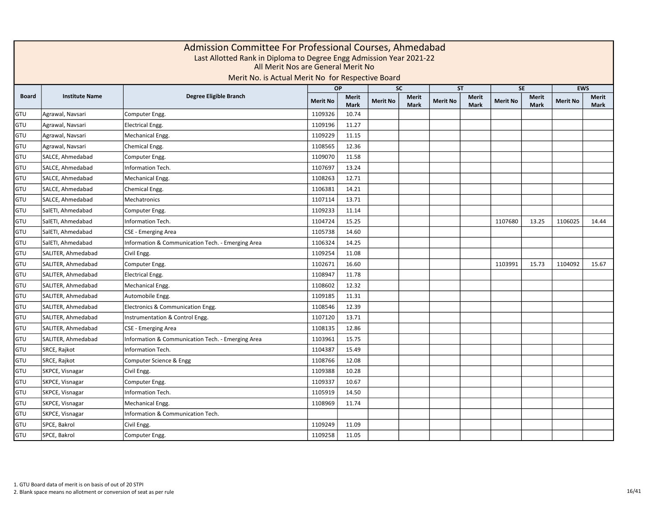|              | Admission Committee For Professional Courses, Ahmedabad<br>Last Allotted Rank in Diploma to Degree Engg Admission Year 2021-22<br>All Merit Nos are General Merit No<br>Merit No. is Actual Merit No for Respective Board<br><b>EWS</b><br><b>OP</b><br><b>SC</b><br><b>SE</b><br><b>ST</b> |                                                   |                 |                      |                 |                             |                 |                      |                 |                             |                 |               |  |  |
|--------------|---------------------------------------------------------------------------------------------------------------------------------------------------------------------------------------------------------------------------------------------------------------------------------------------|---------------------------------------------------|-----------------|----------------------|-----------------|-----------------------------|-----------------|----------------------|-----------------|-----------------------------|-----------------|---------------|--|--|
|              |                                                                                                                                                                                                                                                                                             |                                                   |                 |                      |                 |                             |                 |                      |                 |                             |                 |               |  |  |
| <b>Board</b> | <b>Institute Name</b>                                                                                                                                                                                                                                                                       | Degree Eligible Branch                            | <b>Merit No</b> | Merit<br><b>Mark</b> | <b>Merit No</b> | <b>Merit</b><br><b>Mark</b> | <b>Merit No</b> | Merit<br><b>Mark</b> | <b>Merit No</b> | <b>Merit</b><br><b>Mark</b> | <b>Merit No</b> | Merit<br>Mark |  |  |
| GTU          | Agrawal, Navsari                                                                                                                                                                                                                                                                            | Computer Engg.                                    | 1109326         | 10.74                |                 |                             |                 |                      |                 |                             |                 |               |  |  |
| GTU          | Agrawal, Navsari                                                                                                                                                                                                                                                                            | <b>Electrical Engg.</b>                           | 1109196         | 11.27                |                 |                             |                 |                      |                 |                             |                 |               |  |  |
| GTU          | Agrawal, Navsari                                                                                                                                                                                                                                                                            | Mechanical Engg.                                  | 1109229         | 11.15                |                 |                             |                 |                      |                 |                             |                 |               |  |  |
| GTU          | Agrawal, Navsari                                                                                                                                                                                                                                                                            | Chemical Engg.                                    | 1108565         | 12.36                |                 |                             |                 |                      |                 |                             |                 |               |  |  |
| GTU          | SALCE, Ahmedabad                                                                                                                                                                                                                                                                            | Computer Engg.                                    | 1109070         | 11.58                |                 |                             |                 |                      |                 |                             |                 |               |  |  |
| GTU          | SALCE, Ahmedabad                                                                                                                                                                                                                                                                            | <b>Information Tech.</b>                          | 1107697         | 13.24                |                 |                             |                 |                      |                 |                             |                 |               |  |  |
| GTU          | SALCE, Ahmedabad                                                                                                                                                                                                                                                                            | Mechanical Engg.                                  | 1108263         | 12.71                |                 |                             |                 |                      |                 |                             |                 |               |  |  |
| GTU          | SALCE, Ahmedabad                                                                                                                                                                                                                                                                            | Chemical Engg.                                    | 1106381         | 14.21                |                 |                             |                 |                      |                 |                             |                 |               |  |  |
| GTU          | SALCE, Ahmedabad                                                                                                                                                                                                                                                                            | Mechatronics                                      | 1107114         | 13.71                |                 |                             |                 |                      |                 |                             |                 |               |  |  |
| GTU          | SalETI, Ahmedabad                                                                                                                                                                                                                                                                           | Computer Engg.                                    | 1109233         | 11.14                |                 |                             |                 |                      |                 |                             |                 |               |  |  |
| GTU          | SalETI, Ahmedabad                                                                                                                                                                                                                                                                           | Information Tech.                                 | 1104724         | 15.25                |                 |                             |                 |                      | 1107680         | 13.25                       | 1106025         | 14.44         |  |  |
| GTU          | SalETI, Ahmedabad                                                                                                                                                                                                                                                                           | CSE - Emerging Area                               | 1105738         | 14.60                |                 |                             |                 |                      |                 |                             |                 |               |  |  |
| GTU          | SalETI, Ahmedabad                                                                                                                                                                                                                                                                           | Information & Communication Tech. - Emerging Area | 1106324         | 14.25                |                 |                             |                 |                      |                 |                             |                 |               |  |  |
| GTU          | SALITER, Ahmedabad                                                                                                                                                                                                                                                                          | Civil Engg.                                       | 1109254         | 11.08                |                 |                             |                 |                      |                 |                             |                 |               |  |  |
| GTU          | SALITER, Ahmedabad                                                                                                                                                                                                                                                                          | Computer Engg.                                    | 1102671         | 16.60                |                 |                             |                 |                      | 1103991         | 15.73                       | 1104092         | 15.67         |  |  |
| GTU          | SALITER, Ahmedabad                                                                                                                                                                                                                                                                          | <b>Electrical Engg.</b>                           | 1108947         | 11.78                |                 |                             |                 |                      |                 |                             |                 |               |  |  |
| GTU          | SALITER, Ahmedabad                                                                                                                                                                                                                                                                          | Mechanical Engg.                                  | 1108602         | 12.32                |                 |                             |                 |                      |                 |                             |                 |               |  |  |
| GTU          | SALITER, Ahmedabad                                                                                                                                                                                                                                                                          | Automobile Engg.                                  | 1109185         | 11.31                |                 |                             |                 |                      |                 |                             |                 |               |  |  |
| GTU          | SALITER, Ahmedabad                                                                                                                                                                                                                                                                          | Electronics & Communication Engg.                 | 1108546         | 12.39                |                 |                             |                 |                      |                 |                             |                 |               |  |  |
| GTU          | SALITER, Ahmedabad                                                                                                                                                                                                                                                                          | Instrumentation & Control Engg.                   | 1107120         | 13.71                |                 |                             |                 |                      |                 |                             |                 |               |  |  |
| GTU          | SALITER, Ahmedabad                                                                                                                                                                                                                                                                          | CSE - Emerging Area                               | 1108135         | 12.86                |                 |                             |                 |                      |                 |                             |                 |               |  |  |
| GTU          | SALITER, Ahmedabad                                                                                                                                                                                                                                                                          | Information & Communication Tech. - Emerging Area | 1103961         | 15.75                |                 |                             |                 |                      |                 |                             |                 |               |  |  |
| GTU          | SRCE, Rajkot                                                                                                                                                                                                                                                                                | <b>Information Tech.</b>                          | 1104387         | 15.49                |                 |                             |                 |                      |                 |                             |                 |               |  |  |
| GTU          | SRCE, Rajkot                                                                                                                                                                                                                                                                                | Computer Science & Engg                           | 1108766         | 12.08                |                 |                             |                 |                      |                 |                             |                 |               |  |  |
| GTU          | SKPCE, Visnagar                                                                                                                                                                                                                                                                             | Civil Engg.                                       | 1109388         | 10.28                |                 |                             |                 |                      |                 |                             |                 |               |  |  |
| GTU          | SKPCE, Visnagar                                                                                                                                                                                                                                                                             | Computer Engg.                                    | 1109337         | 10.67                |                 |                             |                 |                      |                 |                             |                 |               |  |  |
| GTU          | SKPCE, Visnagar                                                                                                                                                                                                                                                                             | Information Tech.                                 | 1105919         | 14.50                |                 |                             |                 |                      |                 |                             |                 |               |  |  |
| GTU          | SKPCE, Visnagar                                                                                                                                                                                                                                                                             | Mechanical Engg.                                  | 1108969         | 11.74                |                 |                             |                 |                      |                 |                             |                 |               |  |  |
| GTU          | SKPCE, Visnagar                                                                                                                                                                                                                                                                             | Information & Communication Tech.                 |                 |                      |                 |                             |                 |                      |                 |                             |                 |               |  |  |
| GTU          | SPCE, Bakrol                                                                                                                                                                                                                                                                                | Civil Engg.                                       | 1109249         | 11.09                |                 |                             |                 |                      |                 |                             |                 |               |  |  |
| GTU          | SPCE, Bakrol                                                                                                                                                                                                                                                                                | Computer Engg.                                    | 1109258         | 11.05                |                 |                             |                 |                      |                 |                             |                 |               |  |  |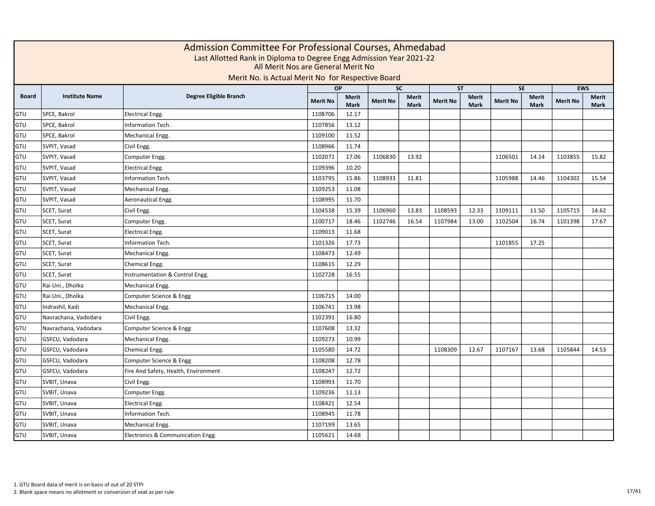|              | Admission Committee For Professional Courses, Ahmedabad<br>Last Allotted Rank in Diploma to Degree Engg Admission Year 2021-22<br>All Merit Nos are General Merit No<br>Merit No. is Actual Merit No for Respective Board<br><b>EWS</b><br><b>OP</b><br><b>SC</b><br><b>SE</b><br><b>ST</b> |                                      |                 |                      |                 |                      |                 |                      |                 |               |                 |               |  |  |
|--------------|---------------------------------------------------------------------------------------------------------------------------------------------------------------------------------------------------------------------------------------------------------------------------------------------|--------------------------------------|-----------------|----------------------|-----------------|----------------------|-----------------|----------------------|-----------------|---------------|-----------------|---------------|--|--|
|              |                                                                                                                                                                                                                                                                                             |                                      |                 |                      |                 |                      |                 |                      |                 |               |                 |               |  |  |
| <b>Board</b> | <b>Institute Name</b>                                                                                                                                                                                                                                                                       | Degree Eligible Branch               | <b>Merit No</b> | Merit<br><b>Mark</b> | <b>Merit No</b> | Merit<br><b>Mark</b> | <b>Merit No</b> | Merit<br><b>Mark</b> | <b>Merit No</b> | Merit<br>Mark | <b>Merit No</b> | Merit<br>Mark |  |  |
| GTU          | SPCE, Bakrol                                                                                                                                                                                                                                                                                | <b>Electrical Engg.</b>              | 1108706         | 12.17                |                 |                      |                 |                      |                 |               |                 |               |  |  |
| GTU          | SPCE, Bakrol                                                                                                                                                                                                                                                                                | Information Tech.                    | 1107856         | 13.12                |                 |                      |                 |                      |                 |               |                 |               |  |  |
| GTU          | SPCE, Bakrol                                                                                                                                                                                                                                                                                | Mechanical Engg.                     | 1109100         | 11.52                |                 |                      |                 |                      |                 |               |                 |               |  |  |
| GTU          | SVPIT, Vasad                                                                                                                                                                                                                                                                                | Civil Engg.                          | 1108966         | 11.74                |                 |                      |                 |                      |                 |               |                 |               |  |  |
| GTU          | SVPIT, Vasad                                                                                                                                                                                                                                                                                | Computer Engg.                       | 1102071         | 17.06                | 1106830         | 13.92                |                 |                      | 1106501         | 14.14         | 1103855         | 15.82         |  |  |
| GTU          | SVPIT, Vasad                                                                                                                                                                                                                                                                                | Electrical Engg.                     | 1109396         | 10.20                |                 |                      |                 |                      |                 |               |                 |               |  |  |
| GTU          | SVPIT, Vasad                                                                                                                                                                                                                                                                                | Information Tech.                    | 1103795         | 15.86                | 1108933         | 11.81                |                 |                      | 1105988         | 14.46         | 1104302         | 15.54         |  |  |
| GTU          | SVPIT, Vasad                                                                                                                                                                                                                                                                                | Mechanical Engg.                     | 1109253         | 11.08                |                 |                      |                 |                      |                 |               |                 |               |  |  |
| GTU          | SVPIT, Vasad                                                                                                                                                                                                                                                                                | Aeronautical Engg.                   | 1108995         | 11.70                |                 |                      |                 |                      |                 |               |                 |               |  |  |
| GTU          | SCET, Surat                                                                                                                                                                                                                                                                                 | Civil Engg.                          | 1104538         | 15.39                | 1106960         | 13.83                | 1108593         | 12.33                | 1109111         | 11.50         | 1105715         | 14.62         |  |  |
| GTU          | SCET, Surat                                                                                                                                                                                                                                                                                 | Computer Engg.                       | 1100717         | 18.46                | 1102746         | 16.54                | 1107984         | 13.00                | 1102504         | 16.74         | 1101398         | 17.67         |  |  |
| GTU          | SCET, Surat                                                                                                                                                                                                                                                                                 | <b>Electrical Engg.</b>              | 1109013         | 11.68                |                 |                      |                 |                      |                 |               |                 |               |  |  |
| GTU          | SCET, Surat                                                                                                                                                                                                                                                                                 | Information Tech.                    | 1101326         | 17.73                |                 |                      |                 |                      | 1101855         | 17.25         |                 |               |  |  |
| GTU          | SCET, Surat                                                                                                                                                                                                                                                                                 | Mechanical Engg.                     | 1108473         | 12.49                |                 |                      |                 |                      |                 |               |                 |               |  |  |
| GTU          | SCET, Surat                                                                                                                                                                                                                                                                                 | Chemical Engg.                       | 1108615         | 12.29                |                 |                      |                 |                      |                 |               |                 |               |  |  |
| GTU          | SCET, Surat                                                                                                                                                                                                                                                                                 | Instrumentation & Control Engg.      | 1102728         | 16.55                |                 |                      |                 |                      |                 |               |                 |               |  |  |
| GTU          | Rai Uni., Dholka                                                                                                                                                                                                                                                                            | Mechanical Engg.                     |                 |                      |                 |                      |                 |                      |                 |               |                 |               |  |  |
| GTU          | Rai Uni., Dholka                                                                                                                                                                                                                                                                            | Computer Science & Engg              | 1106715         | 14.00                |                 |                      |                 |                      |                 |               |                 |               |  |  |
| GTU          | Indrashil, Kadi                                                                                                                                                                                                                                                                             | Mechanical Engg.                     | 1106741         | 13.98                |                 |                      |                 |                      |                 |               |                 |               |  |  |
| GTU          | Navrachana, Vadodara                                                                                                                                                                                                                                                                        | Civil Engg.                          | 1102391         | 16.80                |                 |                      |                 |                      |                 |               |                 |               |  |  |
| GTU          | Navrachana, Vadodara                                                                                                                                                                                                                                                                        | Computer Science & Engg              | 1107608         | 13.32                |                 |                      |                 |                      |                 |               |                 |               |  |  |
| GTU          | GSFCU, Vadodara                                                                                                                                                                                                                                                                             | Mechanical Engg.                     | 1109273         | 10.99                |                 |                      |                 |                      |                 |               |                 |               |  |  |
| GTU          | GSFCU, Vadodara                                                                                                                                                                                                                                                                             | Chemical Engg.                       | 1105580         | 14.72                |                 |                      | 1108309         | 12.67                | 1107167         | 13.68         | 1105844         | 14.53         |  |  |
| GTU          | GSFCU, Vadodara                                                                                                                                                                                                                                                                             | Computer Science & Engg              | 1108208         | 12.78                |                 |                      |                 |                      |                 |               |                 |               |  |  |
| GTU          | GSFCU, Vadodara                                                                                                                                                                                                                                                                             | Fire And Safety, Health, Environment | 1108247         | 12.72                |                 |                      |                 |                      |                 |               |                 |               |  |  |
| GTU          | SVBIT, Unava                                                                                                                                                                                                                                                                                | Civil Engg.                          | 1108993         | 11.70                |                 |                      |                 |                      |                 |               |                 |               |  |  |
| GTU          | SVBIT, Unava                                                                                                                                                                                                                                                                                | Computer Engg.                       | 1109236         | 11.13                |                 |                      |                 |                      |                 |               |                 |               |  |  |
| GTU          | SVBIT, Unava                                                                                                                                                                                                                                                                                | <b>Electrical Engg.</b>              | 1108421         | 12.54                |                 |                      |                 |                      |                 |               |                 |               |  |  |
| GTU          | SVBIT, Unava                                                                                                                                                                                                                                                                                | Information Tech.                    | 1108945         | 11.78                |                 |                      |                 |                      |                 |               |                 |               |  |  |
| GTU          | SVBIT, Unava                                                                                                                                                                                                                                                                                | Mechanical Engg.                     | 1107199         | 13.65                |                 |                      |                 |                      |                 |               |                 |               |  |  |
| GTU          | SVBIT, Unava                                                                                                                                                                                                                                                                                | Electronics & Communication Engg.    | 1105621         | 14.68                |                 |                      |                 |                      |                 |               |                 |               |  |  |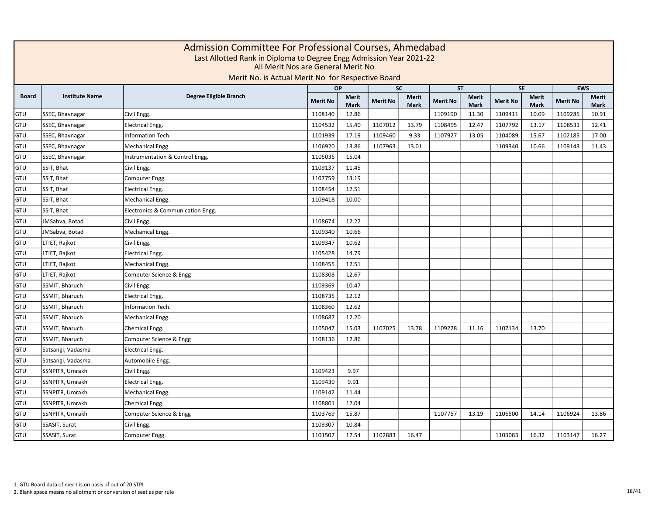|              | Admission Committee For Professional Courses, Ahmedabad<br>Last Allotted Rank in Diploma to Degree Engg Admission Year 2021-22<br>All Merit Nos are General Merit No<br>Merit No. is Actual Merit No for Respective Board<br><b>EWS</b><br><b>OP</b><br><b>SC</b><br><b>ST</b><br><b>SE</b> |                                   |                 |                             |                 |                             |                 |                             |                 |                             |                 |                             |  |  |
|--------------|---------------------------------------------------------------------------------------------------------------------------------------------------------------------------------------------------------------------------------------------------------------------------------------------|-----------------------------------|-----------------|-----------------------------|-----------------|-----------------------------|-----------------|-----------------------------|-----------------|-----------------------------|-----------------|-----------------------------|--|--|
|              |                                                                                                                                                                                                                                                                                             |                                   |                 |                             |                 |                             |                 |                             |                 |                             |                 |                             |  |  |
| <b>Board</b> | <b>Institute Name</b>                                                                                                                                                                                                                                                                       | Degree Eligible Branch            | <b>Merit No</b> | <b>Merit</b><br><b>Mark</b> | <b>Merit No</b> | <b>Merit</b><br><b>Mark</b> | <b>Merit No</b> | <b>Merit</b><br><b>Mark</b> | <b>Merit No</b> | <b>Merit</b><br><b>Mark</b> | <b>Merit No</b> | <b>Merit</b><br><b>Mark</b> |  |  |
| GTU          | SSEC, Bhavnagar                                                                                                                                                                                                                                                                             | Civil Engg.                       | 1108140         | 12.86                       |                 |                             | 1109190         | 11.30                       | 1109411         | 10.09                       | 1109285         | 10.91                       |  |  |
| GTU          | SSEC, Bhavnagar                                                                                                                                                                                                                                                                             | <b>Electrical Engg.</b>           | 1104532         | 15.40                       | 1107012         | 13.79                       | 1108495         | 12.47                       | 1107792         | 13.17                       | 1108531         | 12.41                       |  |  |
| GTU          | SSEC, Bhavnagar                                                                                                                                                                                                                                                                             | Information Tech.                 | 1101939         | 17.19                       | 1109460         | 9.33                        | 1107927         | 13.05                       | 1104089         | 15.67                       | 1102185         | 17.00                       |  |  |
| GTU          | SSEC, Bhavnagar                                                                                                                                                                                                                                                                             | Mechanical Engg.                  | 1106920         | 13.86                       | 1107963         | 13.01                       |                 |                             | 1109340         | 10.66                       | 1109143         | 11.43                       |  |  |
| GTU          | SSEC, Bhavnagar                                                                                                                                                                                                                                                                             | Instrumentation & Control Engg.   | 1105035         | 15.04                       |                 |                             |                 |                             |                 |                             |                 |                             |  |  |
| GTU          | SSIT, Bhat                                                                                                                                                                                                                                                                                  | Civil Engg.                       | 1109137         | 11.45                       |                 |                             |                 |                             |                 |                             |                 |                             |  |  |
| GTU          | SSIT, Bhat                                                                                                                                                                                                                                                                                  | Computer Engg.                    | 1107759         | 13.19                       |                 |                             |                 |                             |                 |                             |                 |                             |  |  |
| GTU          | SSIT, Bhat                                                                                                                                                                                                                                                                                  | <b>Electrical Engg.</b>           | 1108454         | 12.51                       |                 |                             |                 |                             |                 |                             |                 |                             |  |  |
| GTU          | SSIT, Bhat                                                                                                                                                                                                                                                                                  | Mechanical Engg.                  | 1109418         | 10.00                       |                 |                             |                 |                             |                 |                             |                 |                             |  |  |
| GTU          | SSIT, Bhat                                                                                                                                                                                                                                                                                  | Electronics & Communication Engg. |                 |                             |                 |                             |                 |                             |                 |                             |                 |                             |  |  |
| GTU          | JMSabva, Botad                                                                                                                                                                                                                                                                              | Civil Engg.                       | 1108674         | 12.22                       |                 |                             |                 |                             |                 |                             |                 |                             |  |  |
| GTU          | JMSabva, Botad                                                                                                                                                                                                                                                                              | Mechanical Engg.                  | 1109340         | 10.66                       |                 |                             |                 |                             |                 |                             |                 |                             |  |  |
| GTU          | LTIET, Rajkot                                                                                                                                                                                                                                                                               | Civil Engg.                       | 1109347         | 10.62                       |                 |                             |                 |                             |                 |                             |                 |                             |  |  |
| GTU          | LTIET, Rajkot                                                                                                                                                                                                                                                                               | <b>Electrical Engg.</b>           | 1105428         | 14.79                       |                 |                             |                 |                             |                 |                             |                 |                             |  |  |
| GTU          | LTIET, Rajkot                                                                                                                                                                                                                                                                               | Mechanical Engg.                  | 1108455         | 12.51                       |                 |                             |                 |                             |                 |                             |                 |                             |  |  |
| GTU          | LTIET, Rajkot                                                                                                                                                                                                                                                                               | Computer Science & Engg           | 1108308         | 12.67                       |                 |                             |                 |                             |                 |                             |                 |                             |  |  |
| GTU          | SSMIT, Bharuch                                                                                                                                                                                                                                                                              | Civil Engg.                       | 1109369         | 10.47                       |                 |                             |                 |                             |                 |                             |                 |                             |  |  |
| GTU          | SSMIT, Bharuch                                                                                                                                                                                                                                                                              | <b>Electrical Engg.</b>           | 1108735         | 12.12                       |                 |                             |                 |                             |                 |                             |                 |                             |  |  |
| GTU          | SSMIT, Bharuch                                                                                                                                                                                                                                                                              | <b>Information Tech.</b>          | 1108360         | 12.62                       |                 |                             |                 |                             |                 |                             |                 |                             |  |  |
| GTU          | SSMIT, Bharuch                                                                                                                                                                                                                                                                              | Mechanical Engg.                  | 1108687         | 12.20                       |                 |                             |                 |                             |                 |                             |                 |                             |  |  |
| GTU          | SSMIT, Bharuch                                                                                                                                                                                                                                                                              | Chemical Engg.                    | 1105047         | 15.03                       | 1107025         | 13.78                       | 1109228         | 11.16                       | 1107134         | 13.70                       |                 |                             |  |  |
| GTU          | SSMIT, Bharuch                                                                                                                                                                                                                                                                              | Computer Science & Engg           | 1108136         | 12.86                       |                 |                             |                 |                             |                 |                             |                 |                             |  |  |
| GTU          | Satsangi, Vadasma                                                                                                                                                                                                                                                                           | <b>Electrical Engg.</b>           |                 |                             |                 |                             |                 |                             |                 |                             |                 |                             |  |  |
| GTU          | Satsangi, Vadasma                                                                                                                                                                                                                                                                           | Automobile Engg.                  |                 |                             |                 |                             |                 |                             |                 |                             |                 |                             |  |  |
| GTU          | SSNPITR, Umrakh                                                                                                                                                                                                                                                                             | Civil Engg.                       | 1109423         | 9.97                        |                 |                             |                 |                             |                 |                             |                 |                             |  |  |
| GTU          | SSNPITR, Umrakh                                                                                                                                                                                                                                                                             | <b>Electrical Engg.</b>           | 1109430         | 9.91                        |                 |                             |                 |                             |                 |                             |                 |                             |  |  |
| GTU          | SSNPITR, Umrakh                                                                                                                                                                                                                                                                             | Mechanical Engg.                  | 1109142         | 11.44                       |                 |                             |                 |                             |                 |                             |                 |                             |  |  |
| GTU          | SSNPITR, Umrakh                                                                                                                                                                                                                                                                             | Chemical Engg.                    | 1108801         | 12.04                       |                 |                             |                 |                             |                 |                             |                 |                             |  |  |
| GTU          | SSNPITR, Umrakh                                                                                                                                                                                                                                                                             | Computer Science & Engg           | 1103769         | 15.87                       |                 |                             | 1107757         | 13.19                       | 1106500         | 14.14                       | 1106924         | 13.86                       |  |  |
| GTU          | SSASIT, Surat                                                                                                                                                                                                                                                                               | Civil Engg.                       | 1109307         | 10.84                       |                 |                             |                 |                             |                 |                             |                 |                             |  |  |
| GTU          | SSASIT, Surat                                                                                                                                                                                                                                                                               | Computer Engg.                    | 1101507         | 17.54                       | 1102883         | 16.47                       |                 |                             | 1103083         | 16.32                       | 1103147         | 16.27                       |  |  |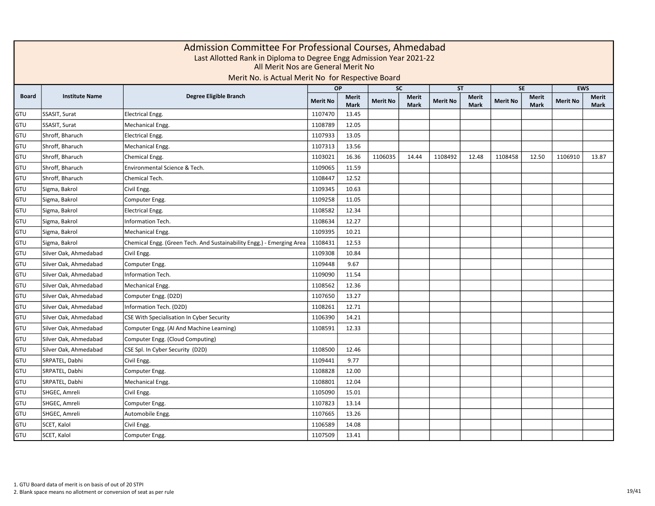|            | Admission Committee For Professional Courses, Ahmedabad<br>Last Allotted Rank in Diploma to Degree Engg Admission Year 2021-22<br>All Merit Nos are General Merit No<br>Merit No. is Actual Merit No for Respective Board<br><b>EWS</b><br><b>OP</b><br><b>SC</b><br><b>SE</b><br><b>ST</b> |                                                                       |                 |                      |                 |                      |                 |                      |                 |               |                 |               |  |  |
|------------|---------------------------------------------------------------------------------------------------------------------------------------------------------------------------------------------------------------------------------------------------------------------------------------------|-----------------------------------------------------------------------|-----------------|----------------------|-----------------|----------------------|-----------------|----------------------|-----------------|---------------|-----------------|---------------|--|--|
|            |                                                                                                                                                                                                                                                                                             |                                                                       |                 |                      |                 |                      |                 |                      |                 |               |                 |               |  |  |
| Board      | <b>Institute Name</b>                                                                                                                                                                                                                                                                       | Degree Eligible Branch                                                | <b>Merit No</b> | Merit<br><b>Mark</b> | <b>Merit No</b> | Merit<br><b>Mark</b> | <b>Merit No</b> | Merit<br><b>Mark</b> | <b>Merit No</b> | Merit<br>Mark | <b>Merit No</b> | Merit<br>Mark |  |  |
| GTU        | SSASIT, Surat                                                                                                                                                                                                                                                                               | <b>Electrical Engg.</b>                                               | 1107470         | 13.45                |                 |                      |                 |                      |                 |               |                 |               |  |  |
| GTU        | SSASIT, Surat                                                                                                                                                                                                                                                                               | Mechanical Engg.                                                      | 1108789         | 12.05                |                 |                      |                 |                      |                 |               |                 |               |  |  |
| GTU        | Shroff, Bharuch                                                                                                                                                                                                                                                                             | <b>Electrical Engg.</b>                                               | 1107933         | 13.05                |                 |                      |                 |                      |                 |               |                 |               |  |  |
| GTU        | Shroff, Bharuch                                                                                                                                                                                                                                                                             | Mechanical Engg.                                                      | 1107313         | 13.56                |                 |                      |                 |                      |                 |               |                 |               |  |  |
| GTU        | Shroff, Bharuch                                                                                                                                                                                                                                                                             | Chemical Engg.                                                        | 1103021         | 16.36                | 1106035         | 14.44                | 1108492         | 12.48                | 1108458         | 12.50         | 1106910         | 13.87         |  |  |
| GTU        | Shroff, Bharuch                                                                                                                                                                                                                                                                             | Environmental Science & Tech.                                         | 1109065         | 11.59                |                 |                      |                 |                      |                 |               |                 |               |  |  |
| GTU        | Shroff, Bharuch                                                                                                                                                                                                                                                                             | Chemical Tech.                                                        | 1108447         | 12.52                |                 |                      |                 |                      |                 |               |                 |               |  |  |
| GTU        | Sigma, Bakrol                                                                                                                                                                                                                                                                               | Civil Engg.                                                           | 1109345         | 10.63                |                 |                      |                 |                      |                 |               |                 |               |  |  |
| GTU        | Sigma, Bakrol                                                                                                                                                                                                                                                                               | Computer Engg.                                                        | 1109258         | 11.05                |                 |                      |                 |                      |                 |               |                 |               |  |  |
| GTU        | Sigma, Bakrol                                                                                                                                                                                                                                                                               | <b>Electrical Engg.</b>                                               | 1108582         | 12.34                |                 |                      |                 |                      |                 |               |                 |               |  |  |
| GTU        | Sigma, Bakrol                                                                                                                                                                                                                                                                               | Information Tech.                                                     | 1108634         | 12.27                |                 |                      |                 |                      |                 |               |                 |               |  |  |
| GTU        | Sigma, Bakrol                                                                                                                                                                                                                                                                               | Mechanical Engg.                                                      | 1109395         | 10.21                |                 |                      |                 |                      |                 |               |                 |               |  |  |
| GTU        | Sigma, Bakrol                                                                                                                                                                                                                                                                               | Chemical Engg. (Green Tech. And Sustainability Engg.) - Emerging Area | 1108431         | 12.53                |                 |                      |                 |                      |                 |               |                 |               |  |  |
| GTU        | Silver Oak, Ahmedabad                                                                                                                                                                                                                                                                       | Civil Engg.                                                           | 1109308         | 10.84                |                 |                      |                 |                      |                 |               |                 |               |  |  |
| GTU        | Silver Oak, Ahmedabad                                                                                                                                                                                                                                                                       | Computer Engg.                                                        | 1109448         | 9.67                 |                 |                      |                 |                      |                 |               |                 |               |  |  |
| GTU        | Silver Oak, Ahmedabad                                                                                                                                                                                                                                                                       | Information Tech.                                                     | 1109090         | 11.54                |                 |                      |                 |                      |                 |               |                 |               |  |  |
| GTU        | Silver Oak, Ahmedabad                                                                                                                                                                                                                                                                       | Mechanical Engg.                                                      | 1108562         | 12.36                |                 |                      |                 |                      |                 |               |                 |               |  |  |
| GTU        | Silver Oak, Ahmedabad                                                                                                                                                                                                                                                                       | Computer Engg. (D2D)                                                  | 1107650         | 13.27                |                 |                      |                 |                      |                 |               |                 |               |  |  |
| GTU        | Silver Oak, Ahmedabad                                                                                                                                                                                                                                                                       | Information Tech. (D2D)                                               | 1108261         | 12.71                |                 |                      |                 |                      |                 |               |                 |               |  |  |
| GTU        | Silver Oak, Ahmedabad                                                                                                                                                                                                                                                                       | CSE With Specialisation In Cyber Security                             | 1106390         | 14.21                |                 |                      |                 |                      |                 |               |                 |               |  |  |
| GTU        | Silver Oak, Ahmedabad                                                                                                                                                                                                                                                                       | Computer Engg. (AI And Machine Learning)                              | 1108591         | 12.33                |                 |                      |                 |                      |                 |               |                 |               |  |  |
| GTU        | Silver Oak, Ahmedabad                                                                                                                                                                                                                                                                       | Computer Engg. (Cloud Computing)                                      |                 |                      |                 |                      |                 |                      |                 |               |                 |               |  |  |
| GTU        | Silver Oak, Ahmedabad                                                                                                                                                                                                                                                                       | CSE Spl. In Cyber Security (D2D)                                      | 1108500         | 12.46                |                 |                      |                 |                      |                 |               |                 |               |  |  |
| GTU        | SRPATEL, Dabhi                                                                                                                                                                                                                                                                              | Civil Engg.                                                           | 1109441         | 9.77                 |                 |                      |                 |                      |                 |               |                 |               |  |  |
| GTU        | SRPATEL, Dabhi                                                                                                                                                                                                                                                                              | Computer Engg.                                                        | 1108828         | 12.00                |                 |                      |                 |                      |                 |               |                 |               |  |  |
| GTU        | SRPATEL, Dabhi                                                                                                                                                                                                                                                                              | Mechanical Engg.                                                      | 1108801         | 12.04                |                 |                      |                 |                      |                 |               |                 |               |  |  |
| GTU        | SHGEC, Amreli                                                                                                                                                                                                                                                                               | Civil Engg.                                                           | 1105090         | 15.01                |                 |                      |                 |                      |                 |               |                 |               |  |  |
| GTU        | SHGEC, Amreli                                                                                                                                                                                                                                                                               | Computer Engg.                                                        | 1107823         | 13.14                |                 |                      |                 |                      |                 |               |                 |               |  |  |
| GTU        | SHGEC, Amreli                                                                                                                                                                                                                                                                               | Automobile Engg.                                                      | 1107665         | 13.26                |                 |                      |                 |                      |                 |               |                 |               |  |  |
| GTU        | SCET, Kalol                                                                                                                                                                                                                                                                                 | Civil Engg.                                                           | 1106589         | 14.08                |                 |                      |                 |                      |                 |               |                 |               |  |  |
| <b>GTU</b> | SCET, Kalol                                                                                                                                                                                                                                                                                 | Computer Engg.                                                        | 1107509         | 13.41                |                 |                      |                 |                      |                 |               |                 |               |  |  |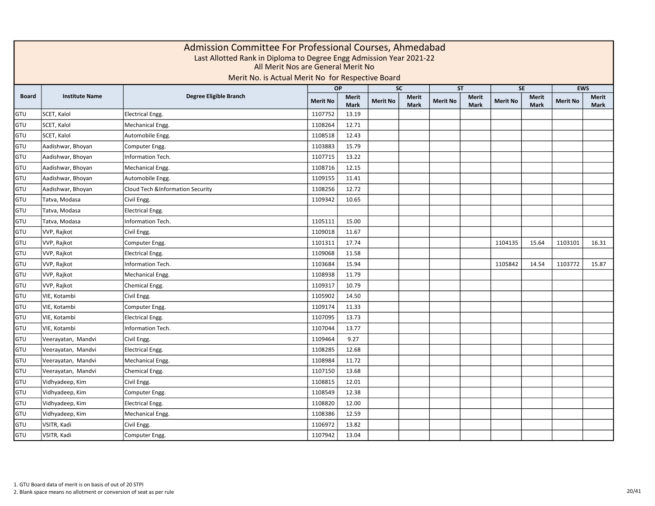|       | Admission Committee For Professional Courses, Ahmedabad<br>Last Allotted Rank in Diploma to Degree Engg Admission Year 2021-22<br>All Merit Nos are General Merit No<br>Merit No. is Actual Merit No for Respective Board<br><b>EWS</b><br><b>OP</b><br><b>SC</b><br><b>SE</b><br><b>ST</b> |                                             |                 |                             |                 |                             |                 |                      |                 |                      |                 |               |  |  |  |
|-------|---------------------------------------------------------------------------------------------------------------------------------------------------------------------------------------------------------------------------------------------------------------------------------------------|---------------------------------------------|-----------------|-----------------------------|-----------------|-----------------------------|-----------------|----------------------|-----------------|----------------------|-----------------|---------------|--|--|--|
|       |                                                                                                                                                                                                                                                                                             |                                             |                 |                             |                 |                             |                 |                      |                 |                      |                 |               |  |  |  |
| Board | <b>Institute Name</b>                                                                                                                                                                                                                                                                       | Degree Eligible Branch                      | <b>Merit No</b> | <b>Merit</b><br><b>Mark</b> | <b>Merit No</b> | <b>Merit</b><br><b>Mark</b> | <b>Merit No</b> | Merit<br><b>Mark</b> | <b>Merit No</b> | <b>Merit</b><br>Mark | <b>Merit No</b> | Merit<br>Mark |  |  |  |
| GTU   | SCET, Kalol                                                                                                                                                                                                                                                                                 | <b>Electrical Engg.</b>                     | 1107752         | 13.19                       |                 |                             |                 |                      |                 |                      |                 |               |  |  |  |
| GTU   | SCET, Kalol                                                                                                                                                                                                                                                                                 | Mechanical Engg.                            | 1108264         | 12.71                       |                 |                             |                 |                      |                 |                      |                 |               |  |  |  |
| GTU   | SCET, Kalol                                                                                                                                                                                                                                                                                 | Automobile Engg.                            | 1108518         | 12.43                       |                 |                             |                 |                      |                 |                      |                 |               |  |  |  |
| GTU   | Aadishwar, Bhoyan                                                                                                                                                                                                                                                                           | Computer Engg.                              | 1103883         | 15.79                       |                 |                             |                 |                      |                 |                      |                 |               |  |  |  |
| GTU   | Aadishwar, Bhoyan                                                                                                                                                                                                                                                                           | Information Tech.                           | 1107715         | 13.22                       |                 |                             |                 |                      |                 |                      |                 |               |  |  |  |
| GTU   | Aadishwar, Bhoyan                                                                                                                                                                                                                                                                           | Mechanical Engg.                            | 1108716         | 12.15                       |                 |                             |                 |                      |                 |                      |                 |               |  |  |  |
| GTU   | Aadishwar, Bhoyan                                                                                                                                                                                                                                                                           | Automobile Engg.                            | 1109155         | 11.41                       |                 |                             |                 |                      |                 |                      |                 |               |  |  |  |
| GTU   | Aadishwar, Bhoyan                                                                                                                                                                                                                                                                           | <b>Cloud Tech &amp;Information Security</b> | 1108256         | 12.72                       |                 |                             |                 |                      |                 |                      |                 |               |  |  |  |
| GTU   | Tatva, Modasa                                                                                                                                                                                                                                                                               | Civil Engg.                                 | 1109342         | 10.65                       |                 |                             |                 |                      |                 |                      |                 |               |  |  |  |
| GTU   | Tatva, Modasa                                                                                                                                                                                                                                                                               | <b>Electrical Engg.</b>                     |                 |                             |                 |                             |                 |                      |                 |                      |                 |               |  |  |  |
| GTU   | Tatva, Modasa                                                                                                                                                                                                                                                                               | Information Tech.                           | 1105111         | 15.00                       |                 |                             |                 |                      |                 |                      |                 |               |  |  |  |
| GTU   | VVP, Rajkot                                                                                                                                                                                                                                                                                 | Civil Engg.                                 | 1109018         | 11.67                       |                 |                             |                 |                      |                 |                      |                 |               |  |  |  |
| GTU   | VVP, Rajkot                                                                                                                                                                                                                                                                                 | Computer Engg.                              | 1101311         | 17.74                       |                 |                             |                 |                      | 1104135         | 15.64                | 1103101         | 16.31         |  |  |  |
| GTU   | VVP, Rajkot                                                                                                                                                                                                                                                                                 | <b>Electrical Engg.</b>                     | 1109068         | 11.58                       |                 |                             |                 |                      |                 |                      |                 |               |  |  |  |
| GTU   | VVP, Rajkot                                                                                                                                                                                                                                                                                 | Information Tech.                           | 1103684         | 15.94                       |                 |                             |                 |                      | 1105842         | 14.54                | 1103772         | 15.87         |  |  |  |
| GTU   | VVP, Rajkot                                                                                                                                                                                                                                                                                 | Mechanical Engg.                            | 1108938         | 11.79                       |                 |                             |                 |                      |                 |                      |                 |               |  |  |  |
| GTU   | VVP, Rajkot                                                                                                                                                                                                                                                                                 | Chemical Engg.                              | 1109317         | 10.79                       |                 |                             |                 |                      |                 |                      |                 |               |  |  |  |
| GTU   | VIE, Kotambi                                                                                                                                                                                                                                                                                | Civil Engg.                                 | 1105902         | 14.50                       |                 |                             |                 |                      |                 |                      |                 |               |  |  |  |
| GTU   | VIE, Kotambi                                                                                                                                                                                                                                                                                | Computer Engg.                              | 1109174         | 11.33                       |                 |                             |                 |                      |                 |                      |                 |               |  |  |  |
| GTU   | VIE, Kotambi                                                                                                                                                                                                                                                                                | <b>Electrical Engg.</b>                     | 1107095         | 13.73                       |                 |                             |                 |                      |                 |                      |                 |               |  |  |  |
| GTU   | VIE, Kotambi                                                                                                                                                                                                                                                                                | Information Tech.                           | 1107044         | 13.77                       |                 |                             |                 |                      |                 |                      |                 |               |  |  |  |
| GTU   | Veerayatan, Mandvi                                                                                                                                                                                                                                                                          | Civil Engg.                                 | 1109464         | 9.27                        |                 |                             |                 |                      |                 |                      |                 |               |  |  |  |
| GTU   | Veerayatan, Mandvi                                                                                                                                                                                                                                                                          | Electrical Engg.                            | 1108285         | 12.68                       |                 |                             |                 |                      |                 |                      |                 |               |  |  |  |
| GTU   | Veerayatan, Mandvi                                                                                                                                                                                                                                                                          | Mechanical Engg.                            | 1108984         | 11.72                       |                 |                             |                 |                      |                 |                      |                 |               |  |  |  |
| GTU   | Veerayatan, Mandvi                                                                                                                                                                                                                                                                          | Chemical Engg.                              | 1107150         | 13.68                       |                 |                             |                 |                      |                 |                      |                 |               |  |  |  |
| GTU   | Vidhyadeep, Kim                                                                                                                                                                                                                                                                             | Civil Engg.                                 | 1108815         | 12.01                       |                 |                             |                 |                      |                 |                      |                 |               |  |  |  |
| GTU   | Vidhyadeep, Kim                                                                                                                                                                                                                                                                             | Computer Engg.                              | 1108549         | 12.38                       |                 |                             |                 |                      |                 |                      |                 |               |  |  |  |
| GTU   | Vidhyadeep, Kim                                                                                                                                                                                                                                                                             | <b>Electrical Engg.</b>                     | 1108820         | 12.00                       |                 |                             |                 |                      |                 |                      |                 |               |  |  |  |
| GTU   | Vidhyadeep, Kim                                                                                                                                                                                                                                                                             | Mechanical Engg.                            | 1108386         | 12.59                       |                 |                             |                 |                      |                 |                      |                 |               |  |  |  |
| GTU   | VSITR, Kadi                                                                                                                                                                                                                                                                                 | Civil Engg.                                 | 1106972         | 13.82                       |                 |                             |                 |                      |                 |                      |                 |               |  |  |  |
| GTU   | VSITR, Kadi                                                                                                                                                                                                                                                                                 | Computer Engg.                              | 1107942         | 13.04                       |                 |                             |                 |                      |                 |                      |                 |               |  |  |  |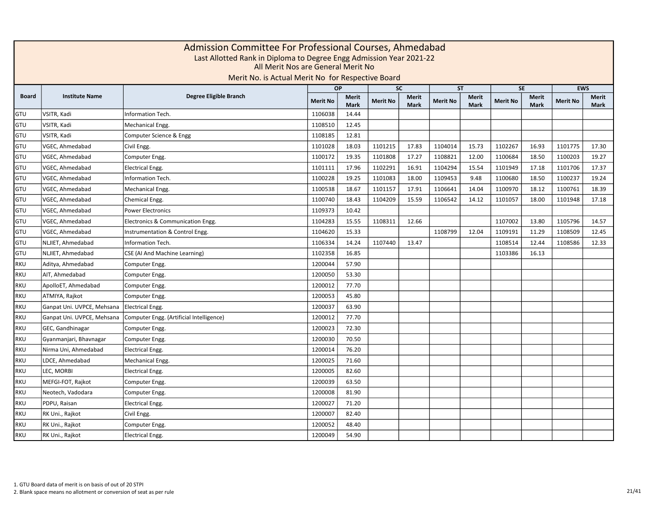|              | Admission Committee For Professional Courses, Ahmedabad<br>Last Allotted Rank in Diploma to Degree Engg Admission Year 2021-22<br>All Merit Nos are General Merit No<br>Merit No. is Actual Merit No for Respective Board<br><b>EWS</b><br><b>OP</b><br><b>SC</b><br><b>ST</b><br><b>SE</b> |                                          |                 |                             |                 |                             |                 |                      |                 |                             |                 |                      |  |  |
|--------------|---------------------------------------------------------------------------------------------------------------------------------------------------------------------------------------------------------------------------------------------------------------------------------------------|------------------------------------------|-----------------|-----------------------------|-----------------|-----------------------------|-----------------|----------------------|-----------------|-----------------------------|-----------------|----------------------|--|--|
|              |                                                                                                                                                                                                                                                                                             |                                          |                 |                             |                 |                             |                 |                      |                 |                             |                 |                      |  |  |
| <b>Board</b> | <b>Institute Name</b>                                                                                                                                                                                                                                                                       | Degree Eligible Branch                   | <b>Merit No</b> | <b>Merit</b><br><b>Mark</b> | <b>Merit No</b> | <b>Merit</b><br><b>Mark</b> | <b>Merit No</b> | Merit<br><b>Mark</b> | <b>Merit No</b> | <b>Merit</b><br><b>Mark</b> | <b>Merit No</b> | Merit<br><b>Mark</b> |  |  |
| GTU          | VSITR, Kadi                                                                                                                                                                                                                                                                                 | Information Tech.                        | 1106038         | 14.44                       |                 |                             |                 |                      |                 |                             |                 |                      |  |  |
| GTU          | VSITR, Kadi                                                                                                                                                                                                                                                                                 | Mechanical Engg.                         | 1108510         | 12.45                       |                 |                             |                 |                      |                 |                             |                 |                      |  |  |
| GTU          | VSITR, Kadi                                                                                                                                                                                                                                                                                 | Computer Science & Engg                  | 1108185         | 12.81                       |                 |                             |                 |                      |                 |                             |                 |                      |  |  |
| GTU          | VGEC, Ahmedabad                                                                                                                                                                                                                                                                             | Civil Engg.                              | 1101028         | 18.03                       | 1101215         | 17.83                       | 1104014         | 15.73                | 1102267         | 16.93                       | 1101775         | 17.30                |  |  |
| GTU          | VGEC, Ahmedabad                                                                                                                                                                                                                                                                             | Computer Engg.                           | 1100172         | 19.35                       | 1101808         | 17.27                       | 1108821         | 12.00                | 1100684         | 18.50                       | 1100203         | 19.27                |  |  |
| GTU          | VGEC, Ahmedabad                                                                                                                                                                                                                                                                             | <b>Electrical Engg.</b>                  | 1101111         | 17.96                       | 1102291         | 16.91                       | 1104294         | 15.54                | 1101949         | 17.18                       | 1101706         | 17.37                |  |  |
| GTU          | VGEC, Ahmedabad                                                                                                                                                                                                                                                                             | Information Tech.                        | 1100228         | 19.25                       | 1101083         | 18.00                       | 1109453         | 9.48                 | 1100680         | 18.50                       | 1100237         | 19.24                |  |  |
| GTU          | VGEC, Ahmedabad                                                                                                                                                                                                                                                                             | Mechanical Engg.                         | 1100538         | 18.67                       | 1101157         | 17.91                       | 1106641         | 14.04                | 1100970         | 18.12                       | 1100761         | 18.39                |  |  |
| GTU          | VGEC, Ahmedabad                                                                                                                                                                                                                                                                             | Chemical Engg.                           | 1100740         | 18.43                       | 1104209         | 15.59                       | 1106542         | 14.12                | 1101057         | 18.00                       | 1101948         | 17.18                |  |  |
| GTU          | VGEC, Ahmedabad                                                                                                                                                                                                                                                                             | <b>Power Electronics</b>                 | 1109373         | 10.42                       |                 |                             |                 |                      |                 |                             |                 |                      |  |  |
| GTU          | VGEC, Ahmedabad                                                                                                                                                                                                                                                                             | Electronics & Communication Engg.        | 1104283         | 15.55                       | 1108311         | 12.66                       |                 |                      | 1107002         | 13.80                       | 1105796         | 14.57                |  |  |
| GTU          | VGEC, Ahmedabad                                                                                                                                                                                                                                                                             | Instrumentation & Control Engg.          | 1104620         | 15.33                       |                 |                             | 1108799         | 12.04                | 1109191         | 11.29                       | 1108509         | 12.45                |  |  |
| GTU          | NLJIET, Ahmedabad                                                                                                                                                                                                                                                                           | Information Tech.                        | 1106334         | 14.24                       | 1107440         | 13.47                       |                 |                      | 1108514         | 12.44                       | 1108586         | 12.33                |  |  |
| GTU          | NLJIET, Ahmedabad                                                                                                                                                                                                                                                                           | CSE (AI And Machine Learning)            | 1102358         | 16.85                       |                 |                             |                 |                      | 1103386         | 16.13                       |                 |                      |  |  |
| <b>RKU</b>   | Aditya, Ahmedabad                                                                                                                                                                                                                                                                           | Computer Engg.                           | 1200044         | 57.90                       |                 |                             |                 |                      |                 |                             |                 |                      |  |  |
| <b>RKU</b>   | AIT. Ahmedabad                                                                                                                                                                                                                                                                              | Computer Engg.                           | 1200050         | 53.30                       |                 |                             |                 |                      |                 |                             |                 |                      |  |  |
| <b>RKU</b>   | ApolloET, Ahmedabad                                                                                                                                                                                                                                                                         | Computer Engg.                           | 1200012         | 77.70                       |                 |                             |                 |                      |                 |                             |                 |                      |  |  |
| <b>RKU</b>   | ATMIYA, Rajkot                                                                                                                                                                                                                                                                              | Computer Engg.                           | 1200053         | 45.80                       |                 |                             |                 |                      |                 |                             |                 |                      |  |  |
| <b>RKU</b>   | Ganpat Uni. UVPCE, Mehsana                                                                                                                                                                                                                                                                  | Electrical Engg.                         | 1200037         | 63.90                       |                 |                             |                 |                      |                 |                             |                 |                      |  |  |
| RKU          | Ganpat Uni. UVPCE, Mehsana                                                                                                                                                                                                                                                                  | Computer Engg. (Artificial Intelligence) | 1200012         | 77.70                       |                 |                             |                 |                      |                 |                             |                 |                      |  |  |
| RKU          | GEC, Gandhinagar                                                                                                                                                                                                                                                                            | Computer Engg.                           | 1200023         | 72.30                       |                 |                             |                 |                      |                 |                             |                 |                      |  |  |
| <b>RKU</b>   | Gyanmanjari, Bhavnagar                                                                                                                                                                                                                                                                      | Computer Engg.                           | 1200030         | 70.50                       |                 |                             |                 |                      |                 |                             |                 |                      |  |  |
| <b>RKU</b>   | Nirma Uni, Ahmedabad                                                                                                                                                                                                                                                                        | <b>Electrical Engg.</b>                  | 1200014         | 76.20                       |                 |                             |                 |                      |                 |                             |                 |                      |  |  |
| <b>RKU</b>   | LDCE, Ahmedabad                                                                                                                                                                                                                                                                             | Mechanical Engg.                         | 1200025         | 71.60                       |                 |                             |                 |                      |                 |                             |                 |                      |  |  |
| <b>RKU</b>   | LEC, MORBI                                                                                                                                                                                                                                                                                  | <b>Electrical Engg.</b>                  | 1200005         | 82.60                       |                 |                             |                 |                      |                 |                             |                 |                      |  |  |
| <b>RKU</b>   | MEFGI-FOT, Rajkot                                                                                                                                                                                                                                                                           | Computer Engg.                           | 1200039         | 63.50                       |                 |                             |                 |                      |                 |                             |                 |                      |  |  |
| <b>RKU</b>   | Neotech, Vadodara                                                                                                                                                                                                                                                                           | Computer Engg.                           | 1200008         | 81.90                       |                 |                             |                 |                      |                 |                             |                 |                      |  |  |
| RKU          | PDPU, Raisan                                                                                                                                                                                                                                                                                | Electrical Engg.                         | 1200027         | 71.20                       |                 |                             |                 |                      |                 |                             |                 |                      |  |  |
| <b>RKU</b>   | RK Uni., Rajkot                                                                                                                                                                                                                                                                             | Civil Engg.                              | 1200007         | 82.40                       |                 |                             |                 |                      |                 |                             |                 |                      |  |  |
| <b>RKU</b>   | RK Uni., Rajkot                                                                                                                                                                                                                                                                             | Computer Engg.                           | 1200052         | 48.40                       |                 |                             |                 |                      |                 |                             |                 |                      |  |  |
| <b>RKU</b>   | RK Uni., Rajkot                                                                                                                                                                                                                                                                             | <b>Electrical Engg.</b>                  | 1200049         | 54.90                       |                 |                             |                 |                      |                 |                             |                 |                      |  |  |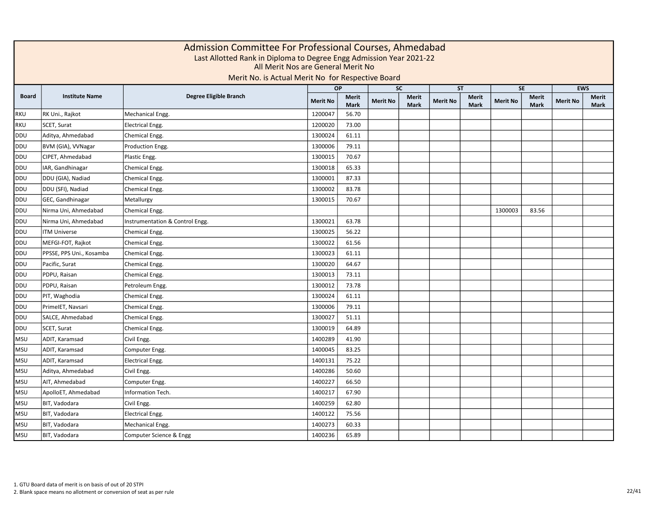|              | Admission Committee For Professional Courses, Ahmedabad<br>Last Allotted Rank in Diploma to Degree Engg Admission Year 2021-22<br>All Merit Nos are General Merit No<br>Merit No. is Actual Merit No for Respective Board<br><b>EWS</b><br><b>OP</b><br><b>SC</b><br><b>SE</b><br><b>ST</b> |                                 |                 |                             |                 |                             |                 |                      |                 |                             |                 |                             |  |  |  |
|--------------|---------------------------------------------------------------------------------------------------------------------------------------------------------------------------------------------------------------------------------------------------------------------------------------------|---------------------------------|-----------------|-----------------------------|-----------------|-----------------------------|-----------------|----------------------|-----------------|-----------------------------|-----------------|-----------------------------|--|--|--|
|              |                                                                                                                                                                                                                                                                                             |                                 |                 |                             |                 |                             |                 |                      |                 |                             |                 |                             |  |  |  |
| <b>Board</b> | <b>Institute Name</b>                                                                                                                                                                                                                                                                       | Degree Eligible Branch          | <b>Merit No</b> | <b>Merit</b><br><b>Mark</b> | <b>Merit No</b> | <b>Merit</b><br><b>Mark</b> | <b>Merit No</b> | Merit<br><b>Mark</b> | <b>Merit No</b> | <b>Merit</b><br><b>Mark</b> | <b>Merit No</b> | <b>Merit</b><br><b>Mark</b> |  |  |  |
| <b>RKU</b>   | RK Uni., Rajkot                                                                                                                                                                                                                                                                             | Mechanical Engg.                | 1200047         | 56.70                       |                 |                             |                 |                      |                 |                             |                 |                             |  |  |  |
| <b>RKU</b>   | SCET, Surat                                                                                                                                                                                                                                                                                 | Electrical Engg.                | 1200020         | 73.00                       |                 |                             |                 |                      |                 |                             |                 |                             |  |  |  |
| <b>DDU</b>   | Aditya, Ahmedabad                                                                                                                                                                                                                                                                           | Chemical Engg.                  | 1300024         | 61.11                       |                 |                             |                 |                      |                 |                             |                 |                             |  |  |  |
| <b>DDU</b>   | BVM (GIA), VVNagar                                                                                                                                                                                                                                                                          | Production Engg.                | 1300006         | 79.11                       |                 |                             |                 |                      |                 |                             |                 |                             |  |  |  |
| <b>DDU</b>   | CIPET, Ahmedabad                                                                                                                                                                                                                                                                            | Plastic Engg.                   | 1300015         | 70.67                       |                 |                             |                 |                      |                 |                             |                 |                             |  |  |  |
| <b>DDU</b>   | IAR, Gandhinagar                                                                                                                                                                                                                                                                            | Chemical Engg.                  | 1300018         | 65.33                       |                 |                             |                 |                      |                 |                             |                 |                             |  |  |  |
| <b>DDU</b>   | DDU (GIA), Nadiad                                                                                                                                                                                                                                                                           | Chemical Engg.                  | 1300001         | 87.33                       |                 |                             |                 |                      |                 |                             |                 |                             |  |  |  |
| <b>DDU</b>   | DDU (SFI), Nadiad                                                                                                                                                                                                                                                                           | Chemical Engg.                  | 1300002         | 83.78                       |                 |                             |                 |                      |                 |                             |                 |                             |  |  |  |
| <b>DDU</b>   | GEC, Gandhinagar                                                                                                                                                                                                                                                                            | Metallurgy                      | 1300015         | 70.67                       |                 |                             |                 |                      |                 |                             |                 |                             |  |  |  |
| <b>DDU</b>   | Nirma Uni, Ahmedabad                                                                                                                                                                                                                                                                        | Chemical Engg.                  |                 |                             |                 |                             |                 |                      | 1300003         | 83.56                       |                 |                             |  |  |  |
| <b>DDU</b>   | Nirma Uni, Ahmedabad                                                                                                                                                                                                                                                                        | Instrumentation & Control Engg. | 1300021         | 63.78                       |                 |                             |                 |                      |                 |                             |                 |                             |  |  |  |
| <b>DDU</b>   | <b>ITM Universe</b>                                                                                                                                                                                                                                                                         | Chemical Engg.                  | 1300025         | 56.22                       |                 |                             |                 |                      |                 |                             |                 |                             |  |  |  |
| <b>DDU</b>   | MEFGI-FOT, Rajkot                                                                                                                                                                                                                                                                           | Chemical Engg.                  | 1300022         | 61.56                       |                 |                             |                 |                      |                 |                             |                 |                             |  |  |  |
| <b>DDU</b>   | PPSSE, PPS Uni., Kosamba                                                                                                                                                                                                                                                                    | Chemical Engg.                  | 1300023         | 61.11                       |                 |                             |                 |                      |                 |                             |                 |                             |  |  |  |
| <b>DDU</b>   | Pacific, Surat                                                                                                                                                                                                                                                                              | Chemical Engg.                  | 1300020         | 64.67                       |                 |                             |                 |                      |                 |                             |                 |                             |  |  |  |
| <b>DDU</b>   | PDPU, Raisan                                                                                                                                                                                                                                                                                | Chemical Engg.                  | 1300013         | 73.11                       |                 |                             |                 |                      |                 |                             |                 |                             |  |  |  |
| <b>DDU</b>   | PDPU, Raisan                                                                                                                                                                                                                                                                                | Petroleum Engg.                 | 1300012         | 73.78                       |                 |                             |                 |                      |                 |                             |                 |                             |  |  |  |
| <b>DDU</b>   | PIT, Waghodia                                                                                                                                                                                                                                                                               | Chemical Engg.                  | 1300024         | 61.11                       |                 |                             |                 |                      |                 |                             |                 |                             |  |  |  |
| <b>DDU</b>   | PrimeIET, Navsari                                                                                                                                                                                                                                                                           | Chemical Engg.                  | 1300006         | 79.11                       |                 |                             |                 |                      |                 |                             |                 |                             |  |  |  |
| <b>DDU</b>   | SALCE, Ahmedabad                                                                                                                                                                                                                                                                            | Chemical Engg.                  | 1300027         | 51.11                       |                 |                             |                 |                      |                 |                             |                 |                             |  |  |  |
| <b>DDU</b>   | SCET, Surat                                                                                                                                                                                                                                                                                 | Chemical Engg.                  | 1300019         | 64.89                       |                 |                             |                 |                      |                 |                             |                 |                             |  |  |  |
| <b>MSU</b>   | ADIT, Karamsad                                                                                                                                                                                                                                                                              | Civil Engg.                     | 1400289         | 41.90                       |                 |                             |                 |                      |                 |                             |                 |                             |  |  |  |
| <b>MSU</b>   | ADIT, Karamsad                                                                                                                                                                                                                                                                              | Computer Engg.                  | 1400045         | 83.25                       |                 |                             |                 |                      |                 |                             |                 |                             |  |  |  |
| <b>MSU</b>   | ADIT, Karamsad                                                                                                                                                                                                                                                                              | <b>Electrical Engg.</b>         | 1400131         | 75.22                       |                 |                             |                 |                      |                 |                             |                 |                             |  |  |  |
| <b>MSU</b>   | Aditya, Ahmedabad                                                                                                                                                                                                                                                                           | Civil Engg.                     | 1400286         | 50.60                       |                 |                             |                 |                      |                 |                             |                 |                             |  |  |  |
| <b>MSU</b>   | AIT, Ahmedabad                                                                                                                                                                                                                                                                              | Computer Engg.                  | 1400227         | 66.50                       |                 |                             |                 |                      |                 |                             |                 |                             |  |  |  |
| <b>MSU</b>   | ApolloET, Ahmedabad                                                                                                                                                                                                                                                                         | Information Tech.               | 1400217         | 67.90                       |                 |                             |                 |                      |                 |                             |                 |                             |  |  |  |
| <b>MSU</b>   | BIT, Vadodara                                                                                                                                                                                                                                                                               | Civil Engg.                     | 1400259         | 62.80                       |                 |                             |                 |                      |                 |                             |                 |                             |  |  |  |
| <b>MSU</b>   | BIT, Vadodara                                                                                                                                                                                                                                                                               | <b>Electrical Engg.</b>         | 1400122         | 75.56                       |                 |                             |                 |                      |                 |                             |                 |                             |  |  |  |
| <b>MSU</b>   | BIT, Vadodara                                                                                                                                                                                                                                                                               | Mechanical Engg.                | 1400273         | 60.33                       |                 |                             |                 |                      |                 |                             |                 |                             |  |  |  |
| <b>MSU</b>   | BIT, Vadodara                                                                                                                                                                                                                                                                               | Computer Science & Engg         | 1400236         | 65.89                       |                 |                             |                 |                      |                 |                             |                 |                             |  |  |  |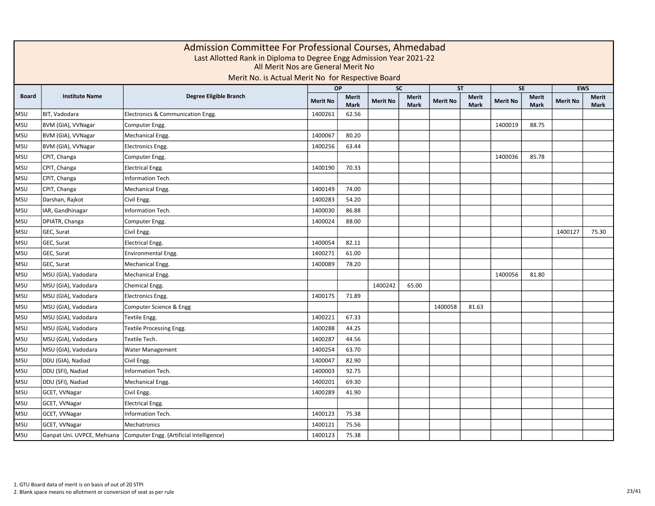|              |                       | Admission Committee For Professional Courses, Ahmedabad<br>Last Allotted Rank in Diploma to Degree Engg Admission Year 2021-22<br>All Merit Nos are General Merit No<br>Merit No. is Actual Merit No for Respective Board |                 |                             |                 |                             |                 |                      |                 |                             |                 |                      |
|--------------|-----------------------|---------------------------------------------------------------------------------------------------------------------------------------------------------------------------------------------------------------------------|-----------------|-----------------------------|-----------------|-----------------------------|-----------------|----------------------|-----------------|-----------------------------|-----------------|----------------------|
|              |                       |                                                                                                                                                                                                                           |                 | OP                          |                 | $\overline{SC}$             |                 | ST                   |                 | SE                          |                 | <b>EWS</b>           |
| <b>Board</b> | <b>Institute Name</b> | <b>Degree Eligible Branch</b>                                                                                                                                                                                             | <b>Merit No</b> | <b>Merit</b><br><b>Mark</b> | <b>Merit No</b> | <b>Merit</b><br><b>Mark</b> | <b>Merit No</b> | Merit<br><b>Mark</b> | <b>Merit No</b> | <b>Merit</b><br><b>Mark</b> | <b>Merit No</b> | <b>Merit</b><br>Mark |
| <b>MSU</b>   | BIT, Vadodara         | Electronics & Communication Engg.                                                                                                                                                                                         | 1400261         | 62.56                       |                 |                             |                 |                      |                 |                             |                 |                      |
| <b>MSU</b>   | BVM (GIA), VVNagar    | Computer Engg.                                                                                                                                                                                                            |                 |                             |                 |                             |                 |                      | 1400019         | 88.75                       |                 |                      |
| <b>MSU</b>   | BVM (GIA), VVNagar    | Mechanical Engg.                                                                                                                                                                                                          | 1400067         | 80.20                       |                 |                             |                 |                      |                 |                             |                 |                      |
| <b>MSU</b>   | BVM (GIA), VVNagar    | <b>Electronics Engg.</b>                                                                                                                                                                                                  | 1400256         | 63.44                       |                 |                             |                 |                      |                 |                             |                 |                      |
| <b>MSU</b>   | CPIT, Changa          | Computer Engg.                                                                                                                                                                                                            |                 |                             |                 |                             |                 |                      | 1400036         | 85.78                       |                 |                      |
| <b>MSU</b>   | CPIT, Changa          | <b>Electrical Engg.</b>                                                                                                                                                                                                   | 1400190         | 70.33                       |                 |                             |                 |                      |                 |                             |                 |                      |
| <b>MSU</b>   | CPIT, Changa          | Information Tech.                                                                                                                                                                                                         |                 |                             |                 |                             |                 |                      |                 |                             |                 |                      |
| <b>MSU</b>   | CPIT, Changa          | Mechanical Engg.                                                                                                                                                                                                          | 1400149         | 74.00                       |                 |                             |                 |                      |                 |                             |                 |                      |
| <b>MSU</b>   | Darshan, Rajkot       | Civil Engg.                                                                                                                                                                                                               | 1400283         | 54.20                       |                 |                             |                 |                      |                 |                             |                 |                      |
| <b>MSU</b>   | IAR, Gandhinagar      | Information Tech.                                                                                                                                                                                                         | 1400030         | 86.88                       |                 |                             |                 |                      |                 |                             |                 |                      |
| <b>MSU</b>   | DPIATR, Changa        | Computer Engg.                                                                                                                                                                                                            | 1400024         | 88.00                       |                 |                             |                 |                      |                 |                             |                 |                      |
| <b>MSU</b>   | GEC, Surat            | Civil Engg.                                                                                                                                                                                                               |                 |                             |                 |                             |                 |                      |                 |                             | 1400127         | 75.30                |
| <b>MSU</b>   | GEC, Surat            | <b>Electrical Engg.</b>                                                                                                                                                                                                   | 1400054         | 82.11                       |                 |                             |                 |                      |                 |                             |                 |                      |
| <b>MSU</b>   | GEC, Surat            | Environmental Engg.                                                                                                                                                                                                       | 1400271         | 61.00                       |                 |                             |                 |                      |                 |                             |                 |                      |
| <b>MSU</b>   | GEC, Surat            | Mechanical Engg.                                                                                                                                                                                                          | 1400089         | 78.20                       |                 |                             |                 |                      |                 |                             |                 |                      |
| <b>MSU</b>   | MSU (GIA), Vadodara   | Mechanical Engg.                                                                                                                                                                                                          |                 |                             |                 |                             |                 |                      | 1400056         | 81.80                       |                 |                      |
| <b>MSU</b>   | MSU (GIA), Vadodara   | Chemical Engg.                                                                                                                                                                                                            |                 |                             | 1400242         | 65.00                       |                 |                      |                 |                             |                 |                      |
| <b>MSU</b>   | MSU (GIA), Vadodara   | Electronics Engg.                                                                                                                                                                                                         | 1400175         | 71.89                       |                 |                             |                 |                      |                 |                             |                 |                      |
| <b>MSU</b>   | MSU (GIA), Vadodara   | Computer Science & Engg                                                                                                                                                                                                   |                 |                             |                 |                             | 1400058         | 81.63                |                 |                             |                 |                      |
| <b>MSU</b>   | MSU (GIA), Vadodara   | Textile Engg.                                                                                                                                                                                                             | 1400221         | 67.33                       |                 |                             |                 |                      |                 |                             |                 |                      |
| <b>MSU</b>   | MSU (GIA), Vadodara   | Textile Processing Engg.                                                                                                                                                                                                  | 1400288         | 44.25                       |                 |                             |                 |                      |                 |                             |                 |                      |
| <b>MSU</b>   | MSU (GIA), Vadodara   | Textile Tech.                                                                                                                                                                                                             | 1400287         | 44.56                       |                 |                             |                 |                      |                 |                             |                 |                      |
| <b>MSU</b>   | MSU (GIA), Vadodara   | Water Management                                                                                                                                                                                                          | 1400254         | 63.70                       |                 |                             |                 |                      |                 |                             |                 |                      |
| <b>MSU</b>   | DDU (GIA), Nadiad     | Civil Engg.                                                                                                                                                                                                               | 1400047         | 82.90                       |                 |                             |                 |                      |                 |                             |                 |                      |
| <b>MSU</b>   | DDU (SFI), Nadiad     | Information Tech.                                                                                                                                                                                                         | 1400003         | 92.75                       |                 |                             |                 |                      |                 |                             |                 |                      |
| <b>MSU</b>   | DDU (SFI), Nadiad     | Mechanical Engg.                                                                                                                                                                                                          | 1400201         | 69.30                       |                 |                             |                 |                      |                 |                             |                 |                      |
| <b>MSU</b>   | GCET, VVNagar         | Civil Engg.                                                                                                                                                                                                               | 1400289         | 41.90                       |                 |                             |                 |                      |                 |                             |                 |                      |
| <b>MSU</b>   | GCET, VVNagar         | <b>Electrical Engg.</b>                                                                                                                                                                                                   |                 |                             |                 |                             |                 |                      |                 |                             |                 |                      |
| <b>MSU</b>   | GCET, VVNagar         | Information Tech.                                                                                                                                                                                                         | 1400123         | 75.38                       |                 |                             |                 |                      |                 |                             |                 |                      |
| <b>MSU</b>   | GCET, VVNagar         | Mechatronics                                                                                                                                                                                                              | 1400121         | 75.56                       |                 |                             |                 |                      |                 |                             |                 |                      |
| <b>MSU</b>   |                       | Ganpat Uni. UVPCE, Mehsana   Computer Engg. (Artificial Intelligence)                                                                                                                                                     | 1400123         | 75.38                       |                 |                             |                 |                      |                 |                             |                 |                      |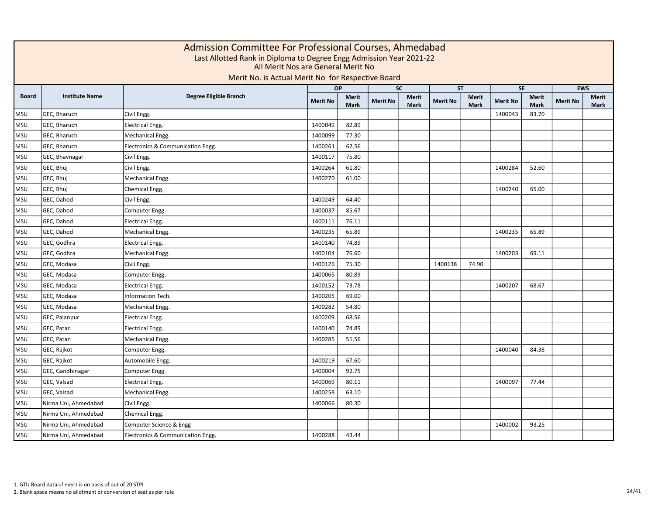|              |                       | Admission Committee For Professional Courses, Ahmedabad<br>Last Allotted Rank in Diploma to Degree Engg Admission Year 2021-22<br>All Merit Nos are General Merit No<br>Merit No. is Actual Merit No for Respective Board |                 |                             |                 |                             |                 |                      |                 |                             |                 |                             |
|--------------|-----------------------|---------------------------------------------------------------------------------------------------------------------------------------------------------------------------------------------------------------------------|-----------------|-----------------------------|-----------------|-----------------------------|-----------------|----------------------|-----------------|-----------------------------|-----------------|-----------------------------|
|              |                       |                                                                                                                                                                                                                           |                 | <b>OP</b>                   |                 | <b>SC</b>                   | <b>ST</b>       |                      |                 | <b>SE</b>                   |                 | <b>EWS</b>                  |
| <b>Board</b> | <b>Institute Name</b> | Degree Eligible Branch                                                                                                                                                                                                    | <b>Merit No</b> | <b>Merit</b><br><b>Mark</b> | <b>Merit No</b> | <b>Merit</b><br><b>Mark</b> | <b>Merit No</b> | Merit<br><b>Mark</b> | <b>Merit No</b> | <b>Merit</b><br><b>Mark</b> | <b>Merit No</b> | <b>Merit</b><br><b>Mark</b> |
| <b>MSU</b>   | GEC, Bharuch          | Civil Engg.                                                                                                                                                                                                               |                 |                             |                 |                             |                 |                      | 1400043         | 83.70                       |                 |                             |
| <b>MSU</b>   | GEC, Bharuch          | <b>Electrical Engg.</b>                                                                                                                                                                                                   | 1400049         | 82.89                       |                 |                             |                 |                      |                 |                             |                 |                             |
| <b>MSU</b>   | GEC, Bharuch          | Mechanical Engg.                                                                                                                                                                                                          | 1400099         | 77.30                       |                 |                             |                 |                      |                 |                             |                 |                             |
| <b>MSU</b>   | GEC, Bharuch          | Electronics & Communication Engg.                                                                                                                                                                                         | 1400261         | 62.56                       |                 |                             |                 |                      |                 |                             |                 |                             |
| <b>MSU</b>   | GEC, Bhavnagar        | Civil Engg.                                                                                                                                                                                                               | 1400117         | 75.80                       |                 |                             |                 |                      |                 |                             |                 |                             |
| <b>MSU</b>   | GEC, Bhuj             | Civil Engg.                                                                                                                                                                                                               | 1400264         | 61.80                       |                 |                             |                 |                      | 1400284         | 52.60                       |                 |                             |
| <b>MSU</b>   | GEC, Bhuj             | Mechanical Engg.                                                                                                                                                                                                          | 1400270         | 61.00                       |                 |                             |                 |                      |                 |                             |                 |                             |
| <b>MSU</b>   | GEC, Bhuj             | Chemical Engg.                                                                                                                                                                                                            |                 |                             |                 |                             |                 |                      | 1400240         | 65.00                       |                 |                             |
| <b>MSU</b>   | GEC, Dahod            | Civil Engg.                                                                                                                                                                                                               | 1400249         | 64.40                       |                 |                             |                 |                      |                 |                             |                 |                             |
| <b>MSU</b>   | GEC, Dahod            | Computer Engg.                                                                                                                                                                                                            | 1400037         | 85.67                       |                 |                             |                 |                      |                 |                             |                 |                             |
| <b>MSU</b>   | GEC, Dahod            | <b>Electrical Engg.</b>                                                                                                                                                                                                   | 1400111         | 76.11                       |                 |                             |                 |                      |                 |                             |                 |                             |
| <b>MSU</b>   | GEC, Dahod            | Mechanical Engg.                                                                                                                                                                                                          | 1400235         | 65.89                       |                 |                             |                 |                      | 1400235         | 65.89                       |                 |                             |
| <b>MSU</b>   | GEC, Godhra           | <b>Electrical Engg.</b>                                                                                                                                                                                                   | 1400140         | 74.89                       |                 |                             |                 |                      |                 |                             |                 |                             |
| <b>MSU</b>   | GEC, Godhra           | Mechanical Engg.                                                                                                                                                                                                          | 1400104         | 76.60                       |                 |                             |                 |                      | 1400203         | 69.11                       |                 |                             |
| <b>MSU</b>   | GEC, Modasa           | Civil Engg.                                                                                                                                                                                                               | 1400126         | 75.30                       |                 |                             | 1400138         | 74.90                |                 |                             |                 |                             |
| <b>MSU</b>   | GEC, Modasa           | Computer Engg.                                                                                                                                                                                                            | 1400065         | 80.89                       |                 |                             |                 |                      |                 |                             |                 |                             |
| <b>MSU</b>   | GEC, Modasa           | <b>Electrical Engg.</b>                                                                                                                                                                                                   | 1400152         | 73.78                       |                 |                             |                 |                      | 1400207         | 68.67                       |                 |                             |
| <b>MSU</b>   | GEC, Modasa           | Information Tech.                                                                                                                                                                                                         | 1400205         | 69.00                       |                 |                             |                 |                      |                 |                             |                 |                             |
| <b>MSU</b>   | GEC, Modasa           | Mechanical Engg.                                                                                                                                                                                                          | 1400282         | 54.80                       |                 |                             |                 |                      |                 |                             |                 |                             |
| <b>MSU</b>   | GEC, Palanpur         | Electrical Engg.                                                                                                                                                                                                          | 1400209         | 68.56                       |                 |                             |                 |                      |                 |                             |                 |                             |
| <b>MSU</b>   | GEC, Patan            | Electrical Engg.                                                                                                                                                                                                          | 1400140         | 74.89                       |                 |                             |                 |                      |                 |                             |                 |                             |
| <b>MSU</b>   | GEC, Patan            | Mechanical Engg.                                                                                                                                                                                                          | 1400285         | 51.56                       |                 |                             |                 |                      |                 |                             |                 |                             |
| <b>MSU</b>   | GEC, Rajkot           | Computer Engg.                                                                                                                                                                                                            |                 |                             |                 |                             |                 |                      | 1400040         | 84.38                       |                 |                             |
| <b>MSU</b>   | GEC, Rajkot           | Automobile Engg.                                                                                                                                                                                                          | 1400219         | 67.60                       |                 |                             |                 |                      |                 |                             |                 |                             |
| <b>MSU</b>   | GEC, Gandhinagar      | Computer Engg.                                                                                                                                                                                                            | 1400004         | 92.75                       |                 |                             |                 |                      |                 |                             |                 |                             |
| <b>MSU</b>   | GEC, Valsad           | <b>Electrical Engg.</b>                                                                                                                                                                                                   | 1400069         | 80.11                       |                 |                             |                 |                      | 1400097         | 77.44                       |                 |                             |
| <b>MSU</b>   | GEC, Valsad           | Mechanical Engg.                                                                                                                                                                                                          | 1400258         | 63.10                       |                 |                             |                 |                      |                 |                             |                 |                             |
| <b>MSU</b>   | Nirma Uni, Ahmedabad  | Civil Engg.                                                                                                                                                                                                               | 1400066         | 80.30                       |                 |                             |                 |                      |                 |                             |                 |                             |
| <b>MSU</b>   | Nirma Uni, Ahmedabad  | Chemical Engg.                                                                                                                                                                                                            |                 |                             |                 |                             |                 |                      |                 |                             |                 |                             |
| <b>MSU</b>   | Nirma Uni, Ahmedabad  | Computer Science & Engg                                                                                                                                                                                                   |                 |                             |                 |                             |                 |                      | 1400002         | 93.25                       |                 |                             |
| <b>MSU</b>   | Nirma Uni, Ahmedabad  | Electronics & Communication Engg.                                                                                                                                                                                         | 1400288         | 43.44                       |                 |                             |                 |                      |                 |                             |                 |                             |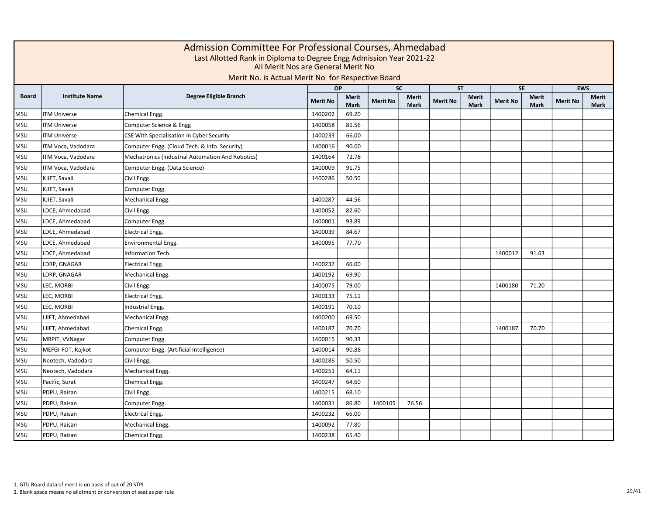|              | Admission Committee For Professional Courses, Ahmedabad<br>Last Allotted Rank in Diploma to Degree Engg Admission Year 2021-22<br>All Merit Nos are General Merit No<br>Merit No. is Actual Merit No for Respective Board<br><b>SC</b><br><b>SE</b><br><b>EWS</b><br><b>OP</b><br><b>ST</b> |                                                   |                 |                             |                 |                             |                 |                      |                 |                             |                 |                             |  |  |  |
|--------------|---------------------------------------------------------------------------------------------------------------------------------------------------------------------------------------------------------------------------------------------------------------------------------------------|---------------------------------------------------|-----------------|-----------------------------|-----------------|-----------------------------|-----------------|----------------------|-----------------|-----------------------------|-----------------|-----------------------------|--|--|--|
|              |                                                                                                                                                                                                                                                                                             |                                                   |                 |                             |                 |                             |                 |                      |                 |                             |                 |                             |  |  |  |
| <b>Board</b> | <b>Institute Name</b>                                                                                                                                                                                                                                                                       | Degree Eligible Branch                            | <b>Merit No</b> | <b>Merit</b><br><b>Mark</b> | <b>Merit No</b> | <b>Merit</b><br><b>Mark</b> | <b>Merit No</b> | Merit<br><b>Mark</b> | <b>Merit No</b> | <b>Merit</b><br><b>Mark</b> | <b>Merit No</b> | <b>Merit</b><br><b>Mark</b> |  |  |  |
| <b>MSU</b>   | <b>ITM Universe</b>                                                                                                                                                                                                                                                                         | Chemical Engg.                                    | 1400202         | 69.20                       |                 |                             |                 |                      |                 |                             |                 |                             |  |  |  |
| <b>MSU</b>   | <b>ITM Universe</b>                                                                                                                                                                                                                                                                         | Computer Science & Engg                           | 1400058         | 81.56                       |                 |                             |                 |                      |                 |                             |                 |                             |  |  |  |
| <b>MSU</b>   | <b>ITM Universe</b>                                                                                                                                                                                                                                                                         | CSE With Specialisation In Cyber Security         | 1400233         | 66.00                       |                 |                             |                 |                      |                 |                             |                 |                             |  |  |  |
| <b>MSU</b>   | ITM Voca, Vadodara                                                                                                                                                                                                                                                                          | Computer Engg. (Cloud Tech. & Info. Security)     | 1400016         | 90.00                       |                 |                             |                 |                      |                 |                             |                 |                             |  |  |  |
| <b>MSU</b>   | ITM Voca, Vadodara                                                                                                                                                                                                                                                                          | Mechatronics (Industrial Automation And Robotics) | 1400164         | 72.78                       |                 |                             |                 |                      |                 |                             |                 |                             |  |  |  |
| <b>MSU</b>   | ITM Voca, Vadodara                                                                                                                                                                                                                                                                          | Computer Engg. (Data Science)                     | 1400009         | 91.75                       |                 |                             |                 |                      |                 |                             |                 |                             |  |  |  |
| <b>MSU</b>   | KJIET, Savali                                                                                                                                                                                                                                                                               | Civil Engg.                                       | 1400286         | 50.50                       |                 |                             |                 |                      |                 |                             |                 |                             |  |  |  |
| <b>MSU</b>   | KJIET, Savali                                                                                                                                                                                                                                                                               | Computer Engg.                                    |                 |                             |                 |                             |                 |                      |                 |                             |                 |                             |  |  |  |
| <b>MSU</b>   | KJIET, Savali                                                                                                                                                                                                                                                                               | Mechanical Engg.                                  | 1400287         | 44.56                       |                 |                             |                 |                      |                 |                             |                 |                             |  |  |  |
| <b>MSU</b>   | LDCE, Ahmedabad                                                                                                                                                                                                                                                                             | Civil Engg.                                       | 1400052         | 82.60                       |                 |                             |                 |                      |                 |                             |                 |                             |  |  |  |
| <b>MSU</b>   | LDCE, Ahmedabad                                                                                                                                                                                                                                                                             | Computer Engg.                                    | 1400001         | 93.89                       |                 |                             |                 |                      |                 |                             |                 |                             |  |  |  |
| <b>MSU</b>   | LDCE, Ahmedabad                                                                                                                                                                                                                                                                             | <b>Electrical Engg.</b>                           | 1400039         | 84.67                       |                 |                             |                 |                      |                 |                             |                 |                             |  |  |  |
| <b>MSU</b>   | LDCE, Ahmedabad                                                                                                                                                                                                                                                                             | Environmental Engg.                               | 1400095         | 77.70                       |                 |                             |                 |                      |                 |                             |                 |                             |  |  |  |
| <b>MSU</b>   | LDCE, Ahmedabad                                                                                                                                                                                                                                                                             | Information Tech.                                 |                 |                             |                 |                             |                 |                      | 1400012         | 91.63                       |                 |                             |  |  |  |
| <b>MSU</b>   | LDRP, GNAGAR                                                                                                                                                                                                                                                                                | <b>Electrical Engg.</b>                           | 1400232         | 66.00                       |                 |                             |                 |                      |                 |                             |                 |                             |  |  |  |
| <b>MSU</b>   | LDRP, GNAGAR                                                                                                                                                                                                                                                                                | Mechanical Engg.                                  | 1400192         | 69.90                       |                 |                             |                 |                      |                 |                             |                 |                             |  |  |  |
| <b>MSU</b>   | LEC, MORBI                                                                                                                                                                                                                                                                                  | Civil Engg.                                       | 1400075         | 79.00                       |                 |                             |                 |                      | 1400180         | 71.20                       |                 |                             |  |  |  |
| <b>MSU</b>   | LEC, MORBI                                                                                                                                                                                                                                                                                  | <b>Electrical Engg.</b>                           | 1400133         | 75.11                       |                 |                             |                 |                      |                 |                             |                 |                             |  |  |  |
| <b>MSU</b>   | LEC, MORBI                                                                                                                                                                                                                                                                                  | Industrial Engg.                                  | 1400191         | 70.10                       |                 |                             |                 |                      |                 |                             |                 |                             |  |  |  |
| <b>MSU</b>   | LJIET, Ahmedabad                                                                                                                                                                                                                                                                            | Mechanical Engg.                                  | 1400200         | 69.50                       |                 |                             |                 |                      |                 |                             |                 |                             |  |  |  |
| <b>MSU</b>   | LJIET, Ahmedabad                                                                                                                                                                                                                                                                            | Chemical Engg.                                    | 1400187         | 70.70                       |                 |                             |                 |                      | 1400187         | 70.70                       |                 |                             |  |  |  |
| <b>MSU</b>   | MBPIT, VVNagar                                                                                                                                                                                                                                                                              | Computer Engg.                                    | 1400015         | 90.33                       |                 |                             |                 |                      |                 |                             |                 |                             |  |  |  |
| <b>MSU</b>   | MEFGI-FOT, Rajkot                                                                                                                                                                                                                                                                           | Computer Engg. (Artificial Intelligence)          | 1400014         | 90.88                       |                 |                             |                 |                      |                 |                             |                 |                             |  |  |  |
| <b>MSU</b>   | Neotech, Vadodara                                                                                                                                                                                                                                                                           | Civil Engg.                                       | 1400286         | 50.50                       |                 |                             |                 |                      |                 |                             |                 |                             |  |  |  |
| <b>MSU</b>   | Neotech, Vadodara                                                                                                                                                                                                                                                                           | Mechanical Engg.                                  | 1400251         | 64.11                       |                 |                             |                 |                      |                 |                             |                 |                             |  |  |  |
| <b>MSU</b>   | Pacific, Surat                                                                                                                                                                                                                                                                              | Chemical Engg.                                    | 1400247         | 64.60                       |                 |                             |                 |                      |                 |                             |                 |                             |  |  |  |
| <b>MSU</b>   | PDPU, Raisan                                                                                                                                                                                                                                                                                | Civil Engg.                                       | 1400215         | 68.10                       |                 |                             |                 |                      |                 |                             |                 |                             |  |  |  |
| <b>MSU</b>   | PDPU, Raisan                                                                                                                                                                                                                                                                                | Computer Engg.                                    | 1400031         | 86.80                       | 1400105         | 76.56                       |                 |                      |                 |                             |                 |                             |  |  |  |
| <b>MSU</b>   | PDPU, Raisan                                                                                                                                                                                                                                                                                | <b>Electrical Engg.</b>                           | 1400232         | 66.00                       |                 |                             |                 |                      |                 |                             |                 |                             |  |  |  |
| <b>MSU</b>   | PDPU, Raisan                                                                                                                                                                                                                                                                                | Mechanical Engg.                                  | 1400092         | 77.80                       |                 |                             |                 |                      |                 |                             |                 |                             |  |  |  |
| <b>MSU</b>   | PDPU, Raisan                                                                                                                                                                                                                                                                                | Chemical Engg.                                    | 1400238         | 65.40                       |                 |                             |                 |                      |                 |                             |                 |                             |  |  |  |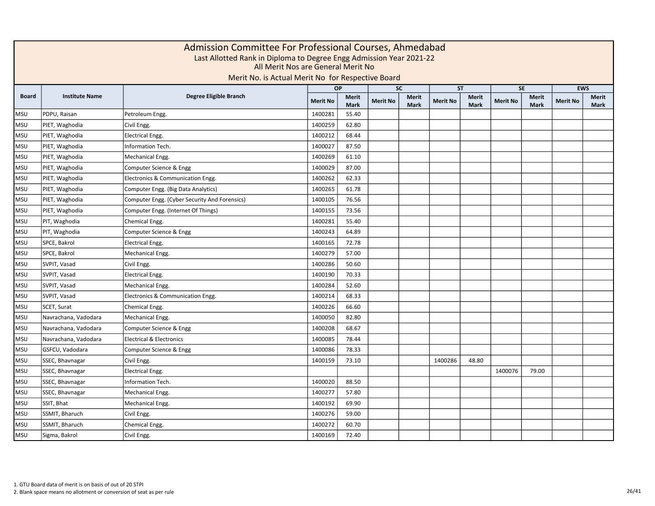|              |                       | Admission Committee For Professional Courses, Ahmedabad<br>Last Allotted Rank in Diploma to Degree Engg Admission Year 2021-22<br>All Merit Nos are General Merit No<br>Merit No. is Actual Merit No for Respective Board |                 |               |                 |                             |                 |                             |                 |                      |                 |                      |
|--------------|-----------------------|---------------------------------------------------------------------------------------------------------------------------------------------------------------------------------------------------------------------------|-----------------|---------------|-----------------|-----------------------------|-----------------|-----------------------------|-----------------|----------------------|-----------------|----------------------|
|              |                       |                                                                                                                                                                                                                           |                 | <b>OP</b>     | <b>SC</b>       |                             |                 | <b>ST</b>                   |                 | <b>SE</b>            |                 | <b>EWS</b>           |
| <b>Board</b> | <b>Institute Name</b> | Degree Eligible Branch                                                                                                                                                                                                    | <b>Merit No</b> | Merit<br>Mark | <b>Merit No</b> | <b>Merit</b><br><b>Mark</b> | <b>Merit No</b> | <b>Merit</b><br><b>Mark</b> | <b>Merit No</b> | <b>Merit</b><br>Mark | <b>Merit No</b> | Merit<br><b>Mark</b> |
| <b>MSU</b>   | PDPU, Raisan          | Petroleum Engg.                                                                                                                                                                                                           | 1400281         | 55.40         |                 |                             |                 |                             |                 |                      |                 |                      |
| <b>MSU</b>   | PIET, Waghodia        | Civil Engg.                                                                                                                                                                                                               | 1400259         | 62.80         |                 |                             |                 |                             |                 |                      |                 |                      |
| <b>MSU</b>   | PIET, Waghodia        | <b>Electrical Engg.</b>                                                                                                                                                                                                   | 1400212         | 68.44         |                 |                             |                 |                             |                 |                      |                 |                      |
| <b>MSU</b>   | PIET, Waghodia        | Information Tech.                                                                                                                                                                                                         | 1400027         | 87.50         |                 |                             |                 |                             |                 |                      |                 |                      |
| <b>MSU</b>   | PIET, Waghodia        | Mechanical Engg.                                                                                                                                                                                                          | 1400269         | 61.10         |                 |                             |                 |                             |                 |                      |                 |                      |
| <b>MSU</b>   | PIET, Waghodia        | Computer Science & Engg                                                                                                                                                                                                   | 1400029         | 87.00         |                 |                             |                 |                             |                 |                      |                 |                      |
| <b>MSU</b>   | PIET, Waghodia        | Electronics & Communication Engg.                                                                                                                                                                                         | 1400262         | 62.33         |                 |                             |                 |                             |                 |                      |                 |                      |
| <b>MSU</b>   | PIET, Waghodia        | Computer Engg. (Big Data Analytics)                                                                                                                                                                                       | 1400265         | 61.78         |                 |                             |                 |                             |                 |                      |                 |                      |
| <b>MSU</b>   | PIET, Waghodia        | Computer Engg. (Cyber Security And Forensics)                                                                                                                                                                             | 1400105         | 76.56         |                 |                             |                 |                             |                 |                      |                 |                      |
| <b>MSU</b>   | PIET, Waghodia        | Computer Engg. (Internet Of Things)                                                                                                                                                                                       | 1400155         | 73.56         |                 |                             |                 |                             |                 |                      |                 |                      |
| <b>MSU</b>   | PIT, Waghodia         | Chemical Engg.                                                                                                                                                                                                            | 1400281         | 55.40         |                 |                             |                 |                             |                 |                      |                 |                      |
| <b>MSU</b>   | PIT, Waghodia         | Computer Science & Engg                                                                                                                                                                                                   | 1400243         | 64.89         |                 |                             |                 |                             |                 |                      |                 |                      |
| <b>MSU</b>   | SPCE, Bakrol          | Electrical Engg.                                                                                                                                                                                                          | 1400165         | 72.78         |                 |                             |                 |                             |                 |                      |                 |                      |
| <b>MSU</b>   | SPCE, Bakrol          | Mechanical Engg.                                                                                                                                                                                                          | 1400279         | 57.00         |                 |                             |                 |                             |                 |                      |                 |                      |
| <b>MSU</b>   | SVPIT, Vasad          | Civil Engg.                                                                                                                                                                                                               | 1400286         | 50.60         |                 |                             |                 |                             |                 |                      |                 |                      |
| <b>MSU</b>   | SVPIT, Vasad          | <b>Electrical Engg.</b>                                                                                                                                                                                                   | 1400190         | 70.33         |                 |                             |                 |                             |                 |                      |                 |                      |
| <b>MSU</b>   | SVPIT, Vasad          | Mechanical Engg.                                                                                                                                                                                                          | 1400284         | 52.60         |                 |                             |                 |                             |                 |                      |                 |                      |
| <b>MSU</b>   | SVPIT, Vasad          | Electronics & Communication Engg.                                                                                                                                                                                         | 1400214         | 68.33         |                 |                             |                 |                             |                 |                      |                 |                      |
| <b>MSU</b>   | SCET, Surat           | Chemical Engg.                                                                                                                                                                                                            | 1400226         | 66.60         |                 |                             |                 |                             |                 |                      |                 |                      |
| <b>MSU</b>   | Navrachana, Vadodara  | Mechanical Engg.                                                                                                                                                                                                          | 1400050         | 82.80         |                 |                             |                 |                             |                 |                      |                 |                      |
| <b>MSU</b>   | Navrachana, Vadodara  | Computer Science & Engg                                                                                                                                                                                                   | 1400208         | 68.67         |                 |                             |                 |                             |                 |                      |                 |                      |
| <b>MSU</b>   | Navrachana, Vadodara  | <b>Electrical &amp; Electronics</b>                                                                                                                                                                                       | 1400085         | 78.44         |                 |                             |                 |                             |                 |                      |                 |                      |
| <b>MSU</b>   | GSFCU, Vadodara       | Computer Science & Engg                                                                                                                                                                                                   | 1400086         | 78.33         |                 |                             |                 |                             |                 |                      |                 |                      |
| <b>MSU</b>   | SSEC, Bhavnagar       | Civil Engg.                                                                                                                                                                                                               | 1400159         | 73.10         |                 |                             | 1400286         | 48.80                       |                 |                      |                 |                      |
| <b>MSU</b>   | SSEC, Bhavnagar       | <b>Electrical Engg.</b>                                                                                                                                                                                                   |                 |               |                 |                             |                 |                             | 1400076         | 79.00                |                 |                      |
| <b>MSU</b>   | SSEC, Bhavnagar       | Information Tech.                                                                                                                                                                                                         | 1400020         | 88.50         |                 |                             |                 |                             |                 |                      |                 |                      |
| <b>MSU</b>   | SSEC, Bhavnagar       | Mechanical Engg.                                                                                                                                                                                                          | 1400277         | 57.80         |                 |                             |                 |                             |                 |                      |                 |                      |
| <b>MSU</b>   | SSIT, Bhat            | Mechanical Engg.                                                                                                                                                                                                          | 1400192         | 69.90         |                 |                             |                 |                             |                 |                      |                 |                      |
| <b>MSU</b>   | SSMIT, Bharuch        | Civil Engg.                                                                                                                                                                                                               | 1400276         | 59.00         |                 |                             |                 |                             |                 |                      |                 |                      |
| <b>MSU</b>   | SSMIT, Bharuch        | Chemical Engg.                                                                                                                                                                                                            | 1400272         | 60.70         |                 |                             |                 |                             |                 |                      |                 |                      |
| <b>MSU</b>   | Sigma, Bakrol         | Civil Engg.                                                                                                                                                                                                               | 1400169         | 72.40         |                 |                             |                 |                             |                 |                      |                 |                      |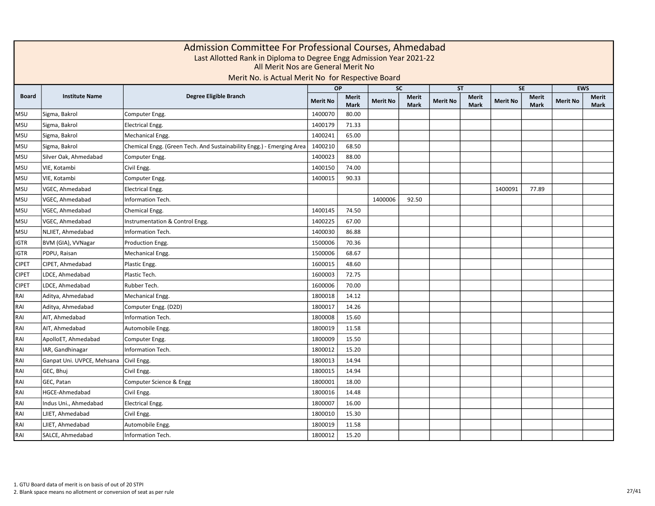|              |                            | Admission Committee For Professional Courses, Ahmedabad<br>Last Allotted Rank in Diploma to Degree Engg Admission Year 2021-22<br>All Merit Nos are General Merit No<br>Merit No. is Actual Merit No for Respective Board |                 |                             |                 |                             |                 |                      |                 |                             |                 |               |
|--------------|----------------------------|---------------------------------------------------------------------------------------------------------------------------------------------------------------------------------------------------------------------------|-----------------|-----------------------------|-----------------|-----------------------------|-----------------|----------------------|-----------------|-----------------------------|-----------------|---------------|
|              |                            |                                                                                                                                                                                                                           |                 | <b>OP</b>                   | <b>SC</b>       |                             |                 | <b>ST</b>            |                 | <b>SE</b>                   |                 | <b>EWS</b>    |
| <b>Board</b> | <b>Institute Name</b>      | Degree Eligible Branch                                                                                                                                                                                                    | <b>Merit No</b> | <b>Merit</b><br><b>Mark</b> | <b>Merit No</b> | <b>Merit</b><br><b>Mark</b> | <b>Merit No</b> | Merit<br><b>Mark</b> | <b>Merit No</b> | <b>Merit</b><br><b>Mark</b> | <b>Merit No</b> | Merit<br>Mark |
| <b>MSU</b>   | Sigma, Bakrol              | Computer Engg.                                                                                                                                                                                                            | 1400070         | 80.00                       |                 |                             |                 |                      |                 |                             |                 |               |
| <b>MSU</b>   | Sigma, Bakrol              | <b>Electrical Engg.</b>                                                                                                                                                                                                   | 1400179         | 71.33                       |                 |                             |                 |                      |                 |                             |                 |               |
| <b>MSU</b>   | Sigma, Bakrol              | Mechanical Engg.                                                                                                                                                                                                          | 1400241         | 65.00                       |                 |                             |                 |                      |                 |                             |                 |               |
| <b>MSU</b>   | Sigma, Bakrol              | Chemical Engg. (Green Tech. And Sustainability Engg.) - Emerging Area                                                                                                                                                     | 1400210         | 68.50                       |                 |                             |                 |                      |                 |                             |                 |               |
| <b>MSU</b>   | Silver Oak, Ahmedabad      | Computer Engg.                                                                                                                                                                                                            | 1400023         | 88.00                       |                 |                             |                 |                      |                 |                             |                 |               |
| <b>MSU</b>   | VIE, Kotambi               | Civil Engg.                                                                                                                                                                                                               | 1400150         | 74.00                       |                 |                             |                 |                      |                 |                             |                 |               |
| <b>MSU</b>   | VIE, Kotambi               | Computer Engg.                                                                                                                                                                                                            | 1400015         | 90.33                       |                 |                             |                 |                      |                 |                             |                 |               |
| <b>MSU</b>   | VGEC, Ahmedabad            | <b>Electrical Engg.</b>                                                                                                                                                                                                   |                 |                             |                 |                             |                 |                      | 1400091         | 77.89                       |                 |               |
| <b>MSU</b>   | VGEC, Ahmedabad            | Information Tech.                                                                                                                                                                                                         |                 |                             | 1400006         | 92.50                       |                 |                      |                 |                             |                 |               |
| <b>MSU</b>   | VGEC, Ahmedabad            | Chemical Engg.                                                                                                                                                                                                            | 1400145         | 74.50                       |                 |                             |                 |                      |                 |                             |                 |               |
| <b>MSU</b>   | VGEC, Ahmedabad            | Instrumentation & Control Engg.                                                                                                                                                                                           | 1400225         | 67.00                       |                 |                             |                 |                      |                 |                             |                 |               |
| <b>MSU</b>   | NLJIET, Ahmedabad          | Information Tech.                                                                                                                                                                                                         | 1400030         | 86.88                       |                 |                             |                 |                      |                 |                             |                 |               |
| <b>IGTR</b>  | BVM (GIA), VVNagar         | Production Engg.                                                                                                                                                                                                          | 1500006         | 70.36                       |                 |                             |                 |                      |                 |                             |                 |               |
| <b>IGTR</b>  | PDPU, Raisan               | Mechanical Engg.                                                                                                                                                                                                          | 1500006         | 68.67                       |                 |                             |                 |                      |                 |                             |                 |               |
| <b>CIPET</b> | CIPET, Ahmedabad           | Plastic Engg.                                                                                                                                                                                                             | 1600015         | 48.60                       |                 |                             |                 |                      |                 |                             |                 |               |
| <b>CIPET</b> | LDCE, Ahmedabad            | Plastic Tech.                                                                                                                                                                                                             | 1600003         | 72.75                       |                 |                             |                 |                      |                 |                             |                 |               |
| <b>CIPET</b> | LDCE, Ahmedabad            | Rubber Tech.                                                                                                                                                                                                              | 1600006         | 70.00                       |                 |                             |                 |                      |                 |                             |                 |               |
| RAI          | Aditya, Ahmedabad          | Mechanical Engg.                                                                                                                                                                                                          | 1800018         | 14.12                       |                 |                             |                 |                      |                 |                             |                 |               |
| RAI          | Aditya, Ahmedabad          | Computer Engg. (D2D)                                                                                                                                                                                                      | 1800017         | 14.26                       |                 |                             |                 |                      |                 |                             |                 |               |
| RAI          | AIT, Ahmedabad             | Information Tech.                                                                                                                                                                                                         | 1800008         | 15.60                       |                 |                             |                 |                      |                 |                             |                 |               |
| RAI          | AIT. Ahmedabad             | Automobile Engg.                                                                                                                                                                                                          | 1800019         | 11.58                       |                 |                             |                 |                      |                 |                             |                 |               |
| RAI          | ApolloET, Ahmedabad        | Computer Engg.                                                                                                                                                                                                            | 1800009         | 15.50                       |                 |                             |                 |                      |                 |                             |                 |               |
| RAI          | IAR, Gandhinagar           | Information Tech.                                                                                                                                                                                                         | 1800012         | 15.20                       |                 |                             |                 |                      |                 |                             |                 |               |
| RAI          | Ganpat Uni. UVPCE, Mehsana | Civil Engg.                                                                                                                                                                                                               | 1800013         | 14.94                       |                 |                             |                 |                      |                 |                             |                 |               |
| <b>IRAI</b>  | GEC, Bhuj                  | Civil Engg.                                                                                                                                                                                                               | 1800015         | 14.94                       |                 |                             |                 |                      |                 |                             |                 |               |
| RAI          | GEC, Patan                 | Computer Science & Engg                                                                                                                                                                                                   | 1800001         | 18.00                       |                 |                             |                 |                      |                 |                             |                 |               |
| RAI          | HGCE-Ahmedabad             | Civil Engg.                                                                                                                                                                                                               | 1800016         | 14.48                       |                 |                             |                 |                      |                 |                             |                 |               |
| RAI          | Indus Uni., Ahmedabad      | Electrical Engg.                                                                                                                                                                                                          | 1800007         | 16.00                       |                 |                             |                 |                      |                 |                             |                 |               |
| RAI          | LJIET, Ahmedabad           | Civil Engg.                                                                                                                                                                                                               | 1800010         | 15.30                       |                 |                             |                 |                      |                 |                             |                 |               |
| RAI          | LJIET, Ahmedabad           | Automobile Engg.                                                                                                                                                                                                          | 1800019         | 11.58                       |                 |                             |                 |                      |                 |                             |                 |               |
| RAI          | SALCE, Ahmedabad           | Information Tech.                                                                                                                                                                                                         | 1800012         | 15.20                       |                 |                             |                 |                      |                 |                             |                 |               |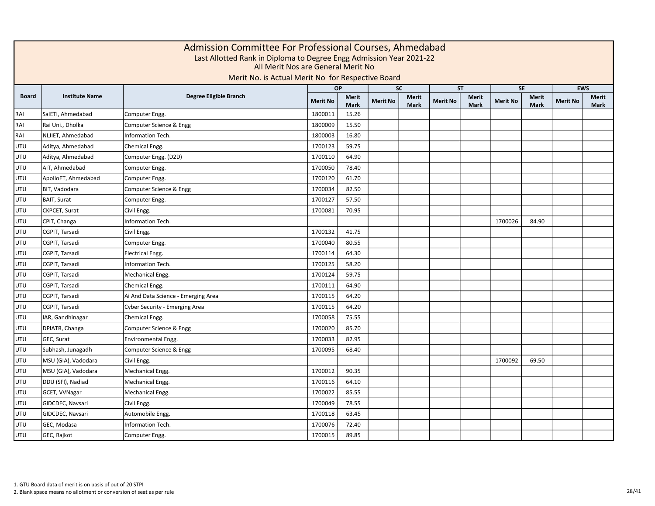|              | Admission Committee For Professional Courses, Ahmedabad<br>Last Allotted Rank in Diploma to Degree Engg Admission Year 2021-22<br>All Merit Nos are General Merit No<br>Merit No. is Actual Merit No for Respective Board<br><b>EWS</b><br>$\overline{SC}$<br>SE<br><b>OP</b><br><b>ST</b> |                                     |                 |                             |                 |                             |                 |                      |                 |                             |                 |                      |  |  |  |
|--------------|--------------------------------------------------------------------------------------------------------------------------------------------------------------------------------------------------------------------------------------------------------------------------------------------|-------------------------------------|-----------------|-----------------------------|-----------------|-----------------------------|-----------------|----------------------|-----------------|-----------------------------|-----------------|----------------------|--|--|--|
|              |                                                                                                                                                                                                                                                                                            |                                     |                 |                             |                 |                             |                 |                      |                 |                             |                 |                      |  |  |  |
| <b>Board</b> | <b>Institute Name</b>                                                                                                                                                                                                                                                                      | Degree Eligible Branch              | <b>Merit No</b> | <b>Merit</b><br><b>Mark</b> | <b>Merit No</b> | <b>Merit</b><br><b>Mark</b> | <b>Merit No</b> | Merit<br><b>Mark</b> | <b>Merit No</b> | <b>Merit</b><br><b>Mark</b> | <b>Merit No</b> | <b>Merit</b><br>Mark |  |  |  |
| RAI          | SalETI, Ahmedabad                                                                                                                                                                                                                                                                          | Computer Engg.                      | 1800011         | 15.26                       |                 |                             |                 |                      |                 |                             |                 |                      |  |  |  |
| RAI          | Rai Uni., Dholka                                                                                                                                                                                                                                                                           | Computer Science & Engg             | 1800009         | 15.50                       |                 |                             |                 |                      |                 |                             |                 |                      |  |  |  |
| RAI          | NLJIET, Ahmedabad                                                                                                                                                                                                                                                                          | Information Tech.                   | 1800003         | 16.80                       |                 |                             |                 |                      |                 |                             |                 |                      |  |  |  |
| UTU          | Aditya, Ahmedabad                                                                                                                                                                                                                                                                          | Chemical Engg.                      | 1700123         | 59.75                       |                 |                             |                 |                      |                 |                             |                 |                      |  |  |  |
| UTU          | Aditya, Ahmedabad                                                                                                                                                                                                                                                                          | Computer Engg. (D2D)                | 1700110         | 64.90                       |                 |                             |                 |                      |                 |                             |                 |                      |  |  |  |
| UTU          | AIT, Ahmedabad                                                                                                                                                                                                                                                                             | Computer Engg.                      | 1700050         | 78.40                       |                 |                             |                 |                      |                 |                             |                 |                      |  |  |  |
| UTU          | ApolloET, Ahmedabad                                                                                                                                                                                                                                                                        | Computer Engg.                      | 1700120         | 61.70                       |                 |                             |                 |                      |                 |                             |                 |                      |  |  |  |
| UTU          | BIT, Vadodara                                                                                                                                                                                                                                                                              | Computer Science & Engg             | 1700034         | 82.50                       |                 |                             |                 |                      |                 |                             |                 |                      |  |  |  |
| UTU          | <b>BAIT, Surat</b>                                                                                                                                                                                                                                                                         | Computer Engg.                      | 1700127         | 57.50                       |                 |                             |                 |                      |                 |                             |                 |                      |  |  |  |
| UTU          | CKPCET, Surat                                                                                                                                                                                                                                                                              | Civil Engg.                         | 1700081         | 70.95                       |                 |                             |                 |                      |                 |                             |                 |                      |  |  |  |
| UTU          | CPIT, Changa                                                                                                                                                                                                                                                                               | Information Tech.                   |                 |                             |                 |                             |                 |                      | 1700026         | 84.90                       |                 |                      |  |  |  |
| UTU          | CGPIT, Tarsadi                                                                                                                                                                                                                                                                             | Civil Engg.                         | 1700132         | 41.75                       |                 |                             |                 |                      |                 |                             |                 |                      |  |  |  |
| UTU          | CGPIT, Tarsadi                                                                                                                                                                                                                                                                             | Computer Engg.                      | 1700040         | 80.55                       |                 |                             |                 |                      |                 |                             |                 |                      |  |  |  |
| UTU          | CGPIT, Tarsadi                                                                                                                                                                                                                                                                             | Electrical Engg.                    | 1700114         | 64.30                       |                 |                             |                 |                      |                 |                             |                 |                      |  |  |  |
| UTU          | CGPIT, Tarsadi                                                                                                                                                                                                                                                                             | Information Tech.                   | 1700125         | 58.20                       |                 |                             |                 |                      |                 |                             |                 |                      |  |  |  |
| UTU          | CGPIT, Tarsadi                                                                                                                                                                                                                                                                             | Mechanical Engg.                    | 1700124         | 59.75                       |                 |                             |                 |                      |                 |                             |                 |                      |  |  |  |
| UTU          | CGPIT, Tarsadi                                                                                                                                                                                                                                                                             | Chemical Engg.                      | 1700111         | 64.90                       |                 |                             |                 |                      |                 |                             |                 |                      |  |  |  |
| UTU          | CGPIT, Tarsadi                                                                                                                                                                                                                                                                             | Ai And Data Science - Emerging Area | 1700115         | 64.20                       |                 |                             |                 |                      |                 |                             |                 |                      |  |  |  |
| UTU          | CGPIT, Tarsadi                                                                                                                                                                                                                                                                             | Cyber Security - Emerging Area      | 1700115         | 64.20                       |                 |                             |                 |                      |                 |                             |                 |                      |  |  |  |
| UTU          | IAR, Gandhinagar                                                                                                                                                                                                                                                                           | Chemical Engg.                      | 1700058         | 75.55                       |                 |                             |                 |                      |                 |                             |                 |                      |  |  |  |
| UTU          | DPIATR, Changa                                                                                                                                                                                                                                                                             | Computer Science & Engg             | 1700020         | 85.70                       |                 |                             |                 |                      |                 |                             |                 |                      |  |  |  |
| UTU          | GEC, Surat                                                                                                                                                                                                                                                                                 | Environmental Engg.                 | 1700033         | 82.95                       |                 |                             |                 |                      |                 |                             |                 |                      |  |  |  |
| UTU          | Subhash, Junagadh                                                                                                                                                                                                                                                                          | Computer Science & Engg             | 1700095         | 68.40                       |                 |                             |                 |                      |                 |                             |                 |                      |  |  |  |
| UTU          | MSU (GIA), Vadodara                                                                                                                                                                                                                                                                        | Civil Engg.                         |                 |                             |                 |                             |                 |                      | 1700092         | 69.50                       |                 |                      |  |  |  |
| UTU          | MSU (GIA), Vadodara                                                                                                                                                                                                                                                                        | Mechanical Engg.                    | 1700012         | 90.35                       |                 |                             |                 |                      |                 |                             |                 |                      |  |  |  |
| UTU          | DDU (SFI), Nadiad                                                                                                                                                                                                                                                                          | Mechanical Engg.                    | 1700116         | 64.10                       |                 |                             |                 |                      |                 |                             |                 |                      |  |  |  |
| UTU          | GCET, VVNagar                                                                                                                                                                                                                                                                              | Mechanical Engg.                    | 1700022         | 85.55                       |                 |                             |                 |                      |                 |                             |                 |                      |  |  |  |
| UTU          | GIDCDEC, Navsari                                                                                                                                                                                                                                                                           | Civil Engg.                         | 1700049         | 78.55                       |                 |                             |                 |                      |                 |                             |                 |                      |  |  |  |
| UTU          | GIDCDEC, Navsari                                                                                                                                                                                                                                                                           | Automobile Engg.                    | 1700118         | 63.45                       |                 |                             |                 |                      |                 |                             |                 |                      |  |  |  |
| UTU          | GEC, Modasa                                                                                                                                                                                                                                                                                | Information Tech.                   | 1700076         | 72.40                       |                 |                             |                 |                      |                 |                             |                 |                      |  |  |  |
| UTU          | GEC, Rajkot                                                                                                                                                                                                                                                                                | Computer Engg.                      | 1700015         | 89.85                       |                 |                             |                 |                      |                 |                             |                 |                      |  |  |  |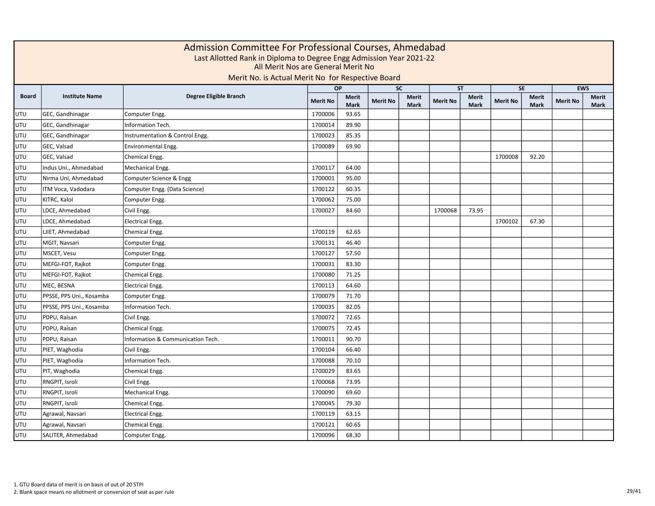|              | Admission Committee For Professional Courses, Ahmedabad<br>Last Allotted Rank in Diploma to Degree Engg Admission Year 2021-22<br>All Merit Nos are General Merit No<br>Merit No. is Actual Merit No for Respective Board<br><b>EWS</b><br>$\overline{SC}$<br>SE<br><b>OP</b><br><b>ST</b> |                                   |                 |                             |                 |                             |                 |                      |                 |                             |                 |                             |  |  |  |
|--------------|--------------------------------------------------------------------------------------------------------------------------------------------------------------------------------------------------------------------------------------------------------------------------------------------|-----------------------------------|-----------------|-----------------------------|-----------------|-----------------------------|-----------------|----------------------|-----------------|-----------------------------|-----------------|-----------------------------|--|--|--|
|              |                                                                                                                                                                                                                                                                                            |                                   |                 |                             |                 |                             |                 |                      |                 |                             |                 |                             |  |  |  |
| <b>Board</b> | <b>Institute Name</b>                                                                                                                                                                                                                                                                      | Degree Eligible Branch            | <b>Merit No</b> | <b>Merit</b><br><b>Mark</b> | <b>Merit No</b> | <b>Merit</b><br><b>Mark</b> | <b>Merit No</b> | Merit<br><b>Mark</b> | <b>Merit No</b> | <b>Merit</b><br><b>Mark</b> | <b>Merit No</b> | <b>Merit</b><br><b>Mark</b> |  |  |  |
| UTU          | GEC, Gandhinagar                                                                                                                                                                                                                                                                           | Computer Engg.                    | 1700006         | 93.65                       |                 |                             |                 |                      |                 |                             |                 |                             |  |  |  |
| UTU          | GEC, Gandhinagar                                                                                                                                                                                                                                                                           | Information Tech.                 | 1700014         | 89.90                       |                 |                             |                 |                      |                 |                             |                 |                             |  |  |  |
| UTU          | GEC, Gandhinagar                                                                                                                                                                                                                                                                           | Instrumentation & Control Engg.   | 1700023         | 85.35                       |                 |                             |                 |                      |                 |                             |                 |                             |  |  |  |
| UTU          | GEC, Valsad                                                                                                                                                                                                                                                                                | Environmental Engg.               | 1700089         | 69.90                       |                 |                             |                 |                      |                 |                             |                 |                             |  |  |  |
| UTU          | GEC, Valsad                                                                                                                                                                                                                                                                                | Chemical Engg.                    |                 |                             |                 |                             |                 |                      | 1700008         | 92.20                       |                 |                             |  |  |  |
| UTU          | Indus Uni., Ahmedabad                                                                                                                                                                                                                                                                      | Mechanical Engg.                  | 1700117         | 64.00                       |                 |                             |                 |                      |                 |                             |                 |                             |  |  |  |
| UTU          | Nirma Uni, Ahmedabad                                                                                                                                                                                                                                                                       | Computer Science & Engg           | 1700001         | 95.00                       |                 |                             |                 |                      |                 |                             |                 |                             |  |  |  |
| UTU          | ITM Voca, Vadodara                                                                                                                                                                                                                                                                         | Computer Engg. (Data Science)     | 1700122         | 60.35                       |                 |                             |                 |                      |                 |                             |                 |                             |  |  |  |
| UTU          | KITRC, Kalol                                                                                                                                                                                                                                                                               | Computer Engg.                    | 1700062         | 75.00                       |                 |                             |                 |                      |                 |                             |                 |                             |  |  |  |
| UTU          | LDCE, Ahmedabad                                                                                                                                                                                                                                                                            | Civil Engg.                       | 1700027         | 84.60                       |                 |                             | 1700068         | 73.95                |                 |                             |                 |                             |  |  |  |
| UTU          | LDCE, Ahmedabad                                                                                                                                                                                                                                                                            | <b>Electrical Engg.</b>           |                 |                             |                 |                             |                 |                      | 1700102         | 67.30                       |                 |                             |  |  |  |
| UTU          | LJIET, Ahmedabad                                                                                                                                                                                                                                                                           | Chemical Engg.                    | 1700119         | 62.65                       |                 |                             |                 |                      |                 |                             |                 |                             |  |  |  |
| UTU          | MGIT, Navsari                                                                                                                                                                                                                                                                              | Computer Engg.                    | 1700131         | 46.40                       |                 |                             |                 |                      |                 |                             |                 |                             |  |  |  |
| UTU          | MSCET, Vesu                                                                                                                                                                                                                                                                                | Computer Engg.                    | 1700127         | 57.50                       |                 |                             |                 |                      |                 |                             |                 |                             |  |  |  |
| UTU          | MEFGI-FOT, Rajkot                                                                                                                                                                                                                                                                          | Computer Engg.                    | 1700031         | 83.30                       |                 |                             |                 |                      |                 |                             |                 |                             |  |  |  |
| UTU          | MEFGI-FOT, Rajkot                                                                                                                                                                                                                                                                          | Chemical Engg.                    | 1700080         | 71.25                       |                 |                             |                 |                      |                 |                             |                 |                             |  |  |  |
| UTU          | MEC, BESNA                                                                                                                                                                                                                                                                                 | <b>Electrical Engg.</b>           | 1700113         | 64.60                       |                 |                             |                 |                      |                 |                             |                 |                             |  |  |  |
| UTU          | PPSSE, PPS Uni., Kosamba                                                                                                                                                                                                                                                                   | Computer Engg.                    | 1700079         | 71.70                       |                 |                             |                 |                      |                 |                             |                 |                             |  |  |  |
| UTU          | PPSSE, PPS Uni., Kosamba                                                                                                                                                                                                                                                                   | Information Tech.                 | 1700035         | 82.05                       |                 |                             |                 |                      |                 |                             |                 |                             |  |  |  |
| UTU          | PDPU, Raisan                                                                                                                                                                                                                                                                               | Civil Engg.                       | 1700072         | 72.65                       |                 |                             |                 |                      |                 |                             |                 |                             |  |  |  |
| UTU          | PDPU, Raisan                                                                                                                                                                                                                                                                               | Chemical Engg.                    | 1700075         | 72.45                       |                 |                             |                 |                      |                 |                             |                 |                             |  |  |  |
| UTU          | PDPU, Raisan                                                                                                                                                                                                                                                                               | Information & Communication Tech. | 1700011         | 90.70                       |                 |                             |                 |                      |                 |                             |                 |                             |  |  |  |
| UTU          | PIET, Waghodia                                                                                                                                                                                                                                                                             | Civil Engg.                       | 1700104         | 66.40                       |                 |                             |                 |                      |                 |                             |                 |                             |  |  |  |
| UTU          | PIET, Waghodia                                                                                                                                                                                                                                                                             | Information Tech.                 | 1700088         | 70.10                       |                 |                             |                 |                      |                 |                             |                 |                             |  |  |  |
| UTU          | PIT, Waghodia                                                                                                                                                                                                                                                                              | Chemical Engg.                    | 1700029         | 83.65                       |                 |                             |                 |                      |                 |                             |                 |                             |  |  |  |
| UTU          | RNGPIT, Isroli                                                                                                                                                                                                                                                                             | Civil Engg.                       | 1700068         | 73.95                       |                 |                             |                 |                      |                 |                             |                 |                             |  |  |  |
| UTU          | RNGPIT, Isroli                                                                                                                                                                                                                                                                             | Mechanical Engg.                  | 1700090         | 69.60                       |                 |                             |                 |                      |                 |                             |                 |                             |  |  |  |
| UTU          | RNGPIT, Isroli                                                                                                                                                                                                                                                                             | Chemical Engg.                    | 1700045         | 79.30                       |                 |                             |                 |                      |                 |                             |                 |                             |  |  |  |
| UTU          | Agrawal, Navsari                                                                                                                                                                                                                                                                           | <b>Electrical Engg.</b>           | 1700119         | 63.15                       |                 |                             |                 |                      |                 |                             |                 |                             |  |  |  |
| UTU          | Agrawal, Navsari                                                                                                                                                                                                                                                                           | Chemical Engg.                    | 1700121         | 60.65                       |                 |                             |                 |                      |                 |                             |                 |                             |  |  |  |
| UTU          | SALITER, Ahmedabad                                                                                                                                                                                                                                                                         | Computer Engg.                    | 1700096         | 68.30                       |                 |                             |                 |                      |                 |                             |                 |                             |  |  |  |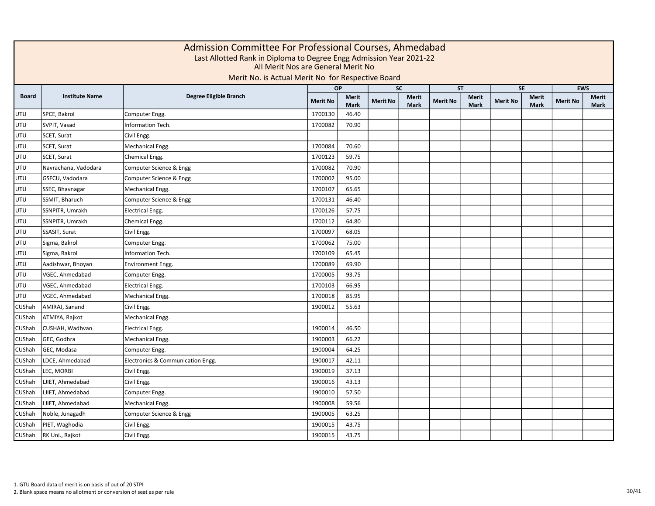|              | Admission Committee For Professional Courses, Ahmedabad<br>Last Allotted Rank in Diploma to Degree Engg Admission Year 2021-22<br>All Merit Nos are General Merit No<br>Merit No. is Actual Merit No for Respective Board<br><b>EWS</b><br><b>OP</b><br><b>SC</b><br><b>ST</b><br><b>SE</b> |                                   |                 |                             |                 |                             |                 |                      |                 |                             |                 |               |  |  |  |
|--------------|---------------------------------------------------------------------------------------------------------------------------------------------------------------------------------------------------------------------------------------------------------------------------------------------|-----------------------------------|-----------------|-----------------------------|-----------------|-----------------------------|-----------------|----------------------|-----------------|-----------------------------|-----------------|---------------|--|--|--|
|              |                                                                                                                                                                                                                                                                                             |                                   |                 |                             |                 |                             |                 |                      |                 |                             |                 |               |  |  |  |
| <b>Board</b> | <b>Institute Name</b>                                                                                                                                                                                                                                                                       | Degree Eligible Branch            | <b>Merit No</b> | <b>Merit</b><br><b>Mark</b> | <b>Merit No</b> | <b>Merit</b><br><b>Mark</b> | <b>Merit No</b> | Merit<br><b>Mark</b> | <b>Merit No</b> | <b>Merit</b><br><b>Mark</b> | <b>Merit No</b> | Merit<br>Mark |  |  |  |
| UTU          | SPCE, Bakrol                                                                                                                                                                                                                                                                                | Computer Engg.                    | 1700130         | 46.40                       |                 |                             |                 |                      |                 |                             |                 |               |  |  |  |
| <b>UTU</b>   | SVPIT, Vasad                                                                                                                                                                                                                                                                                | Information Tech.                 | 1700082         | 70.90                       |                 |                             |                 |                      |                 |                             |                 |               |  |  |  |
| <b>UTU</b>   | SCET, Surat                                                                                                                                                                                                                                                                                 | Civil Engg.                       |                 |                             |                 |                             |                 |                      |                 |                             |                 |               |  |  |  |
| <b>UTU</b>   | SCET, Surat                                                                                                                                                                                                                                                                                 | Mechanical Engg.                  | 1700084         | 70.60                       |                 |                             |                 |                      |                 |                             |                 |               |  |  |  |
| <b>UTU</b>   | SCET, Surat                                                                                                                                                                                                                                                                                 | Chemical Engg.                    | 1700123         | 59.75                       |                 |                             |                 |                      |                 |                             |                 |               |  |  |  |
| UTU          | Navrachana, Vadodara                                                                                                                                                                                                                                                                        | Computer Science & Engg           | 1700082         | 70.90                       |                 |                             |                 |                      |                 |                             |                 |               |  |  |  |
| <b>UTU</b>   | GSFCU, Vadodara                                                                                                                                                                                                                                                                             | Computer Science & Engg           | 1700002         | 95.00                       |                 |                             |                 |                      |                 |                             |                 |               |  |  |  |
| <b>UTU</b>   | SSEC, Bhavnagar                                                                                                                                                                                                                                                                             | Mechanical Engg.                  | 1700107         | 65.65                       |                 |                             |                 |                      |                 |                             |                 |               |  |  |  |
| UTU          | SSMIT, Bharuch                                                                                                                                                                                                                                                                              | Computer Science & Engg           | 1700131         | 46.40                       |                 |                             |                 |                      |                 |                             |                 |               |  |  |  |
| <b>UTU</b>   | SSNPITR, Umrakh                                                                                                                                                                                                                                                                             | Electrical Engg.                  | 1700126         | 57.75                       |                 |                             |                 |                      |                 |                             |                 |               |  |  |  |
| <b>UTU</b>   | SSNPITR, Umrakh                                                                                                                                                                                                                                                                             | Chemical Engg.                    | 1700112         | 64.80                       |                 |                             |                 |                      |                 |                             |                 |               |  |  |  |
| <b>UTU</b>   | SSASIT, Surat                                                                                                                                                                                                                                                                               | Civil Engg.                       | 1700097         | 68.05                       |                 |                             |                 |                      |                 |                             |                 |               |  |  |  |
| <b>UTU</b>   | Sigma, Bakrol                                                                                                                                                                                                                                                                               | Computer Engg.                    | 1700062         | 75.00                       |                 |                             |                 |                      |                 |                             |                 |               |  |  |  |
| <b>UTU</b>   | Sigma, Bakrol                                                                                                                                                                                                                                                                               | Information Tech.                 | 1700109         | 65.45                       |                 |                             |                 |                      |                 |                             |                 |               |  |  |  |
| UTU          | Aadishwar, Bhoyan                                                                                                                                                                                                                                                                           | <b>Environment Engg.</b>          | 1700089         | 69.90                       |                 |                             |                 |                      |                 |                             |                 |               |  |  |  |
| <b>UTU</b>   | VGEC, Ahmedabad                                                                                                                                                                                                                                                                             | Computer Engg.                    | 1700005         | 93.75                       |                 |                             |                 |                      |                 |                             |                 |               |  |  |  |
| <b>UTU</b>   | VGEC, Ahmedabad                                                                                                                                                                                                                                                                             | <b>Electrical Engg.</b>           | 1700103         | 66.95                       |                 |                             |                 |                      |                 |                             |                 |               |  |  |  |
| UTU          | VGEC, Ahmedabad                                                                                                                                                                                                                                                                             | Mechanical Engg.                  | 1700018         | 85.95                       |                 |                             |                 |                      |                 |                             |                 |               |  |  |  |
| CUShah       | AMIRAJ, Sanand                                                                                                                                                                                                                                                                              | Civil Engg.                       | 1900012         | 55.63                       |                 |                             |                 |                      |                 |                             |                 |               |  |  |  |
| CUShah       | ATMIYA, Rajkot                                                                                                                                                                                                                                                                              | Mechanical Engg.                  |                 |                             |                 |                             |                 |                      |                 |                             |                 |               |  |  |  |
| CUShah       | CUSHAH, Wadhvan                                                                                                                                                                                                                                                                             | <b>Electrical Engg.</b>           | 1900014         | 46.50                       |                 |                             |                 |                      |                 |                             |                 |               |  |  |  |
| CUShah       | GEC, Godhra                                                                                                                                                                                                                                                                                 | Mechanical Engg.                  | 1900003         | 66.22                       |                 |                             |                 |                      |                 |                             |                 |               |  |  |  |
| CUShah       | GEC, Modasa                                                                                                                                                                                                                                                                                 | Computer Engg.                    | 1900004         | 64.25                       |                 |                             |                 |                      |                 |                             |                 |               |  |  |  |
| CUShah       | LDCE, Ahmedabad                                                                                                                                                                                                                                                                             | Electronics & Communication Engg. | 1900017         | 42.11                       |                 |                             |                 |                      |                 |                             |                 |               |  |  |  |
| CUShah       | LEC, MORBI                                                                                                                                                                                                                                                                                  | Civil Engg.                       | 1900019         | 37.13                       |                 |                             |                 |                      |                 |                             |                 |               |  |  |  |
| CUShah       | LJIET, Ahmedabad                                                                                                                                                                                                                                                                            | Civil Engg.                       | 1900016         | 43.13                       |                 |                             |                 |                      |                 |                             |                 |               |  |  |  |
| CUShah       | LJIET, Ahmedabad                                                                                                                                                                                                                                                                            | Computer Engg.                    | 1900010         | 57.50                       |                 |                             |                 |                      |                 |                             |                 |               |  |  |  |
| CUShah       | LJIET, Ahmedabad                                                                                                                                                                                                                                                                            | Mechanical Engg.                  | 1900008         | 59.56                       |                 |                             |                 |                      |                 |                             |                 |               |  |  |  |
| CUShah       | Noble, Junagadh                                                                                                                                                                                                                                                                             | Computer Science & Engg           | 1900005         | 63.25                       |                 |                             |                 |                      |                 |                             |                 |               |  |  |  |
| CUShah       | PIET, Waghodia                                                                                                                                                                                                                                                                              | Civil Engg.                       | 1900015         | 43.75                       |                 |                             |                 |                      |                 |                             |                 |               |  |  |  |
| CUShah       | RK Uni., Rajkot                                                                                                                                                                                                                                                                             | Civil Engg.                       | 1900015         | 43.75                       |                 |                             |                 |                      |                 |                             |                 |               |  |  |  |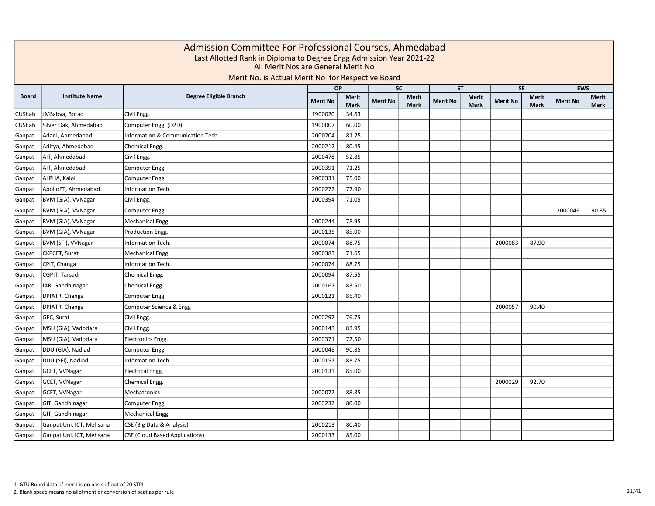|              |                          |                                       |                 | Admission Committee For Professional Courses, Ahmedabad<br>Last Allotted Rank in Diploma to Degree Engg Admission Year 2021-22<br>All Merit Nos are General Merit No<br>Merit No. is Actual Merit No for Respective Board<br><b>EWS</b><br>OP<br><b>SC</b><br><b>ST</b><br><b>SE</b> |                 |                             |                 |                             |                 |                             |                 |                      |  |  |  |  |  |  |
|--------------|--------------------------|---------------------------------------|-----------------|--------------------------------------------------------------------------------------------------------------------------------------------------------------------------------------------------------------------------------------------------------------------------------------|-----------------|-----------------------------|-----------------|-----------------------------|-----------------|-----------------------------|-----------------|----------------------|--|--|--|--|--|--|
|              |                          |                                       |                 |                                                                                                                                                                                                                                                                                      |                 |                             |                 |                             |                 |                             |                 |                      |  |  |  |  |  |  |
| <b>Board</b> | <b>Institute Name</b>    | Degree Eligible Branch                | <b>Merit No</b> | <b>Merit</b><br><b>Mark</b>                                                                                                                                                                                                                                                          | <b>Merit No</b> | <b>Merit</b><br><b>Mark</b> | <b>Merit No</b> | <b>Merit</b><br><b>Mark</b> | <b>Merit No</b> | <b>Merit</b><br><b>Mark</b> | <b>Merit No</b> | <b>Merit</b><br>Mark |  |  |  |  |  |  |
| CUShah       | JMSabva, Botad           | Civil Engg.                           | 1900020         | 34.63                                                                                                                                                                                                                                                                                |                 |                             |                 |                             |                 |                             |                 |                      |  |  |  |  |  |  |
| CUShah       | Silver Oak, Ahmedabad    | Computer Engg. (D2D)                  | 1900007         | 60.00                                                                                                                                                                                                                                                                                |                 |                             |                 |                             |                 |                             |                 |                      |  |  |  |  |  |  |
| Ganpat       | Adani, Ahmedabad         | Information & Communication Tech.     | 2000204         | 81.25                                                                                                                                                                                                                                                                                |                 |                             |                 |                             |                 |                             |                 |                      |  |  |  |  |  |  |
| Ganpat       | Aditya, Ahmedabad        | Chemical Engg.                        | 2000212         | 80.45                                                                                                                                                                                                                                                                                |                 |                             |                 |                             |                 |                             |                 |                      |  |  |  |  |  |  |
| Ganpat       | AIT, Ahmedabad           | Civil Engg.                           | 2000478         | 52.85                                                                                                                                                                                                                                                                                |                 |                             |                 |                             |                 |                             |                 |                      |  |  |  |  |  |  |
| Ganpat       | AIT, Ahmedabad           | Computer Engg.                        | 2000391         | 71.25                                                                                                                                                                                                                                                                                |                 |                             |                 |                             |                 |                             |                 |                      |  |  |  |  |  |  |
| Ganpat       | ALPHA, Kalol             | Computer Engg.                        | 2000331         | 75.00                                                                                                                                                                                                                                                                                |                 |                             |                 |                             |                 |                             |                 |                      |  |  |  |  |  |  |
| Ganpat       | ApolloET, Ahmedabad      | Information Tech.                     | 2000272         | 77.90                                                                                                                                                                                                                                                                                |                 |                             |                 |                             |                 |                             |                 |                      |  |  |  |  |  |  |
| Ganpat       | BVM (GIA), VVNagar       | Civil Engg.                           | 2000394         | 71.05                                                                                                                                                                                                                                                                                |                 |                             |                 |                             |                 |                             |                 |                      |  |  |  |  |  |  |
| Ganpat       | BVM (GIA), VVNagar       | Computer Engg.                        |                 |                                                                                                                                                                                                                                                                                      |                 |                             |                 |                             |                 |                             | 2000046         | 90.85                |  |  |  |  |  |  |
| Ganpat       | BVM (GIA), VVNagar       | Mechanical Engg.                      | 2000244         | 78.95                                                                                                                                                                                                                                                                                |                 |                             |                 |                             |                 |                             |                 |                      |  |  |  |  |  |  |
| Ganpat       | BVM (GIA), VVNagar       | Production Engg.                      | 2000135         | 85.00                                                                                                                                                                                                                                                                                |                 |                             |                 |                             |                 |                             |                 |                      |  |  |  |  |  |  |
| Ganpat       | BVM (SFI), VVNagar       | Information Tech.                     | 2000074         | 88.75                                                                                                                                                                                                                                                                                |                 |                             |                 |                             | 2000083         | 87.90                       |                 |                      |  |  |  |  |  |  |
| Ganpat       | CKPCET, Surat            | Mechanical Engg.                      | 2000383         | 71.65                                                                                                                                                                                                                                                                                |                 |                             |                 |                             |                 |                             |                 |                      |  |  |  |  |  |  |
| Ganpat       | CPIT, Changa             | Information Tech.                     | 2000074         | 88.75                                                                                                                                                                                                                                                                                |                 |                             |                 |                             |                 |                             |                 |                      |  |  |  |  |  |  |
| Ganpat       | CGPIT, Tarsadi           | Chemical Engg.                        | 2000094         | 87.55                                                                                                                                                                                                                                                                                |                 |                             |                 |                             |                 |                             |                 |                      |  |  |  |  |  |  |
| Ganpat       | IAR, Gandhinagar         | Chemical Engg.                        | 2000167         | 83.50                                                                                                                                                                                                                                                                                |                 |                             |                 |                             |                 |                             |                 |                      |  |  |  |  |  |  |
| Ganpat       | DPIATR, Changa           | Computer Engg.                        | 2000121         | 85.40                                                                                                                                                                                                                                                                                |                 |                             |                 |                             |                 |                             |                 |                      |  |  |  |  |  |  |
| Ganpat       | DPIATR, Changa           | Computer Science & Engg               |                 |                                                                                                                                                                                                                                                                                      |                 |                             |                 |                             | 2000057         | 90.40                       |                 |                      |  |  |  |  |  |  |
| Ganpat       | GEC, Surat               | Civil Engg.                           | 2000297         | 76.75                                                                                                                                                                                                                                                                                |                 |                             |                 |                             |                 |                             |                 |                      |  |  |  |  |  |  |
| Ganpat       | MSU (GIA), Vadodara      | Civil Engg.                           | 2000143         | 83.95                                                                                                                                                                                                                                                                                |                 |                             |                 |                             |                 |                             |                 |                      |  |  |  |  |  |  |
| Ganpat       | MSU (GIA), Vadodara      | Electronics Engg.                     | 2000371         | 72.50                                                                                                                                                                                                                                                                                |                 |                             |                 |                             |                 |                             |                 |                      |  |  |  |  |  |  |
| Ganpat       | DDU (GIA), Nadiad        | Computer Engg.                        | 2000048         | 90.85                                                                                                                                                                                                                                                                                |                 |                             |                 |                             |                 |                             |                 |                      |  |  |  |  |  |  |
| Ganpat       | DDU (SFI), Nadiad        | <b>Information Tech.</b>              | 2000157         | 83.75                                                                                                                                                                                                                                                                                |                 |                             |                 |                             |                 |                             |                 |                      |  |  |  |  |  |  |
| Ganpat       | GCET, VVNagar            | <b>Electrical Engg.</b>               | 2000131         | 85.00                                                                                                                                                                                                                                                                                |                 |                             |                 |                             |                 |                             |                 |                      |  |  |  |  |  |  |
| Ganpat       | GCET, VVNagar            | Chemical Engg.                        |                 |                                                                                                                                                                                                                                                                                      |                 |                             |                 |                             | 2000029         | 92.70                       |                 |                      |  |  |  |  |  |  |
| Ganpat       | GCET, VVNagar            | Mechatronics                          | 2000072         | 88.85                                                                                                                                                                                                                                                                                |                 |                             |                 |                             |                 |                             |                 |                      |  |  |  |  |  |  |
| Ganpat       | GIT, Gandhinagar         | Computer Engg.                        | 2000232         | 80.00                                                                                                                                                                                                                                                                                |                 |                             |                 |                             |                 |                             |                 |                      |  |  |  |  |  |  |
| Ganpat       | GIT, Gandhinagar         | Mechanical Engg.                      |                 |                                                                                                                                                                                                                                                                                      |                 |                             |                 |                             |                 |                             |                 |                      |  |  |  |  |  |  |
| Ganpat       | Ganpat Uni. ICT, Mehsana | CSE (Big Data & Analysis)             | 2000213         | 80.40                                                                                                                                                                                                                                                                                |                 |                             |                 |                             |                 |                             |                 |                      |  |  |  |  |  |  |
| Ganpat       | Ganpat Uni. ICT, Mehsana | <b>CSE (Cloud Based Applications)</b> | 2000133         | 85.00                                                                                                                                                                                                                                                                                |                 |                             |                 |                             |                 |                             |                 |                      |  |  |  |  |  |  |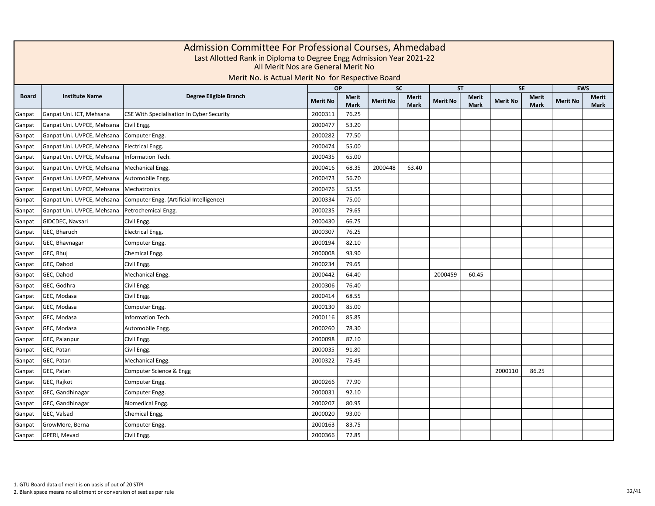|              |                            | Admission Committee For Professional Courses, Ahmedabad<br>Last Allotted Rank in Diploma to Degree Engg Admission Year 2021-22<br>All Merit Nos are General Merit No<br>Merit No. is Actual Merit No for Respective Board |                 |                             |                 |                             |                 |                      |                 |                             |                 |                             |
|--------------|----------------------------|---------------------------------------------------------------------------------------------------------------------------------------------------------------------------------------------------------------------------|-----------------|-----------------------------|-----------------|-----------------------------|-----------------|----------------------|-----------------|-----------------------------|-----------------|-----------------------------|
|              |                            |                                                                                                                                                                                                                           | OP              |                             | <b>SC</b>       |                             | <b>ST</b>       |                      |                 | <b>SE</b>                   |                 | <b>EWS</b>                  |
| <b>Board</b> | <b>Institute Name</b>      | Degree Eligible Branch                                                                                                                                                                                                    | <b>Merit No</b> | <b>Merit</b><br><b>Mark</b> | <b>Merit No</b> | <b>Merit</b><br><b>Mark</b> | <b>Merit No</b> | Merit<br><b>Mark</b> | <b>Merit No</b> | <b>Merit</b><br><b>Mark</b> | <b>Merit No</b> | <b>Merit</b><br><b>Mark</b> |
| Ganpat       | Ganpat Uni. ICT, Mehsana   | CSE With Specialisation In Cyber Security                                                                                                                                                                                 | 2000311         | 76.25                       |                 |                             |                 |                      |                 |                             |                 |                             |
| Ganpat       | Ganpat Uni. UVPCE, Mehsana | Civil Engg.                                                                                                                                                                                                               | 2000477         | 53.20                       |                 |                             |                 |                      |                 |                             |                 |                             |
| Ganpat       | Ganpat Uni. UVPCE, Mehsana | Computer Engg.                                                                                                                                                                                                            | 2000282         | 77.50                       |                 |                             |                 |                      |                 |                             |                 |                             |
| Ganpat       | Ganpat Uni. UVPCE, Mehsana | <b>Electrical Engg.</b>                                                                                                                                                                                                   | 2000474         | 55.00                       |                 |                             |                 |                      |                 |                             |                 |                             |
| Ganpat       | Ganpat Uni. UVPCE, Mehsana | Information Tech.                                                                                                                                                                                                         | 2000435         | 65.00                       |                 |                             |                 |                      |                 |                             |                 |                             |
| Ganpat       | Ganpat Uni. UVPCE, Mehsana | Mechanical Engg.                                                                                                                                                                                                          | 2000416         | 68.35                       | 2000448         | 63.40                       |                 |                      |                 |                             |                 |                             |
| Ganpat       | Ganpat Uni. UVPCE, Mehsana | Automobile Engg.                                                                                                                                                                                                          | 2000473         | 56.70                       |                 |                             |                 |                      |                 |                             |                 |                             |
| Ganpat       | Ganpat Uni. UVPCE, Mehsana | Mechatronics                                                                                                                                                                                                              | 2000476         | 53.55                       |                 |                             |                 |                      |                 |                             |                 |                             |
| Ganpat       | Ganpat Uni. UVPCE, Mehsana | Computer Engg. (Artificial Intelligence)                                                                                                                                                                                  | 2000334         | 75.00                       |                 |                             |                 |                      |                 |                             |                 |                             |
| Ganpat       | Ganpat Uni. UVPCE, Mehsana | Petrochemical Engg.                                                                                                                                                                                                       | 2000235         | 79.65                       |                 |                             |                 |                      |                 |                             |                 |                             |
| Ganpat       | GIDCDEC, Navsari           | Civil Engg.                                                                                                                                                                                                               | 2000430         | 66.75                       |                 |                             |                 |                      |                 |                             |                 |                             |
| Ganpat       | GEC, Bharuch               | <b>Electrical Engg.</b>                                                                                                                                                                                                   | 2000307         | 76.25                       |                 |                             |                 |                      |                 |                             |                 |                             |
| Ganpat       | GEC, Bhavnagar             | Computer Engg.                                                                                                                                                                                                            | 2000194         | 82.10                       |                 |                             |                 |                      |                 |                             |                 |                             |
| Ganpat       | GEC, Bhuj                  | Chemical Engg.                                                                                                                                                                                                            | 2000008         | 93.90                       |                 |                             |                 |                      |                 |                             |                 |                             |
| Ganpat       | GEC, Dahod                 | Civil Engg.                                                                                                                                                                                                               | 2000234         | 79.65                       |                 |                             |                 |                      |                 |                             |                 |                             |
| Ganpat       | GEC, Dahod                 | Mechanical Engg.                                                                                                                                                                                                          | 2000442         | 64.40                       |                 |                             | 2000459         | 60.45                |                 |                             |                 |                             |
| Ganpat       | GEC, Godhra                | Civil Engg.                                                                                                                                                                                                               | 2000306         | 76.40                       |                 |                             |                 |                      |                 |                             |                 |                             |
| Ganpat       | GEC, Modasa                | Civil Engg.                                                                                                                                                                                                               | 2000414         | 68.55                       |                 |                             |                 |                      |                 |                             |                 |                             |
| Ganpat       | GEC, Modasa                | Computer Engg.                                                                                                                                                                                                            | 2000130         | 85.00                       |                 |                             |                 |                      |                 |                             |                 |                             |
| Ganpat       | GEC, Modasa                | Information Tech.                                                                                                                                                                                                         | 2000116         | 85.85                       |                 |                             |                 |                      |                 |                             |                 |                             |
| Ganpat       | GEC, Modasa                | Automobile Engg.                                                                                                                                                                                                          | 2000260         | 78.30                       |                 |                             |                 |                      |                 |                             |                 |                             |
| Ganpat       | GEC, Palanpur              | Civil Engg.                                                                                                                                                                                                               | 2000098         | 87.10                       |                 |                             |                 |                      |                 |                             |                 |                             |
| Ganpat       | GEC, Patan                 | Civil Engg.                                                                                                                                                                                                               | 2000035         | 91.80                       |                 |                             |                 |                      |                 |                             |                 |                             |
| Ganpat       | GEC, Patan                 | Mechanical Engg.                                                                                                                                                                                                          | 2000322         | 75.45                       |                 |                             |                 |                      |                 |                             |                 |                             |
| Ganpat       | GEC, Patan                 | Computer Science & Engg                                                                                                                                                                                                   |                 |                             |                 |                             |                 |                      | 2000110         | 86.25                       |                 |                             |
| Ganpat       | GEC, Rajkot                | Computer Engg.                                                                                                                                                                                                            | 2000266         | 77.90                       |                 |                             |                 |                      |                 |                             |                 |                             |
| Ganpat       | GEC, Gandhinagar           | Computer Engg.                                                                                                                                                                                                            | 2000031         | 92.10                       |                 |                             |                 |                      |                 |                             |                 |                             |
| Ganpat       | GEC, Gandhinagar           | Biomedical Engg.                                                                                                                                                                                                          | 2000207         | 80.95                       |                 |                             |                 |                      |                 |                             |                 |                             |
| Ganpat       | GEC, Valsad                | Chemical Engg.                                                                                                                                                                                                            | 2000020         | 93.00                       |                 |                             |                 |                      |                 |                             |                 |                             |
| Ganpat       | GrowMore, Berna            | Computer Engg.                                                                                                                                                                                                            | 2000163         | 83.75                       |                 |                             |                 |                      |                 |                             |                 |                             |
| Ganpat       | GPERI, Mevad               | Civil Engg.                                                                                                                                                                                                               | 2000366         | 72.85                       |                 |                             |                 |                      |                 |                             |                 |                             |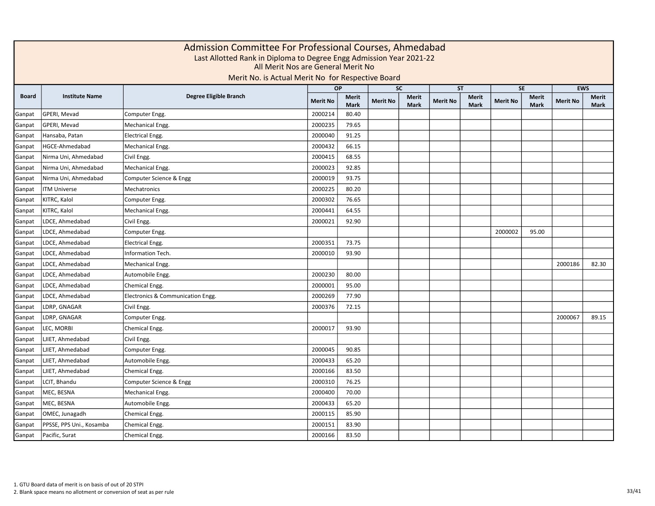|              |                          | Admission Committee For Professional Courses, Ahmedabad<br>Last Allotted Rank in Diploma to Degree Engg Admission Year 2021-22<br>All Merit Nos are General Merit No<br>Merit No. is Actual Merit No for Respective Board |                 |                             |                 |                             |                 |                             |                 |               |                 |                      |
|--------------|--------------------------|---------------------------------------------------------------------------------------------------------------------------------------------------------------------------------------------------------------------------|-----------------|-----------------------------|-----------------|-----------------------------|-----------------|-----------------------------|-----------------|---------------|-----------------|----------------------|
|              |                          |                                                                                                                                                                                                                           |                 | <b>OP</b>                   | <b>SC</b>       |                             |                 | <b>ST</b>                   |                 | <b>SE</b>     |                 | <b>EWS</b>           |
| <b>Board</b> | <b>Institute Name</b>    | Degree Eligible Branch                                                                                                                                                                                                    | <b>Merit No</b> | <b>Merit</b><br><b>Mark</b> | <b>Merit No</b> | <b>Merit</b><br><b>Mark</b> | <b>Merit No</b> | <b>Merit</b><br><b>Mark</b> | <b>Merit No</b> | Merit<br>Mark | <b>Merit No</b> | Merit<br><b>Mark</b> |
| Ganpat       | GPERI, Mevad             | Computer Engg.                                                                                                                                                                                                            | 2000214         | 80.40                       |                 |                             |                 |                             |                 |               |                 |                      |
| Ganpat       | GPERI, Mevad             | Mechanical Engg.                                                                                                                                                                                                          | 2000235         | 79.65                       |                 |                             |                 |                             |                 |               |                 |                      |
| Ganpat       | Hansaba, Patan           | <b>Electrical Engg.</b>                                                                                                                                                                                                   | 2000040         | 91.25                       |                 |                             |                 |                             |                 |               |                 |                      |
| Ganpat       | HGCE-Ahmedabad           | Mechanical Engg.                                                                                                                                                                                                          | 2000432         | 66.15                       |                 |                             |                 |                             |                 |               |                 |                      |
| Ganpat       | Nirma Uni, Ahmedabad     | Civil Engg.                                                                                                                                                                                                               | 2000415         | 68.55                       |                 |                             |                 |                             |                 |               |                 |                      |
| Ganpat       | Nirma Uni, Ahmedabad     | Mechanical Engg.                                                                                                                                                                                                          | 2000023         | 92.85                       |                 |                             |                 |                             |                 |               |                 |                      |
| Ganpat       | Nirma Uni, Ahmedabad     | Computer Science & Engg                                                                                                                                                                                                   | 2000019         | 93.75                       |                 |                             |                 |                             |                 |               |                 |                      |
| Ganpat       | <b>ITM Universe</b>      | Mechatronics                                                                                                                                                                                                              | 2000225         | 80.20                       |                 |                             |                 |                             |                 |               |                 |                      |
| Ganpat       | KITRC, Kalol             | Computer Engg.                                                                                                                                                                                                            | 2000302         | 76.65                       |                 |                             |                 |                             |                 |               |                 |                      |
| Ganpat       | KITRC, Kalol             | Mechanical Engg.                                                                                                                                                                                                          | 2000441         | 64.55                       |                 |                             |                 |                             |                 |               |                 |                      |
| Ganpat       | LDCE, Ahmedabad          | Civil Engg.                                                                                                                                                                                                               | 2000021         | 92.90                       |                 |                             |                 |                             |                 |               |                 |                      |
| Ganpat       | LDCE, Ahmedabad          | Computer Engg.                                                                                                                                                                                                            |                 |                             |                 |                             |                 |                             | 2000002         | 95.00         |                 |                      |
| Ganpat       | LDCE, Ahmedabad          | <b>Electrical Engg.</b>                                                                                                                                                                                                   | 2000351         | 73.75                       |                 |                             |                 |                             |                 |               |                 |                      |
| Ganpat       | LDCE, Ahmedabad          | Information Tech.                                                                                                                                                                                                         | 2000010         | 93.90                       |                 |                             |                 |                             |                 |               |                 |                      |
| Ganpat       | LDCE, Ahmedabad          | Mechanical Engg.                                                                                                                                                                                                          |                 |                             |                 |                             |                 |                             |                 |               | 2000186         | 82.30                |
| Ganpat       | LDCE, Ahmedabad          | Automobile Engg.                                                                                                                                                                                                          | 2000230         | 80.00                       |                 |                             |                 |                             |                 |               |                 |                      |
| Ganpat       | LDCE, Ahmedabad          | Chemical Engg.                                                                                                                                                                                                            | 2000001         | 95.00                       |                 |                             |                 |                             |                 |               |                 |                      |
| Ganpat       | LDCE, Ahmedabad          | Electronics & Communication Engg.                                                                                                                                                                                         | 2000269         | 77.90                       |                 |                             |                 |                             |                 |               |                 |                      |
| Ganpat       | LDRP, GNAGAR             | Civil Engg.                                                                                                                                                                                                               | 2000376         | 72.15                       |                 |                             |                 |                             |                 |               |                 |                      |
| Ganpat       | LDRP, GNAGAR             | Computer Engg.                                                                                                                                                                                                            |                 |                             |                 |                             |                 |                             |                 |               | 2000067         | 89.15                |
| Ganpat       | LEC, MORBI               | Chemical Engg.                                                                                                                                                                                                            | 2000017         | 93.90                       |                 |                             |                 |                             |                 |               |                 |                      |
| Ganpat       | LJIET, Ahmedabad         | Civil Engg.                                                                                                                                                                                                               |                 |                             |                 |                             |                 |                             |                 |               |                 |                      |
| Ganpat       | LJIET, Ahmedabad         | Computer Engg.                                                                                                                                                                                                            | 2000045         | 90.85                       |                 |                             |                 |                             |                 |               |                 |                      |
| Ganpat       | LJIET, Ahmedabad         | Automobile Engg.                                                                                                                                                                                                          | 2000433         | 65.20                       |                 |                             |                 |                             |                 |               |                 |                      |
| Ganpat       | LJIET, Ahmedabad         | Chemical Engg.                                                                                                                                                                                                            | 2000166         | 83.50                       |                 |                             |                 |                             |                 |               |                 |                      |
| Ganpat       | LCIT, Bhandu             | Computer Science & Engg                                                                                                                                                                                                   | 2000310         | 76.25                       |                 |                             |                 |                             |                 |               |                 |                      |
| Ganpat       | MEC, BESNA               | Mechanical Engg.                                                                                                                                                                                                          | 2000400         | 70.00                       |                 |                             |                 |                             |                 |               |                 |                      |
| Ganpat       | MEC, BESNA               | Automobile Engg.                                                                                                                                                                                                          | 2000433         | 65.20                       |                 |                             |                 |                             |                 |               |                 |                      |
| Ganpat       | OMEC, Junagadh           | Chemical Engg.                                                                                                                                                                                                            | 2000115         | 85.90                       |                 |                             |                 |                             |                 |               |                 |                      |
| Ganpat       | PPSSE, PPS Uni., Kosamba | Chemical Engg.                                                                                                                                                                                                            | 2000151         | 83.90                       |                 |                             |                 |                             |                 |               |                 |                      |
| Ganpat       | Pacific, Surat           | Chemical Engg.                                                                                                                                                                                                            | 2000166         | 83.50                       |                 |                             |                 |                             |                 |               |                 |                      |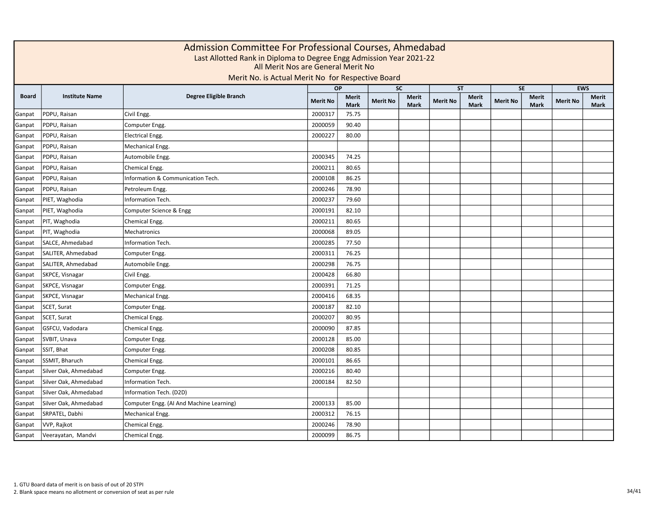|              | Admission Committee For Professional Courses, Ahmedabad<br>Last Allotted Rank in Diploma to Degree Engg Admission Year 2021-22<br>All Merit Nos are General Merit No<br>Merit No. is Actual Merit No for Respective Board<br><b>EWS</b><br><b>SC</b><br><b>SE</b><br>OP<br><b>ST</b> |                                          |                 |                             |                 |                             |                 |                      |                 |                             |                 |               |  |  |  |
|--------------|--------------------------------------------------------------------------------------------------------------------------------------------------------------------------------------------------------------------------------------------------------------------------------------|------------------------------------------|-----------------|-----------------------------|-----------------|-----------------------------|-----------------|----------------------|-----------------|-----------------------------|-----------------|---------------|--|--|--|
|              |                                                                                                                                                                                                                                                                                      |                                          |                 |                             |                 |                             |                 |                      |                 |                             |                 |               |  |  |  |
| <b>Board</b> | <b>Institute Name</b>                                                                                                                                                                                                                                                                | Degree Eligible Branch                   | <b>Merit No</b> | <b>Merit</b><br><b>Mark</b> | <b>Merit No</b> | <b>Merit</b><br><b>Mark</b> | <b>Merit No</b> | Merit<br><b>Mark</b> | <b>Merit No</b> | <b>Merit</b><br><b>Mark</b> | <b>Merit No</b> | Merit<br>Mark |  |  |  |
| Ganpat       | PDPU, Raisan                                                                                                                                                                                                                                                                         | Civil Engg.                              | 2000317         | 75.75                       |                 |                             |                 |                      |                 |                             |                 |               |  |  |  |
| Ganpat       | PDPU, Raisan                                                                                                                                                                                                                                                                         | Computer Engg.                           | 2000059         | 90.40                       |                 |                             |                 |                      |                 |                             |                 |               |  |  |  |
| Ganpat       | PDPU, Raisan                                                                                                                                                                                                                                                                         | <b>Electrical Engg.</b>                  | 2000227         | 80.00                       |                 |                             |                 |                      |                 |                             |                 |               |  |  |  |
| Ganpat       | PDPU, Raisan                                                                                                                                                                                                                                                                         | Mechanical Engg.                         |                 |                             |                 |                             |                 |                      |                 |                             |                 |               |  |  |  |
| Ganpat       | PDPU, Raisan                                                                                                                                                                                                                                                                         | Automobile Engg.                         | 2000345         | 74.25                       |                 |                             |                 |                      |                 |                             |                 |               |  |  |  |
| Ganpat       | PDPU, Raisan                                                                                                                                                                                                                                                                         | Chemical Engg.                           | 2000211         | 80.65                       |                 |                             |                 |                      |                 |                             |                 |               |  |  |  |
| Ganpat       | PDPU, Raisan                                                                                                                                                                                                                                                                         | Information & Communication Tech.        | 2000108         | 86.25                       |                 |                             |                 |                      |                 |                             |                 |               |  |  |  |
| Ganpat       | PDPU, Raisan                                                                                                                                                                                                                                                                         | Petroleum Engg.                          | 2000246         | 78.90                       |                 |                             |                 |                      |                 |                             |                 |               |  |  |  |
| Ganpat       | PIET, Waghodia                                                                                                                                                                                                                                                                       | Information Tech.                        | 2000237         | 79.60                       |                 |                             |                 |                      |                 |                             |                 |               |  |  |  |
| Ganpat       | PIET, Waghodia                                                                                                                                                                                                                                                                       | Computer Science & Engg                  | 2000191         | 82.10                       |                 |                             |                 |                      |                 |                             |                 |               |  |  |  |
| Ganpat       | PIT, Waghodia                                                                                                                                                                                                                                                                        | Chemical Engg.                           | 2000211         | 80.65                       |                 |                             |                 |                      |                 |                             |                 |               |  |  |  |
| Ganpat       | PIT, Waghodia                                                                                                                                                                                                                                                                        | Mechatronics                             | 2000068         | 89.05                       |                 |                             |                 |                      |                 |                             |                 |               |  |  |  |
| Ganpat       | SALCE, Ahmedabad                                                                                                                                                                                                                                                                     | Information Tech.                        | 2000285         | 77.50                       |                 |                             |                 |                      |                 |                             |                 |               |  |  |  |
| Ganpat       | SALITER, Ahmedabad                                                                                                                                                                                                                                                                   | Computer Engg.                           | 2000311         | 76.25                       |                 |                             |                 |                      |                 |                             |                 |               |  |  |  |
| Ganpat       | SALITER, Ahmedabad                                                                                                                                                                                                                                                                   | Automobile Engg.                         | 2000298         | 76.75                       |                 |                             |                 |                      |                 |                             |                 |               |  |  |  |
| Ganpat       | SKPCE, Visnagar                                                                                                                                                                                                                                                                      | Civil Engg.                              | 2000428         | 66.80                       |                 |                             |                 |                      |                 |                             |                 |               |  |  |  |
| Ganpat       | SKPCE, Visnagar                                                                                                                                                                                                                                                                      | Computer Engg.                           | 2000391         | 71.25                       |                 |                             |                 |                      |                 |                             |                 |               |  |  |  |
| Ganpat       | SKPCE, Visnagar                                                                                                                                                                                                                                                                      | Mechanical Engg.                         | 2000416         | 68.35                       |                 |                             |                 |                      |                 |                             |                 |               |  |  |  |
| Ganpat       | SCET, Surat                                                                                                                                                                                                                                                                          | Computer Engg.                           | 2000187         | 82.10                       |                 |                             |                 |                      |                 |                             |                 |               |  |  |  |
| Ganpat       | SCET, Surat                                                                                                                                                                                                                                                                          | Chemical Engg.                           | 2000207         | 80.95                       |                 |                             |                 |                      |                 |                             |                 |               |  |  |  |
| Ganpat       | GSFCU, Vadodara                                                                                                                                                                                                                                                                      | Chemical Engg.                           | 2000090         | 87.85                       |                 |                             |                 |                      |                 |                             |                 |               |  |  |  |
| Ganpat       | SVBIT, Unava                                                                                                                                                                                                                                                                         | Computer Engg.                           | 2000128         | 85.00                       |                 |                             |                 |                      |                 |                             |                 |               |  |  |  |
| Ganpat       | SSIT, Bhat                                                                                                                                                                                                                                                                           | Computer Engg.                           | 2000208         | 80.85                       |                 |                             |                 |                      |                 |                             |                 |               |  |  |  |
| Ganpat       | SSMIT, Bharuch                                                                                                                                                                                                                                                                       | Chemical Engg.                           | 2000101         | 86.65                       |                 |                             |                 |                      |                 |                             |                 |               |  |  |  |
| Ganpat       | Silver Oak, Ahmedabad                                                                                                                                                                                                                                                                | Computer Engg.                           | 2000216         | 80.40                       |                 |                             |                 |                      |                 |                             |                 |               |  |  |  |
| Ganpat       | Silver Oak, Ahmedabad                                                                                                                                                                                                                                                                | Information Tech.                        | 2000184         | 82.50                       |                 |                             |                 |                      |                 |                             |                 |               |  |  |  |
| Ganpat       | Silver Oak, Ahmedabad                                                                                                                                                                                                                                                                | Information Tech. (D2D)                  |                 |                             |                 |                             |                 |                      |                 |                             |                 |               |  |  |  |
| Ganpat       | Silver Oak, Ahmedabad                                                                                                                                                                                                                                                                | Computer Engg. (AI And Machine Learning) | 2000133         | 85.00                       |                 |                             |                 |                      |                 |                             |                 |               |  |  |  |
| Ganpat       | SRPATEL, Dabhi                                                                                                                                                                                                                                                                       | Mechanical Engg.                         | 2000312         | 76.15                       |                 |                             |                 |                      |                 |                             |                 |               |  |  |  |
| Ganpat       | VVP, Rajkot                                                                                                                                                                                                                                                                          | Chemical Engg.                           | 2000246         | 78.90                       |                 |                             |                 |                      |                 |                             |                 |               |  |  |  |
| Ganpat       | Veerayatan, Mandvi                                                                                                                                                                                                                                                                   | Chemical Engg.                           | 2000099         | 86.75                       |                 |                             |                 |                      |                 |                             |                 |               |  |  |  |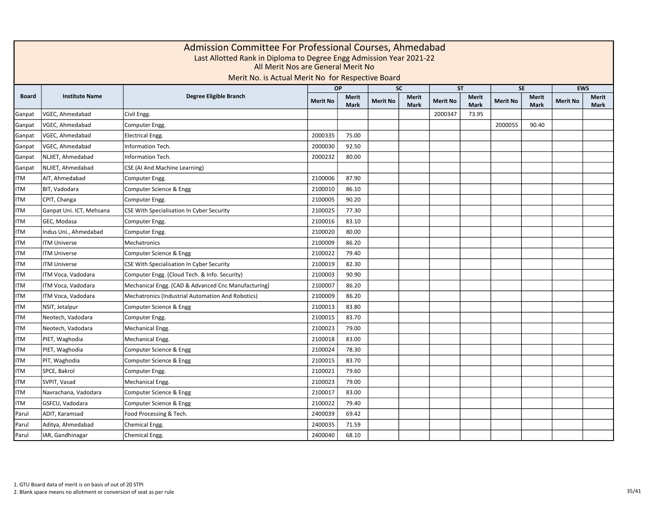|              | Admission Committee For Professional Courses, Ahmedabad<br>Last Allotted Rank in Diploma to Degree Engg Admission Year 2021-22<br>All Merit Nos are General Merit No<br>Merit No. is Actual Merit No for Respective Board<br>OP<br><b>SE</b><br><b>EWS</b><br><b>SC</b><br><b>ST</b> |                                                     |                 |                      |                 |                             |                 |                      |                 |                             |                 |                      |  |  |  |
|--------------|--------------------------------------------------------------------------------------------------------------------------------------------------------------------------------------------------------------------------------------------------------------------------------------|-----------------------------------------------------|-----------------|----------------------|-----------------|-----------------------------|-----------------|----------------------|-----------------|-----------------------------|-----------------|----------------------|--|--|--|
|              |                                                                                                                                                                                                                                                                                      |                                                     |                 |                      |                 |                             |                 |                      |                 |                             |                 |                      |  |  |  |
| <b>Board</b> | <b>Institute Name</b>                                                                                                                                                                                                                                                                | Degree Eligible Branch                              | <b>Merit No</b> | Merit<br><b>Mark</b> | <b>Merit No</b> | <b>Merit</b><br><b>Mark</b> | <b>Merit No</b> | Merit<br><b>Mark</b> | <b>Merit No</b> | <b>Merit</b><br><b>Mark</b> | <b>Merit No</b> | <b>Merit</b><br>Mark |  |  |  |
| Ganpat       | VGEC, Ahmedabad                                                                                                                                                                                                                                                                      | Civil Engg.                                         |                 |                      |                 |                             | 2000347         | 73.95                |                 |                             |                 |                      |  |  |  |
| Ganpat       | VGEC, Ahmedabad                                                                                                                                                                                                                                                                      | Computer Engg.                                      |                 |                      |                 |                             |                 |                      | 2000055         | 90.40                       |                 |                      |  |  |  |
| Ganpat       | VGEC, Ahmedabad                                                                                                                                                                                                                                                                      | <b>Electrical Engg.</b>                             | 2000335         | 75.00                |                 |                             |                 |                      |                 |                             |                 |                      |  |  |  |
| Ganpat       | VGEC, Ahmedabad                                                                                                                                                                                                                                                                      | Information Tech.                                   | 2000030         | 92.50                |                 |                             |                 |                      |                 |                             |                 |                      |  |  |  |
| Ganpat       | NLJIET, Ahmedabad                                                                                                                                                                                                                                                                    | Information Tech.                                   | 2000232         | 80.00                |                 |                             |                 |                      |                 |                             |                 |                      |  |  |  |
| Ganpat       | NLJIET, Ahmedabad                                                                                                                                                                                                                                                                    | CSE (AI And Machine Learning)                       |                 |                      |                 |                             |                 |                      |                 |                             |                 |                      |  |  |  |
| <b>ITM</b>   | AIT, Ahmedabad                                                                                                                                                                                                                                                                       | Computer Engg.                                      | 2100006         | 87.90                |                 |                             |                 |                      |                 |                             |                 |                      |  |  |  |
| <b>ITM</b>   | BIT, Vadodara                                                                                                                                                                                                                                                                        | Computer Science & Engg                             | 2100010         | 86.10                |                 |                             |                 |                      |                 |                             |                 |                      |  |  |  |
| <b>ITM</b>   | CPIT, Changa                                                                                                                                                                                                                                                                         | Computer Engg.                                      | 2100005         | 90.20                |                 |                             |                 |                      |                 |                             |                 |                      |  |  |  |
| ITM          | Ganpat Uni. ICT, Mehsana                                                                                                                                                                                                                                                             | CSE With Specialisation In Cyber Security           | 2100025         | 77.30                |                 |                             |                 |                      |                 |                             |                 |                      |  |  |  |
| <b>ITM</b>   | GEC, Modasa                                                                                                                                                                                                                                                                          | Computer Engg.                                      | 2100016         | 83.10                |                 |                             |                 |                      |                 |                             |                 |                      |  |  |  |
| ITM          | Indus Uni., Ahmedabad                                                                                                                                                                                                                                                                | Computer Engg.                                      | 2100020         | 80.00                |                 |                             |                 |                      |                 |                             |                 |                      |  |  |  |
| <b>ITM</b>   | <b>ITM Universe</b>                                                                                                                                                                                                                                                                  | Mechatronics                                        | 2100009         | 86.20                |                 |                             |                 |                      |                 |                             |                 |                      |  |  |  |
| <b>ITM</b>   | <b>ITM Universe</b>                                                                                                                                                                                                                                                                  | Computer Science & Engg                             | 2100022         | 79.40                |                 |                             |                 |                      |                 |                             |                 |                      |  |  |  |
| <b>ITM</b>   | <b>ITM Universe</b>                                                                                                                                                                                                                                                                  | CSE With Specialisation In Cyber Security           | 2100019         | 82.30                |                 |                             |                 |                      |                 |                             |                 |                      |  |  |  |
| <b>ITM</b>   | ITM Voca, Vadodara                                                                                                                                                                                                                                                                   | Computer Engg. (Cloud Tech. & Info. Security)       | 2100003         | 90.90                |                 |                             |                 |                      |                 |                             |                 |                      |  |  |  |
| <b>ITM</b>   | ITM Voca, Vadodara                                                                                                                                                                                                                                                                   | Mechanical Engg. (CAD & Advanced Cnc Manufacturing) | 2100007         | 86.20                |                 |                             |                 |                      |                 |                             |                 |                      |  |  |  |
| <b>ITM</b>   | ITM Voca, Vadodara                                                                                                                                                                                                                                                                   | Mechatronics (Industrial Automation And Robotics)   | 2100009         | 86.20                |                 |                             |                 |                      |                 |                             |                 |                      |  |  |  |
| <b>ITM</b>   | NSIT, Jetalpur                                                                                                                                                                                                                                                                       | Computer Science & Engg                             | 2100013         | 83.80                |                 |                             |                 |                      |                 |                             |                 |                      |  |  |  |
| <b>ITM</b>   | Neotech, Vadodara                                                                                                                                                                                                                                                                    | Computer Engg.                                      | 2100015         | 83.70                |                 |                             |                 |                      |                 |                             |                 |                      |  |  |  |
| <b>ITM</b>   | Neotech, Vadodara                                                                                                                                                                                                                                                                    | Mechanical Engg.                                    | 2100023         | 79.00                |                 |                             |                 |                      |                 |                             |                 |                      |  |  |  |
| <b>ITM</b>   | PIET, Waghodia                                                                                                                                                                                                                                                                       | Mechanical Engg.                                    | 2100018         | 83.00                |                 |                             |                 |                      |                 |                             |                 |                      |  |  |  |
| <b>ITM</b>   | PIET, Waghodia                                                                                                                                                                                                                                                                       | Computer Science & Engg                             | 2100024         | 78.30                |                 |                             |                 |                      |                 |                             |                 |                      |  |  |  |
| <b>ITM</b>   | PIT, Waghodia                                                                                                                                                                                                                                                                        | Computer Science & Engg                             | 2100015         | 83.70                |                 |                             |                 |                      |                 |                             |                 |                      |  |  |  |
| <b>ITM</b>   | SPCE, Bakrol                                                                                                                                                                                                                                                                         | Computer Engg.                                      | 2100021         | 79.60                |                 |                             |                 |                      |                 |                             |                 |                      |  |  |  |
| <b>ITM</b>   | SVPIT, Vasad                                                                                                                                                                                                                                                                         | Mechanical Engg.                                    | 2100023         | 79.00                |                 |                             |                 |                      |                 |                             |                 |                      |  |  |  |
| <b>ITM</b>   | Navrachana, Vadodara                                                                                                                                                                                                                                                                 | Computer Science & Engg                             | 2100017         | 83.00                |                 |                             |                 |                      |                 |                             |                 |                      |  |  |  |
| <b>ITM</b>   | GSFCU, Vadodara                                                                                                                                                                                                                                                                      | Computer Science & Engg                             | 2100022         | 79.40                |                 |                             |                 |                      |                 |                             |                 |                      |  |  |  |
| Parul        | ADIT, Karamsad                                                                                                                                                                                                                                                                       | Food Processing & Tech.                             | 2400039         | 69.42                |                 |                             |                 |                      |                 |                             |                 |                      |  |  |  |
| Parul        | Aditya, Ahmedabad                                                                                                                                                                                                                                                                    | Chemical Engg.                                      | 2400035         | 71.59                |                 |                             |                 |                      |                 |                             |                 |                      |  |  |  |
| Parul        | IAR, Gandhinagar                                                                                                                                                                                                                                                                     | Chemical Engg.                                      | 2400040         | 68.10                |                 |                             |                 |                      |                 |                             |                 |                      |  |  |  |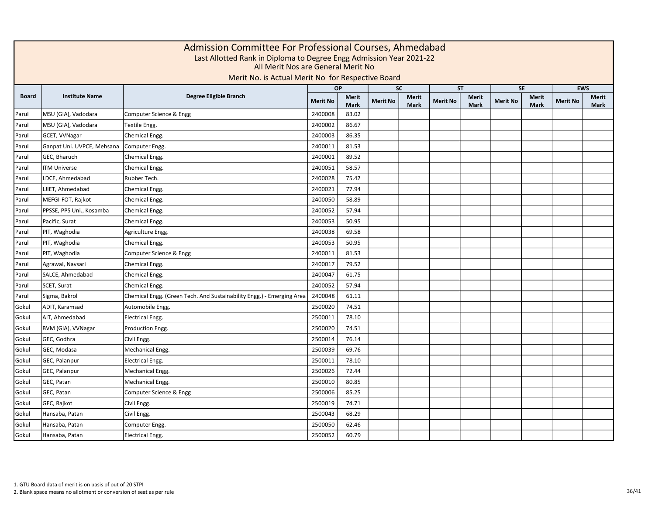|              |                            | Admission Committee For Professional Courses, Ahmedabad<br>Last Allotted Rank in Diploma to Degree Engg Admission Year 2021-22<br>All Merit Nos are General Merit No<br>Merit No. is Actual Merit No for Respective Board |                 |                             |                 |                             |                 |                      |                 |                             |                 |                      |
|--------------|----------------------------|---------------------------------------------------------------------------------------------------------------------------------------------------------------------------------------------------------------------------|-----------------|-----------------------------|-----------------|-----------------------------|-----------------|----------------------|-----------------|-----------------------------|-----------------|----------------------|
|              |                            |                                                                                                                                                                                                                           |                 | <b>OP</b>                   |                 | $\overline{SC}$             |                 | <b>ST</b>            |                 | SE                          |                 | <b>EWS</b>           |
| <b>Board</b> | <b>Institute Name</b>      | Degree Eligible Branch                                                                                                                                                                                                    | <b>Merit No</b> | <b>Merit</b><br><b>Mark</b> | <b>Merit No</b> | <b>Merit</b><br><b>Mark</b> | <b>Merit No</b> | Merit<br><b>Mark</b> | <b>Merit No</b> | <b>Merit</b><br><b>Mark</b> | <b>Merit No</b> | <b>Merit</b><br>Mark |
| Parul        | MSU (GIA), Vadodara        | Computer Science & Engg                                                                                                                                                                                                   | 2400008         | 83.02                       |                 |                             |                 |                      |                 |                             |                 |                      |
| Parul        | MSU (GIA), Vadodara        | Textile Engg.                                                                                                                                                                                                             | 2400002         | 86.67                       |                 |                             |                 |                      |                 |                             |                 |                      |
| Parul        | GCET, VVNagar              | Chemical Engg.                                                                                                                                                                                                            | 2400003         | 86.35                       |                 |                             |                 |                      |                 |                             |                 |                      |
| Parul        | Ganpat Uni. UVPCE, Mehsana | Computer Engg.                                                                                                                                                                                                            | 2400011         | 81.53                       |                 |                             |                 |                      |                 |                             |                 |                      |
| Parul        | GEC, Bharuch               | Chemical Engg.                                                                                                                                                                                                            | 2400001         | 89.52                       |                 |                             |                 |                      |                 |                             |                 |                      |
| Parul        | <b>ITM Universe</b>        | Chemical Engg.                                                                                                                                                                                                            | 2400051         | 58.57                       |                 |                             |                 |                      |                 |                             |                 |                      |
| Parul        | LDCE, Ahmedabad            | Rubber Tech.                                                                                                                                                                                                              | 2400028         | 75.42                       |                 |                             |                 |                      |                 |                             |                 |                      |
| Parul        | LJIET, Ahmedabad           | Chemical Engg.                                                                                                                                                                                                            | 2400021         | 77.94                       |                 |                             |                 |                      |                 |                             |                 |                      |
| Parul        | MEFGI-FOT, Rajkot          | Chemical Engg.                                                                                                                                                                                                            | 2400050         | 58.89                       |                 |                             |                 |                      |                 |                             |                 |                      |
| Parul        | PPSSE, PPS Uni., Kosamba   | Chemical Engg.                                                                                                                                                                                                            | 2400052         | 57.94                       |                 |                             |                 |                      |                 |                             |                 |                      |
| Parul        | Pacific, Surat             | Chemical Engg.                                                                                                                                                                                                            | 2400053         | 50.95                       |                 |                             |                 |                      |                 |                             |                 |                      |
| Parul        | PIT, Waghodia              | Agriculture Engg.                                                                                                                                                                                                         | 2400038         | 69.58                       |                 |                             |                 |                      |                 |                             |                 |                      |
| Parul        | PIT, Waghodia              | Chemical Engg.                                                                                                                                                                                                            | 2400053         | 50.95                       |                 |                             |                 |                      |                 |                             |                 |                      |
| Parul        | PIT, Waghodia              | Computer Science & Engg                                                                                                                                                                                                   | 2400011         | 81.53                       |                 |                             |                 |                      |                 |                             |                 |                      |
| Parul        | Agrawal, Navsari           | Chemical Engg.                                                                                                                                                                                                            | 2400017         | 79.52                       |                 |                             |                 |                      |                 |                             |                 |                      |
| Parul        | SALCE, Ahmedabad           | Chemical Engg.                                                                                                                                                                                                            | 2400047         | 61.75                       |                 |                             |                 |                      |                 |                             |                 |                      |
| Parul        | SCET, Surat                | Chemical Engg.                                                                                                                                                                                                            | 2400052         | 57.94                       |                 |                             |                 |                      |                 |                             |                 |                      |
| Parul        | Sigma, Bakrol              | Chemical Engg. (Green Tech. And Sustainability Engg.) - Emerging Area                                                                                                                                                     | 2400048         | 61.11                       |                 |                             |                 |                      |                 |                             |                 |                      |
| Gokul        | ADIT, Karamsad             | Automobile Engg.                                                                                                                                                                                                          | 2500020         | 74.51                       |                 |                             |                 |                      |                 |                             |                 |                      |
| Gokul        | AIT, Ahmedabad             | <b>Electrical Engg.</b>                                                                                                                                                                                                   | 2500011         | 78.10                       |                 |                             |                 |                      |                 |                             |                 |                      |
| Gokul        | BVM (GIA), VVNagar         | Production Engg.                                                                                                                                                                                                          | 2500020         | 74.51                       |                 |                             |                 |                      |                 |                             |                 |                      |
| Gokul        | GEC, Godhra                | Civil Engg.                                                                                                                                                                                                               | 2500014         | 76.14                       |                 |                             |                 |                      |                 |                             |                 |                      |
| Gokul        | GEC, Modasa                | Mechanical Engg.                                                                                                                                                                                                          | 2500039         | 69.76                       |                 |                             |                 |                      |                 |                             |                 |                      |
| Gokul        | GEC, Palanpur              | Electrical Engg.                                                                                                                                                                                                          | 2500011         | 78.10                       |                 |                             |                 |                      |                 |                             |                 |                      |
| Gokul        | GEC, Palanpur              | Mechanical Engg.                                                                                                                                                                                                          | 2500026         | 72.44                       |                 |                             |                 |                      |                 |                             |                 |                      |
| Gokul        | GEC, Patan                 | Mechanical Engg.                                                                                                                                                                                                          | 2500010         | 80.85                       |                 |                             |                 |                      |                 |                             |                 |                      |
| Gokul        | GEC, Patan                 | Computer Science & Engg                                                                                                                                                                                                   | 2500006         | 85.25                       |                 |                             |                 |                      |                 |                             |                 |                      |
| Gokul        | GEC, Rajkot                | Civil Engg.                                                                                                                                                                                                               | 2500019         | 74.71                       |                 |                             |                 |                      |                 |                             |                 |                      |
| Gokul        | Hansaba, Patan             | Civil Engg.                                                                                                                                                                                                               | 2500043         | 68.29                       |                 |                             |                 |                      |                 |                             |                 |                      |
| Gokul        | Hansaba, Patan             | Computer Engg.                                                                                                                                                                                                            | 2500050         | 62.46                       |                 |                             |                 |                      |                 |                             |                 |                      |
| Gokul        | Hansaba, Patan             | <b>Electrical Engg.</b>                                                                                                                                                                                                   | 2500052         | 60.79                       |                 |                             |                 |                      |                 |                             |                 |                      |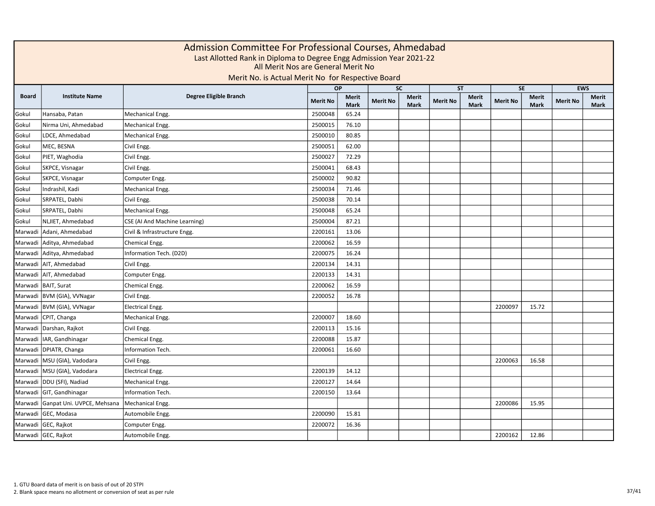| Admission Committee For Professional Courses, Ahmedabad<br>Last Allotted Rank in Diploma to Degree Engg Admission Year 2021-22<br>All Merit Nos are General Merit No<br>Merit No. is Actual Merit No for Respective Board |                              |                               |                 |                      |                 |                             |                 |                             |                 |               |                 |                      |
|---------------------------------------------------------------------------------------------------------------------------------------------------------------------------------------------------------------------------|------------------------------|-------------------------------|-----------------|----------------------|-----------------|-----------------------------|-----------------|-----------------------------|-----------------|---------------|-----------------|----------------------|
|                                                                                                                                                                                                                           |                              |                               | OP              |                      | <b>SC</b>       |                             |                 | <b>ST</b>                   |                 | <b>SE</b>     |                 | <b>EWS</b>           |
| <b>Board</b>                                                                                                                                                                                                              | <b>Institute Name</b>        | Degree Eligible Branch        | <b>Merit No</b> | Merit<br><b>Mark</b> | <b>Merit No</b> | <b>Merit</b><br><b>Mark</b> | <b>Merit No</b> | <b>Merit</b><br><b>Mark</b> | <b>Merit No</b> | Merit<br>Mark | <b>Merit No</b> | Merit<br><b>Mark</b> |
| Gokul                                                                                                                                                                                                                     | Hansaba, Patan               | Mechanical Engg.              | 2500048         | 65.24                |                 |                             |                 |                             |                 |               |                 |                      |
| Gokul                                                                                                                                                                                                                     | Nirma Uni, Ahmedabad         | Mechanical Engg.              | 2500015         | 76.10                |                 |                             |                 |                             |                 |               |                 |                      |
| Gokul                                                                                                                                                                                                                     | LDCE, Ahmedabad              | Mechanical Engg.              | 2500010         | 80.85                |                 |                             |                 |                             |                 |               |                 |                      |
| Gokul                                                                                                                                                                                                                     | MEC, BESNA                   | Civil Engg.                   | 2500051         | 62.00                |                 |                             |                 |                             |                 |               |                 |                      |
| Gokul                                                                                                                                                                                                                     | PIET, Waghodia               | Civil Engg.                   | 2500027         | 72.29                |                 |                             |                 |                             |                 |               |                 |                      |
| Gokul                                                                                                                                                                                                                     | SKPCE, Visnagar              | Civil Engg.                   | 2500041         | 68.43                |                 |                             |                 |                             |                 |               |                 |                      |
| Gokul                                                                                                                                                                                                                     | SKPCE, Visnagar              | Computer Engg.                | 2500002         | 90.82                |                 |                             |                 |                             |                 |               |                 |                      |
| Gokul                                                                                                                                                                                                                     | Indrashil, Kadi              | Mechanical Engg.              | 2500034         | 71.46                |                 |                             |                 |                             |                 |               |                 |                      |
| Gokul                                                                                                                                                                                                                     | SRPATEL, Dabhi               | Civil Engg.                   | 2500038         | 70.14                |                 |                             |                 |                             |                 |               |                 |                      |
| Gokul                                                                                                                                                                                                                     | SRPATEL, Dabhi               | Mechanical Engg.              | 2500048         | 65.24                |                 |                             |                 |                             |                 |               |                 |                      |
| Gokul                                                                                                                                                                                                                     | NLJIET, Ahmedabad            | CSE (AI And Machine Learning) | 2500004         | 87.21                |                 |                             |                 |                             |                 |               |                 |                      |
| Marwadi                                                                                                                                                                                                                   | Adani, Ahmedabad             | Civil & Infrastructure Engg.  | 2200161         | 13.06                |                 |                             |                 |                             |                 |               |                 |                      |
| Marwadi                                                                                                                                                                                                                   | Aditya, Ahmedabad            | Chemical Engg.                | 2200062         | 16.59                |                 |                             |                 |                             |                 |               |                 |                      |
|                                                                                                                                                                                                                           | Marwadi Aditya, Ahmedabad    | Information Tech. (D2D)       | 2200075         | 16.24                |                 |                             |                 |                             |                 |               |                 |                      |
|                                                                                                                                                                                                                           | Marwadi   AIT, Ahmedabad     | Civil Engg.                   | 2200134         | 14.31                |                 |                             |                 |                             |                 |               |                 |                      |
|                                                                                                                                                                                                                           | Marwadi AIT, Ahmedabad       | Computer Engg.                | 2200133         | 14.31                |                 |                             |                 |                             |                 |               |                 |                      |
|                                                                                                                                                                                                                           | Marwadi BAIT, Surat          | Chemical Engg.                | 2200062         | 16.59                |                 |                             |                 |                             |                 |               |                 |                      |
|                                                                                                                                                                                                                           | Marwadi   BVM (GIA), VVNagar | Civil Engg.                   | 2200052         | 16.78                |                 |                             |                 |                             |                 |               |                 |                      |
|                                                                                                                                                                                                                           | Marwadi   BVM (GIA), VVNagar | <b>Electrical Engg.</b>       |                 |                      |                 |                             |                 |                             | 2200097         | 15.72         |                 |                      |
| Marwadi                                                                                                                                                                                                                   | CPIT, Changa                 | Mechanical Engg.              | 2200007         | 18.60                |                 |                             |                 |                             |                 |               |                 |                      |
| Marwadi                                                                                                                                                                                                                   | Darshan, Rajkot              | Civil Engg.                   | 2200113         | 15.16                |                 |                             |                 |                             |                 |               |                 |                      |
| Marwadi                                                                                                                                                                                                                   | IAR, Gandhinagar             | Chemical Engg.                | 2200088         | 15.87                |                 |                             |                 |                             |                 |               |                 |                      |
| Marwadi                                                                                                                                                                                                                   | DPIATR, Changa               | Information Tech.             | 2200061         | 16.60                |                 |                             |                 |                             |                 |               |                 |                      |
| Marwadi                                                                                                                                                                                                                   | MSU (GIA), Vadodara          | Civil Engg.                   |                 |                      |                 |                             |                 |                             | 2200063         | 16.58         |                 |                      |
| Marwadi                                                                                                                                                                                                                   | MSU (GIA), Vadodara          | <b>Electrical Engg.</b>       | 2200139         | 14.12                |                 |                             |                 |                             |                 |               |                 |                      |
| Marwadi                                                                                                                                                                                                                   | DDU (SFI), Nadiad            | Mechanical Engg.              | 2200127         | 14.64                |                 |                             |                 |                             |                 |               |                 |                      |
| Marwadi                                                                                                                                                                                                                   | GIT, Gandhinagar             | Information Tech.             | 2200150         | 13.64                |                 |                             |                 |                             |                 |               |                 |                      |
| Marwadi                                                                                                                                                                                                                   | Ganpat Uni. UVPCE, Mehsana   | Mechanical Engg.              |                 |                      |                 |                             |                 |                             | 2200086         | 15.95         |                 |                      |
| Marwadi                                                                                                                                                                                                                   | GEC, Modasa                  | Automobile Engg.              | 2200090         | 15.81                |                 |                             |                 |                             |                 |               |                 |                      |
| Marwadi                                                                                                                                                                                                                   | GEC, Rajkot                  | Computer Engg.                | 2200072         | 16.36                |                 |                             |                 |                             |                 |               |                 |                      |
|                                                                                                                                                                                                                           | Marwadi GEC, Rajkot          | Automobile Engg.              |                 |                      |                 |                             |                 |                             | 2200162         | 12.86         |                 |                      |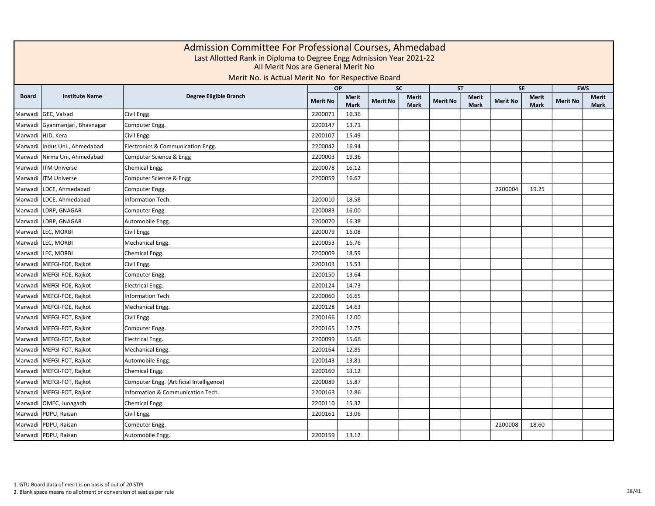| <b>OP</b><br><b>SC</b><br><b>ST</b><br><b>SE</b><br>Degree Eligible Branch<br><b>Board</b><br><b>Institute Name</b><br><b>Merit</b><br><b>Merit</b><br><b>Merit</b><br><b>Merit</b><br><b>Merit No</b><br><b>Merit No</b><br><b>Merit No</b><br><b>Merit No</b><br><b>Mark</b><br><b>Mark</b><br><b>Mark</b><br><b>Mark</b><br>GEC, Valsad<br>2200071<br>Marwadi<br>Civil Engg.<br>16.36<br>Gyanmanjari, Bhavnagar<br>2200147<br>13.71<br>Marwadi<br>Computer Engg.<br>Marwadi HJD, Kera<br>Civil Engg.<br>2200107<br>15.49<br>Indus Uni., Ahmedabad<br>Electronics & Communication Engg.<br>2200042<br>16.94<br>Marwadi<br>Nirma Uni, Ahmedabad<br>Computer Science & Engg<br>2200003<br>19.36<br>Marwadi<br><b>ITM Universe</b><br>16.12<br>Marwadi<br>Chemical Engg.<br>2200078<br><b>ITM Universe</b><br>Computer Science & Engg<br>2200059<br>16.67<br>Marwadi<br>LDCE, Ahmedabad<br>2200004<br>19.25<br>Marwadi<br>Computer Engg.<br>LDCE, Ahmedabad<br>Information Tech.<br>2200010<br>18.58<br>Marwadi<br>LDRP, GNAGAR<br>2200083<br>16.00<br>Marwadi<br>Computer Engg.<br>LDRP, GNAGAR<br>2200070<br>16.38<br>Marwadi<br>Automobile Engg.<br>LEC, MORBI<br>2200079<br>16.08<br>Marwadi<br>Civil Engg. | Admission Committee For Professional Courses, Ahmedabad<br>Last Allotted Rank in Diploma to Degree Engg Admission Year 2021-22<br>All Merit Nos are General Merit No<br>Merit No. is Actual Merit No for Respective Board |  |  |  |  |  |  |  |  |  |  |  |
|----------------------------------------------------------------------------------------------------------------------------------------------------------------------------------------------------------------------------------------------------------------------------------------------------------------------------------------------------------------------------------------------------------------------------------------------------------------------------------------------------------------------------------------------------------------------------------------------------------------------------------------------------------------------------------------------------------------------------------------------------------------------------------------------------------------------------------------------------------------------------------------------------------------------------------------------------------------------------------------------------------------------------------------------------------------------------------------------------------------------------------------------------------------------------------------------------------------|---------------------------------------------------------------------------------------------------------------------------------------------------------------------------------------------------------------------------|--|--|--|--|--|--|--|--|--|--|--|
|                                                                                                                                                                                                                                                                                                                                                                                                                                                                                                                                                                                                                                                                                                                                                                                                                                                                                                                                                                                                                                                                                                                                                                                                                | <b>EWS</b>                                                                                                                                                                                                                |  |  |  |  |  |  |  |  |  |  |  |
|                                                                                                                                                                                                                                                                                                                                                                                                                                                                                                                                                                                                                                                                                                                                                                                                                                                                                                                                                                                                                                                                                                                                                                                                                | <b>Merit</b><br><b>Merit No</b><br><b>Mark</b>                                                                                                                                                                            |  |  |  |  |  |  |  |  |  |  |  |
|                                                                                                                                                                                                                                                                                                                                                                                                                                                                                                                                                                                                                                                                                                                                                                                                                                                                                                                                                                                                                                                                                                                                                                                                                |                                                                                                                                                                                                                           |  |  |  |  |  |  |  |  |  |  |  |
|                                                                                                                                                                                                                                                                                                                                                                                                                                                                                                                                                                                                                                                                                                                                                                                                                                                                                                                                                                                                                                                                                                                                                                                                                |                                                                                                                                                                                                                           |  |  |  |  |  |  |  |  |  |  |  |
|                                                                                                                                                                                                                                                                                                                                                                                                                                                                                                                                                                                                                                                                                                                                                                                                                                                                                                                                                                                                                                                                                                                                                                                                                |                                                                                                                                                                                                                           |  |  |  |  |  |  |  |  |  |  |  |
|                                                                                                                                                                                                                                                                                                                                                                                                                                                                                                                                                                                                                                                                                                                                                                                                                                                                                                                                                                                                                                                                                                                                                                                                                |                                                                                                                                                                                                                           |  |  |  |  |  |  |  |  |  |  |  |
|                                                                                                                                                                                                                                                                                                                                                                                                                                                                                                                                                                                                                                                                                                                                                                                                                                                                                                                                                                                                                                                                                                                                                                                                                |                                                                                                                                                                                                                           |  |  |  |  |  |  |  |  |  |  |  |
|                                                                                                                                                                                                                                                                                                                                                                                                                                                                                                                                                                                                                                                                                                                                                                                                                                                                                                                                                                                                                                                                                                                                                                                                                |                                                                                                                                                                                                                           |  |  |  |  |  |  |  |  |  |  |  |
|                                                                                                                                                                                                                                                                                                                                                                                                                                                                                                                                                                                                                                                                                                                                                                                                                                                                                                                                                                                                                                                                                                                                                                                                                |                                                                                                                                                                                                                           |  |  |  |  |  |  |  |  |  |  |  |
|                                                                                                                                                                                                                                                                                                                                                                                                                                                                                                                                                                                                                                                                                                                                                                                                                                                                                                                                                                                                                                                                                                                                                                                                                |                                                                                                                                                                                                                           |  |  |  |  |  |  |  |  |  |  |  |
|                                                                                                                                                                                                                                                                                                                                                                                                                                                                                                                                                                                                                                                                                                                                                                                                                                                                                                                                                                                                                                                                                                                                                                                                                |                                                                                                                                                                                                                           |  |  |  |  |  |  |  |  |  |  |  |
|                                                                                                                                                                                                                                                                                                                                                                                                                                                                                                                                                                                                                                                                                                                                                                                                                                                                                                                                                                                                                                                                                                                                                                                                                |                                                                                                                                                                                                                           |  |  |  |  |  |  |  |  |  |  |  |
|                                                                                                                                                                                                                                                                                                                                                                                                                                                                                                                                                                                                                                                                                                                                                                                                                                                                                                                                                                                                                                                                                                                                                                                                                |                                                                                                                                                                                                                           |  |  |  |  |  |  |  |  |  |  |  |
|                                                                                                                                                                                                                                                                                                                                                                                                                                                                                                                                                                                                                                                                                                                                                                                                                                                                                                                                                                                                                                                                                                                                                                                                                |                                                                                                                                                                                                                           |  |  |  |  |  |  |  |  |  |  |  |
| Marwadi LEC, MORBI<br>2200053<br>16.76<br>Mechanical Engg.                                                                                                                                                                                                                                                                                                                                                                                                                                                                                                                                                                                                                                                                                                                                                                                                                                                                                                                                                                                                                                                                                                                                                     |                                                                                                                                                                                                                           |  |  |  |  |  |  |  |  |  |  |  |
| Marwadi LEC, MORBI<br>2200009<br>18.59<br>Chemical Engg.                                                                                                                                                                                                                                                                                                                                                                                                                                                                                                                                                                                                                                                                                                                                                                                                                                                                                                                                                                                                                                                                                                                                                       |                                                                                                                                                                                                                           |  |  |  |  |  |  |  |  |  |  |  |
| Marwadi   MEFGI-FOE, Rajkot<br>2200103<br>15.53<br>Civil Engg.                                                                                                                                                                                                                                                                                                                                                                                                                                                                                                                                                                                                                                                                                                                                                                                                                                                                                                                                                                                                                                                                                                                                                 |                                                                                                                                                                                                                           |  |  |  |  |  |  |  |  |  |  |  |
| Marwadi MEFGI-FOE, Rajkot<br>2200150<br>13.64<br>Computer Engg.                                                                                                                                                                                                                                                                                                                                                                                                                                                                                                                                                                                                                                                                                                                                                                                                                                                                                                                                                                                                                                                                                                                                                |                                                                                                                                                                                                                           |  |  |  |  |  |  |  |  |  |  |  |
| 14.73<br>Marwadi   MEFGI-FOE, Rajkot<br><b>Electrical Engg.</b><br>2200124                                                                                                                                                                                                                                                                                                                                                                                                                                                                                                                                                                                                                                                                                                                                                                                                                                                                                                                                                                                                                                                                                                                                     |                                                                                                                                                                                                                           |  |  |  |  |  |  |  |  |  |  |  |
| 16.65<br>Marwadi   MEFGI-FOE, Rajkot<br><b>Information Tech.</b><br>2200060                                                                                                                                                                                                                                                                                                                                                                                                                                                                                                                                                                                                                                                                                                                                                                                                                                                                                                                                                                                                                                                                                                                                    |                                                                                                                                                                                                                           |  |  |  |  |  |  |  |  |  |  |  |
| Marwadi MEFGI-FOE, Rajkot<br>2200128<br>14.63<br>Mechanical Engg.                                                                                                                                                                                                                                                                                                                                                                                                                                                                                                                                                                                                                                                                                                                                                                                                                                                                                                                                                                                                                                                                                                                                              |                                                                                                                                                                                                                           |  |  |  |  |  |  |  |  |  |  |  |
| Marwadi MEFGI-FOT, Rajkot<br>2200166<br>12.00<br>Civil Engg.                                                                                                                                                                                                                                                                                                                                                                                                                                                                                                                                                                                                                                                                                                                                                                                                                                                                                                                                                                                                                                                                                                                                                   |                                                                                                                                                                                                                           |  |  |  |  |  |  |  |  |  |  |  |
| 12.75<br>Marwadi   MEFGI-FOT, Rajkot<br>Computer Engg.<br>2200165                                                                                                                                                                                                                                                                                                                                                                                                                                                                                                                                                                                                                                                                                                                                                                                                                                                                                                                                                                                                                                                                                                                                              |                                                                                                                                                                                                                           |  |  |  |  |  |  |  |  |  |  |  |
| 2200099<br>15.66<br>Marwadi   MEFGI-FOT, Rajkot<br><b>Electrical Engg.</b>                                                                                                                                                                                                                                                                                                                                                                                                                                                                                                                                                                                                                                                                                                                                                                                                                                                                                                                                                                                                                                                                                                                                     |                                                                                                                                                                                                                           |  |  |  |  |  |  |  |  |  |  |  |
| 2200164<br>12.85<br>Marwadi MEFGI-FOT, Rajkot<br>Mechanical Engg.                                                                                                                                                                                                                                                                                                                                                                                                                                                                                                                                                                                                                                                                                                                                                                                                                                                                                                                                                                                                                                                                                                                                              |                                                                                                                                                                                                                           |  |  |  |  |  |  |  |  |  |  |  |
| MEFGI-FOT, Rajkot<br>2200143<br>13.81<br>Automobile Engg.<br>Marwadi                                                                                                                                                                                                                                                                                                                                                                                                                                                                                                                                                                                                                                                                                                                                                                                                                                                                                                                                                                                                                                                                                                                                           |                                                                                                                                                                                                                           |  |  |  |  |  |  |  |  |  |  |  |
| 2200160<br>13.12<br>MEFGI-FOT, Rajkot<br>Marwadi<br>Chemical Engg.                                                                                                                                                                                                                                                                                                                                                                                                                                                                                                                                                                                                                                                                                                                                                                                                                                                                                                                                                                                                                                                                                                                                             |                                                                                                                                                                                                                           |  |  |  |  |  |  |  |  |  |  |  |
| MEFGI-FOT, Rajkot<br>Computer Engg. (Artificial Intelligence)<br>2200089<br>15.87<br>Marwadi                                                                                                                                                                                                                                                                                                                                                                                                                                                                                                                                                                                                                                                                                                                                                                                                                                                                                                                                                                                                                                                                                                                   |                                                                                                                                                                                                                           |  |  |  |  |  |  |  |  |  |  |  |
| MEFGI-FOT, Rajkot<br>Information & Communication Tech.<br>2200163<br>12.86<br>Marwadi                                                                                                                                                                                                                                                                                                                                                                                                                                                                                                                                                                                                                                                                                                                                                                                                                                                                                                                                                                                                                                                                                                                          |                                                                                                                                                                                                                           |  |  |  |  |  |  |  |  |  |  |  |
| OMEC, Junagadh<br>2200110<br>15.32<br>Chemical Engg.<br>Marwadi                                                                                                                                                                                                                                                                                                                                                                                                                                                                                                                                                                                                                                                                                                                                                                                                                                                                                                                                                                                                                                                                                                                                                |                                                                                                                                                                                                                           |  |  |  |  |  |  |  |  |  |  |  |
| PDPU, Raisan<br>2200161<br>13.06<br>Civil Engg.<br>Marwadi                                                                                                                                                                                                                                                                                                                                                                                                                                                                                                                                                                                                                                                                                                                                                                                                                                                                                                                                                                                                                                                                                                                                                     |                                                                                                                                                                                                                           |  |  |  |  |  |  |  |  |  |  |  |
| 2200008<br>PDPU, Raisan<br>Computer Engg.<br>18.60<br>Marwadi                                                                                                                                                                                                                                                                                                                                                                                                                                                                                                                                                                                                                                                                                                                                                                                                                                                                                                                                                                                                                                                                                                                                                  |                                                                                                                                                                                                                           |  |  |  |  |  |  |  |  |  |  |  |
| Marwadi   PDPU, Raisan<br>Automobile Engg.<br>2200159<br>13.12                                                                                                                                                                                                                                                                                                                                                                                                                                                                                                                                                                                                                                                                                                                                                                                                                                                                                                                                                                                                                                                                                                                                                 |                                                                                                                                                                                                                           |  |  |  |  |  |  |  |  |  |  |  |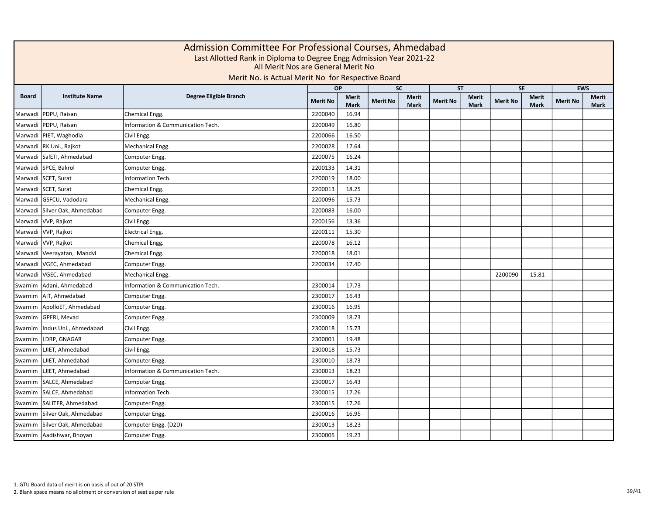| Admission Committee For Professional Courses, Ahmedabad<br>Last Allotted Rank in Diploma to Degree Engg Admission Year 2021-22<br>All Merit Nos are General Merit No<br>Merit No. is Actual Merit No for Respective Board |                               |                                   |                 |                             |                 |                             |                 |                             |                 |                             |                 |                             |
|---------------------------------------------------------------------------------------------------------------------------------------------------------------------------------------------------------------------------|-------------------------------|-----------------------------------|-----------------|-----------------------------|-----------------|-----------------------------|-----------------|-----------------------------|-----------------|-----------------------------|-----------------|-----------------------------|
|                                                                                                                                                                                                                           |                               |                                   | <b>OP</b>       |                             |                 | <b>SC</b>                   |                 | <b>ST</b>                   |                 | <b>SE</b>                   | <b>EWS</b>      |                             |
| <b>Board</b>                                                                                                                                                                                                              | <b>Institute Name</b>         | Degree Eligible Branch            | <b>Merit No</b> | <b>Merit</b><br><b>Mark</b> | <b>Merit No</b> | <b>Merit</b><br><b>Mark</b> | <b>Merit No</b> | <b>Merit</b><br><b>Mark</b> | <b>Merit No</b> | <b>Merit</b><br><b>Mark</b> | <b>Merit No</b> | <b>Merit</b><br><b>Mark</b> |
| Marwadi                                                                                                                                                                                                                   | PDPU, Raisan                  | Chemical Engg.                    | 2200040         | 16.94                       |                 |                             |                 |                             |                 |                             |                 |                             |
| Marwadi                                                                                                                                                                                                                   | PDPU, Raisan                  | Information & Communication Tech. | 2200049         | 16.80                       |                 |                             |                 |                             |                 |                             |                 |                             |
|                                                                                                                                                                                                                           | Marwadi   PIET, Waghodia      | Civil Engg.                       | 2200066         | 16.50                       |                 |                             |                 |                             |                 |                             |                 |                             |
|                                                                                                                                                                                                                           | Marwadi  RK Uni., Rajkot      | Mechanical Engg.                  | 2200028         | 17.64                       |                 |                             |                 |                             |                 |                             |                 |                             |
| Marwadi                                                                                                                                                                                                                   | SalETI, Ahmedabad             | Computer Engg.                    | 2200075         | 16.24                       |                 |                             |                 |                             |                 |                             |                 |                             |
| Marwadi                                                                                                                                                                                                                   | SPCE, Bakrol                  | Computer Engg.                    | 2200133         | 14.31                       |                 |                             |                 |                             |                 |                             |                 |                             |
| Marwadi                                                                                                                                                                                                                   | SCET, Surat                   | Information Tech.                 | 2200019         | 18.00                       |                 |                             |                 |                             |                 |                             |                 |                             |
|                                                                                                                                                                                                                           | Marwadi SCET, Surat           | Chemical Engg.                    | 2200013         | 18.25                       |                 |                             |                 |                             |                 |                             |                 |                             |
|                                                                                                                                                                                                                           | Marwadi GSFCU, Vadodara       | Mechanical Engg.                  | 2200096         | 15.73                       |                 |                             |                 |                             |                 |                             |                 |                             |
|                                                                                                                                                                                                                           | Marwadi Silver Oak, Ahmedabad | Computer Engg.                    | 2200083         | 16.00                       |                 |                             |                 |                             |                 |                             |                 |                             |
|                                                                                                                                                                                                                           | Marwadi VVP, Rajkot           | Civil Engg.                       | 2200156         | 13.36                       |                 |                             |                 |                             |                 |                             |                 |                             |
|                                                                                                                                                                                                                           | Marwadi VVP, Rajkot           | <b>Electrical Engg.</b>           | 2200111         | 15.30                       |                 |                             |                 |                             |                 |                             |                 |                             |
|                                                                                                                                                                                                                           | Marwadi VVP, Rajkot           | Chemical Engg.                    | 2200078         | 16.12                       |                 |                             |                 |                             |                 |                             |                 |                             |
|                                                                                                                                                                                                                           | Marwadi Veerayatan, Mandvi    | Chemical Engg.                    | 2200018         | 18.01                       |                 |                             |                 |                             |                 |                             |                 |                             |
|                                                                                                                                                                                                                           | Marwadi VGEC, Ahmedabad       | Computer Engg.                    | 2200034         | 17.40                       |                 |                             |                 |                             |                 |                             |                 |                             |
|                                                                                                                                                                                                                           | Marwadi VGEC, Ahmedabad       | Mechanical Engg.                  |                 |                             |                 |                             |                 |                             | 2200090         | 15.81                       |                 |                             |
|                                                                                                                                                                                                                           | Swarnim   Adani, Ahmedabad    | Information & Communication Tech. | 2300014         | 17.73                       |                 |                             |                 |                             |                 |                             |                 |                             |
|                                                                                                                                                                                                                           | Swarnim   AIT, Ahmedabad      | Computer Engg.                    | 2300017         | 16.43                       |                 |                             |                 |                             |                 |                             |                 |                             |
|                                                                                                                                                                                                                           | Swarnim   ApolloET, Ahmedabad | Computer Engg.                    | 2300016         | 16.95                       |                 |                             |                 |                             |                 |                             |                 |                             |
|                                                                                                                                                                                                                           | Swarnim   GPERI, Mevad        | Computer Engg.                    | 2300009         | 18.73                       |                 |                             |                 |                             |                 |                             |                 |                             |
| Swarnim                                                                                                                                                                                                                   | Indus Uni., Ahmedabad         | Civil Engg.                       | 2300018         | 15.73                       |                 |                             |                 |                             |                 |                             |                 |                             |
| Swarnim                                                                                                                                                                                                                   | LDRP, GNAGAR                  | Computer Engg.                    | 2300001         | 19.48                       |                 |                             |                 |                             |                 |                             |                 |                             |
| Swarnim                                                                                                                                                                                                                   | LJIET, Ahmedabad              | Civil Engg.                       | 2300018         | 15.73                       |                 |                             |                 |                             |                 |                             |                 |                             |
| Swarnim                                                                                                                                                                                                                   | LJIET, Ahmedabad              | Computer Engg.                    | 2300010         | 18.73                       |                 |                             |                 |                             |                 |                             |                 |                             |
| Swarnim                                                                                                                                                                                                                   | LJIET, Ahmedabad              | Information & Communication Tech. | 2300013         | 18.23                       |                 |                             |                 |                             |                 |                             |                 |                             |
| Swarnim                                                                                                                                                                                                                   | SALCE, Ahmedabad              | Computer Engg.                    | 2300017         | 16.43                       |                 |                             |                 |                             |                 |                             |                 |                             |
| Swarnim                                                                                                                                                                                                                   | SALCE, Ahmedabad              | Information Tech.                 | 2300015         | 17.26                       |                 |                             |                 |                             |                 |                             |                 |                             |
| Swarnim                                                                                                                                                                                                                   | SALITER, Ahmedabad            | Computer Engg.                    | 2300015         | 17.26                       |                 |                             |                 |                             |                 |                             |                 |                             |
| Swarnim                                                                                                                                                                                                                   | Silver Oak, Ahmedabad         | Computer Engg.                    | 2300016         | 16.95                       |                 |                             |                 |                             |                 |                             |                 |                             |
| Swarnim                                                                                                                                                                                                                   | Silver Oak, Ahmedabad         | Computer Engg. (D2D)              | 2300013         | 18.23                       |                 |                             |                 |                             |                 |                             |                 |                             |
|                                                                                                                                                                                                                           | Swarnim   Aadishwar, Bhoyan   | Computer Engg.                    | 2300005         | 19.23                       |                 |                             |                 |                             |                 |                             |                 |                             |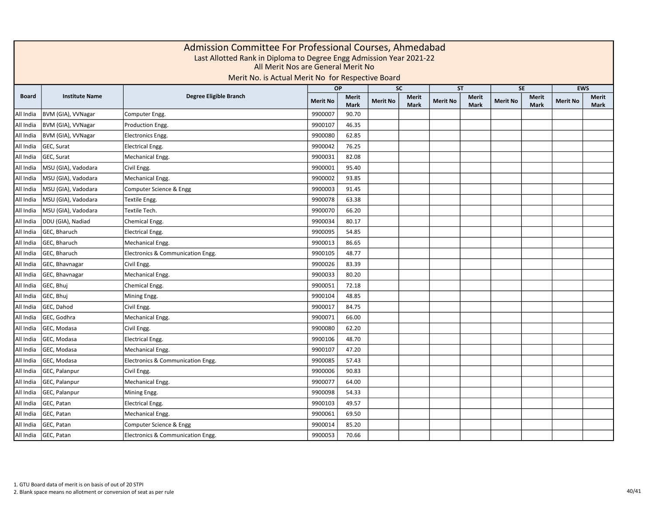| Admission Committee For Professional Courses, Ahmedabad<br>Last Allotted Rank in Diploma to Degree Engg Admission Year 2021-22<br>All Merit Nos are General Merit No<br>Merit No. is Actual Merit No for Respective Board |                       |                                   |                 |                             |                 |                             |                 |                      |                 |               |                 |                      |
|---------------------------------------------------------------------------------------------------------------------------------------------------------------------------------------------------------------------------|-----------------------|-----------------------------------|-----------------|-----------------------------|-----------------|-----------------------------|-----------------|----------------------|-----------------|---------------|-----------------|----------------------|
|                                                                                                                                                                                                                           |                       |                                   | <b>OP</b>       |                             |                 | <b>SC</b>                   |                 | <b>ST</b>            |                 | <b>SE</b>     |                 | <b>EWS</b>           |
| <b>Board</b>                                                                                                                                                                                                              | <b>Institute Name</b> | Degree Eligible Branch            | <b>Merit No</b> | <b>Merit</b><br><b>Mark</b> | <b>Merit No</b> | <b>Merit</b><br><b>Mark</b> | <b>Merit No</b> | Merit<br><b>Mark</b> | <b>Merit No</b> | Merit<br>Mark | <b>Merit No</b> | Merit<br><b>Mark</b> |
| All India                                                                                                                                                                                                                 | BVM (GIA), VVNagar    | Computer Engg.                    | 9900007         | 90.70                       |                 |                             |                 |                      |                 |               |                 |                      |
| All India                                                                                                                                                                                                                 | BVM (GIA), VVNagar    | Production Engg.                  | 9900107         | 46.35                       |                 |                             |                 |                      |                 |               |                 |                      |
| All India                                                                                                                                                                                                                 | BVM (GIA), VVNagar    | Electronics Engg.                 | 9900080         | 62.85                       |                 |                             |                 |                      |                 |               |                 |                      |
| All India                                                                                                                                                                                                                 | GEC, Surat            | Electrical Engg.                  | 9900042         | 76.25                       |                 |                             |                 |                      |                 |               |                 |                      |
| All India                                                                                                                                                                                                                 | GEC, Surat            | Mechanical Engg.                  | 9900031         | 82.08                       |                 |                             |                 |                      |                 |               |                 |                      |
| All India                                                                                                                                                                                                                 | MSU (GIA), Vadodara   | Civil Engg.                       | 9900001         | 95.40                       |                 |                             |                 |                      |                 |               |                 |                      |
| All India                                                                                                                                                                                                                 | MSU (GIA), Vadodara   | Mechanical Engg.                  | 9900002         | 93.85                       |                 |                             |                 |                      |                 |               |                 |                      |
| All India                                                                                                                                                                                                                 | MSU (GIA), Vadodara   | Computer Science & Engg           | 9900003         | 91.45                       |                 |                             |                 |                      |                 |               |                 |                      |
| All India                                                                                                                                                                                                                 | MSU (GIA), Vadodara   | Textile Engg.                     | 9900078         | 63.38                       |                 |                             |                 |                      |                 |               |                 |                      |
| All India                                                                                                                                                                                                                 | MSU (GIA), Vadodara   | Textile Tech.                     | 9900070         | 66.20                       |                 |                             |                 |                      |                 |               |                 |                      |
| All India                                                                                                                                                                                                                 | DDU (GIA), Nadiad     | Chemical Engg.                    | 9900034         | 80.17                       |                 |                             |                 |                      |                 |               |                 |                      |
| All India                                                                                                                                                                                                                 | GEC, Bharuch          | <b>Electrical Engg.</b>           | 9900095         | 54.85                       |                 |                             |                 |                      |                 |               |                 |                      |
| All India                                                                                                                                                                                                                 | GEC, Bharuch          | Mechanical Engg.                  | 9900013         | 86.65                       |                 |                             |                 |                      |                 |               |                 |                      |
| All India                                                                                                                                                                                                                 | GEC, Bharuch          | Electronics & Communication Engg. | 9900105         | 48.77                       |                 |                             |                 |                      |                 |               |                 |                      |
| All India                                                                                                                                                                                                                 | GEC, Bhavnagar        | Civil Engg.                       | 9900026         | 83.39                       |                 |                             |                 |                      |                 |               |                 |                      |
| All India                                                                                                                                                                                                                 | GEC, Bhavnagar        | Mechanical Engg.                  | 9900033         | 80.20                       |                 |                             |                 |                      |                 |               |                 |                      |
| All India                                                                                                                                                                                                                 | GEC, Bhuj             | Chemical Engg.                    | 9900051         | 72.18                       |                 |                             |                 |                      |                 |               |                 |                      |
| All India                                                                                                                                                                                                                 | GEC, Bhuj             | Mining Engg.                      | 9900104         | 48.85                       |                 |                             |                 |                      |                 |               |                 |                      |
| All India                                                                                                                                                                                                                 | GEC, Dahod            | Civil Engg.                       | 9900017         | 84.75                       |                 |                             |                 |                      |                 |               |                 |                      |
| All India                                                                                                                                                                                                                 | GEC, Godhra           | Mechanical Engg.                  | 9900071         | 66.00                       |                 |                             |                 |                      |                 |               |                 |                      |
| All India                                                                                                                                                                                                                 | GEC, Modasa           | Civil Engg.                       | 9900080         | 62.20                       |                 |                             |                 |                      |                 |               |                 |                      |
| All India                                                                                                                                                                                                                 | GEC, Modasa           | <b>Electrical Engg.</b>           | 9900106         | 48.70                       |                 |                             |                 |                      |                 |               |                 |                      |
| All India                                                                                                                                                                                                                 | GEC, Modasa           | Mechanical Engg.                  | 9900107         | 47.20                       |                 |                             |                 |                      |                 |               |                 |                      |
| All India                                                                                                                                                                                                                 | GEC, Modasa           | Electronics & Communication Engg. | 9900085         | 57.43                       |                 |                             |                 |                      |                 |               |                 |                      |
| All India                                                                                                                                                                                                                 | GEC, Palanpur         | Civil Engg.                       | 9900006         | 90.83                       |                 |                             |                 |                      |                 |               |                 |                      |
| All India                                                                                                                                                                                                                 | GEC, Palanpur         | Mechanical Engg.                  | 9900077         | 64.00                       |                 |                             |                 |                      |                 |               |                 |                      |
| All India                                                                                                                                                                                                                 | GEC, Palanpur         | Mining Engg.                      | 9900098         | 54.33                       |                 |                             |                 |                      |                 |               |                 |                      |
| All India                                                                                                                                                                                                                 | GEC, Patan            | <b>Electrical Engg.</b>           | 9900103         | 49.57                       |                 |                             |                 |                      |                 |               |                 |                      |
| All India                                                                                                                                                                                                                 | GEC, Patan            | Mechanical Engg.                  | 9900061         | 69.50                       |                 |                             |                 |                      |                 |               |                 |                      |
| All India                                                                                                                                                                                                                 | GEC, Patan            | Computer Science & Engg           | 9900014         | 85.20                       |                 |                             |                 |                      |                 |               |                 |                      |
| All India                                                                                                                                                                                                                 | GEC, Patan            | Electronics & Communication Engg. | 9900053         | 70.66                       |                 |                             |                 |                      |                 |               |                 |                      |